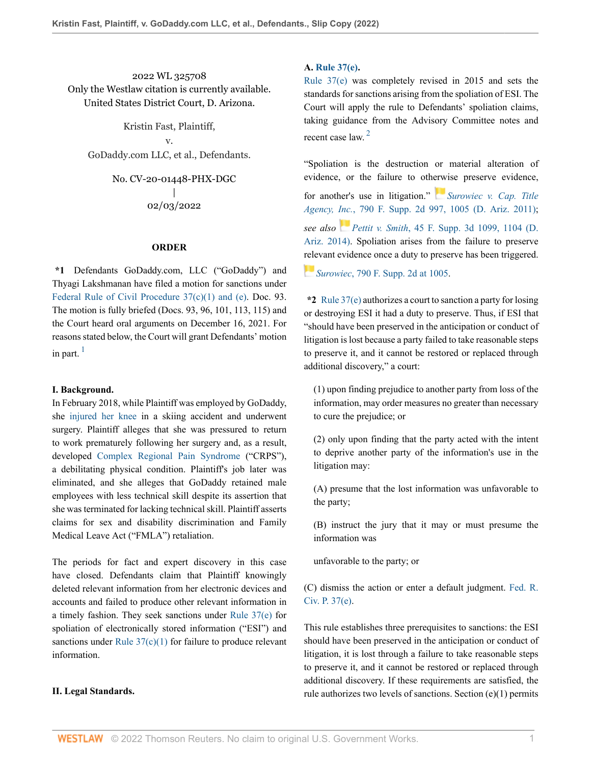2022 WL 325708 Only the Westlaw citation is currently available. United States District Court, D. Arizona.

Kristin Fast, Plaintiff, v. GoDaddy.com LLC, et al., Defendants.

> No. CV-20-01448-PHX-DGC | 02/03/2022

### **ORDER**

**\*1** Defendants GoDaddy.com, LLC ("GoDaddy") and Thyagi Lakshmanan have filed a motion for sanctions under [Federal Rule of Civil Procedure 37\(c\)\(1\) and \(e\).](http://www.westlaw.com/Link/Document/FullText?findType=L&pubNum=1000600&cite=USFRCPR37&originatingDoc=I3998e690855c11ecaa4ed5e57242bc05&refType=LQ&originationContext=document&vr=3.0&rs=cblt1.0&transitionType=DocumentItem&contextData=(sc.History*oc.UserEnteredCitation)) Doc. 93. The motion is fully briefed (Docs. 93, 96, 101, 113, 115) and the Court heard oral arguments on December 16, 2021. For reasons stated below, the Court will grant Defendants' motion in part.  $\frac{1}{2}$  $\frac{1}{2}$  $\frac{1}{2}$ 

#### <span id="page-0-0"></span>**I. Background.**

In February 2018, while Plaintiff was employed by GoDaddy, she [injured her knee](http://www.westlaw.com/Link/Document/FullText?entityType=injury&entityId=Ibf97725b475411db9765f9243f53508a&originationContext=document&transitionType=DocumentItem&contextData=(sc.Default)&vr=3.0&rs=cblt1.0) in a skiing accident and underwent surgery. Plaintiff alleges that she was pressured to return to work prematurely following her surgery and, as a result, developed [Complex Regional Pain Syndrome](http://www.westlaw.com/Link/Document/FullText?entityType=disease&entityId=Ic86e7a4f475411db9765f9243f53508a&originationContext=document&transitionType=DocumentItem&contextData=(sc.Default)&vr=3.0&rs=cblt1.0) ("CRPS"), a debilitating physical condition. Plaintiff's job later was eliminated, and she alleges that GoDaddy retained male employees with less technical skill despite its assertion that she was terminated for lacking technical skill. Plaintiff asserts claims for sex and disability discrimination and Family Medical Leave Act ("FMLA") retaliation.

The periods for fact and expert discovery in this case have closed. Defendants claim that Plaintiff knowingly deleted relevant information from her electronic devices and accounts and failed to produce other relevant information in a timely fashion. They seek sanctions under [Rule 37\(e\)](http://www.westlaw.com/Link/Document/FullText?findType=L&pubNum=1000600&cite=USFRCPR37&originatingDoc=I3998e690855c11ecaa4ed5e57242bc05&refType=LQ&originationContext=document&vr=3.0&rs=cblt1.0&transitionType=DocumentItem&contextData=(sc.History*oc.UserEnteredCitation)) for spoliation of electronically stored information ("ESI") and sanctions under Rule  $37(c)(1)$  for failure to produce relevant information.

## **II. Legal Standards.**

## **A. [Rule 37\(e\).](http://www.westlaw.com/Link/Document/FullText?findType=L&pubNum=1000600&cite=USFRCPR37&originatingDoc=I3998e690855c11ecaa4ed5e57242bc05&refType=LQ&originationContext=document&vr=3.0&rs=cblt1.0&transitionType=DocumentItem&contextData=(sc.History*oc.UserEnteredCitation))**

[Rule 37\(e\)](http://www.westlaw.com/Link/Document/FullText?findType=L&pubNum=1000600&cite=USFRCPR37&originatingDoc=I3998e690855c11ecaa4ed5e57242bc05&refType=LQ&originationContext=document&vr=3.0&rs=cblt1.0&transitionType=DocumentItem&contextData=(sc.History*oc.UserEnteredCitation)) was completely revised in 2015 and sets the standards for sanctions arising from the spoliation of ESI. The Court will apply the rule to Defendants' spoliation claims, taking guidance from the Advisory Committee notes and recent case law.<sup>[2](#page-18-1)</sup>

<span id="page-0-1"></span>"Spoliation is the destruction or material alteration of evidence, or the failure to oth[erw](https://1.next.westlaw.com/Link/RelatedInformation/Flag?documentGuid=I37361822771711e0b63e897ab6fa6920&transitionType=InlineKeyCiteFlags&originationContext=docHeaderFlag&Rank=0&ppcid=7844255315f244aca42bae920e3400ec&contextData=(sc.History*oc.UserEnteredCitation) )ise preserve evidence, for another's use in litigation." *[Surowiec v. Cap. Title](http://www.westlaw.com/Link/Document/FullText?findType=Y&serNum=2025228079&pubNum=0004637&originatingDoc=I3998e690855c11ecaa4ed5e57242bc05&refType=RP&fi=co_pp_sp_4637_1005&originationContext=document&vr=3.0&rs=cblt1.0&transitionType=DocumentItem&contextData=(sc.History*oc.UserEnteredCitation)#co_pp_sp_4637_1005) Agency, Inc.*[, 790 F. Supp. 2d 997, 1005 \(D. Ariz. 2011\)](http://www.westlaw.com/Link/Document/FullText?findType=Y&serNum=2025228079&pubNum=0004637&originatingDoc=I3998e690855c11ecaa4ed5e57242bc05&refType=RP&fi=co_pp_sp_4637_1005&originationContext=document&vr=3.0&rs=cblt1.0&transitionType=DocumentItem&contextData=(sc.History*oc.UserEnteredCitation)#co_pp_sp_4637_1005); *see also [P](https://1.next.westlaw.com/Link/RelatedInformation/Flag?documentGuid=Ie93556ea389f11e4b86bd602cb8781fa&transitionType=InlineKeyCiteFlags&originationContext=docHeaderFlag&Rank=0&ppcid=7844255315f244aca42bae920e3400ec&contextData=(sc.History*oc.UserEnteredCitation) )ettit v. Smith*[, 45 F. Supp. 3d 1099, 1104 \(D.](http://www.westlaw.com/Link/Document/FullText?findType=Y&serNum=2034311615&pubNum=0007903&originatingDoc=I3998e690855c11ecaa4ed5e57242bc05&refType=RP&fi=co_pp_sp_7903_1104&originationContext=document&vr=3.0&rs=cblt1.0&transitionType=DocumentItem&contextData=(sc.History*oc.UserEnteredCitation)#co_pp_sp_7903_1104) [Ariz. 2014\).](http://www.westlaw.com/Link/Document/FullText?findType=Y&serNum=2034311615&pubNum=0007903&originatingDoc=I3998e690855c11ecaa4ed5e57242bc05&refType=RP&fi=co_pp_sp_7903_1104&originationContext=document&vr=3.0&rs=cblt1.0&transitionType=DocumentItem&contextData=(sc.History*oc.UserEnteredCitation)#co_pp_sp_7903_1104) Spoliation arises from the failure to preserve [rele](https://1.next.westlaw.com/Link/RelatedInformation/Flag?documentGuid=I37361822771711e0b63e897ab6fa6920&transitionType=InlineKeyCiteFlags&originationContext=docHeaderFlag&Rank=0&ppcid=7844255315f244aca42bae920e3400ec&contextData=(sc.History*oc.UserEnteredCitation) )vant evidence once a duty to preserve has been triggered.

*Surowiec*[, 790 F. Supp. 2d at 1005.](http://www.westlaw.com/Link/Document/FullText?findType=Y&serNum=2025228079&pubNum=0004637&originatingDoc=I3998e690855c11ecaa4ed5e57242bc05&refType=RP&fi=co_pp_sp_4637_1005&originationContext=document&vr=3.0&rs=cblt1.0&transitionType=DocumentItem&contextData=(sc.History*oc.UserEnteredCitation)#co_pp_sp_4637_1005)

**\*2** [Rule 37\(e\)](http://www.westlaw.com/Link/Document/FullText?findType=L&pubNum=1000600&cite=USFRCPR37&originatingDoc=I3998e690855c11ecaa4ed5e57242bc05&refType=LQ&originationContext=document&vr=3.0&rs=cblt1.0&transitionType=DocumentItem&contextData=(sc.History*oc.UserEnteredCitation)) authorizes a court to sanction a party for losing or destroying ESI it had a duty to preserve. Thus, if ESI that "should have been preserved in the anticipation or conduct of litigation is lost because a party failed to take reasonable steps to preserve it, and it cannot be restored or replaced through additional discovery," a court:

(1) upon finding prejudice to another party from loss of the information, may order measures no greater than necessary to cure the prejudice; or

(2) only upon finding that the party acted with the intent to deprive another party of the information's use in the litigation may:

(A) presume that the lost information was unfavorable to the party;

(B) instruct the jury that it may or must presume the information was

unfavorable to the party; or

(C) dismiss the action or enter a default judgment. [Fed. R.](http://www.westlaw.com/Link/Document/FullText?findType=L&pubNum=1000600&cite=USFRCPR37&originatingDoc=I3998e690855c11ecaa4ed5e57242bc05&refType=LQ&originationContext=document&vr=3.0&rs=cblt1.0&transitionType=DocumentItem&contextData=(sc.History*oc.UserEnteredCitation)) [Civ. P. 37\(e\)](http://www.westlaw.com/Link/Document/FullText?findType=L&pubNum=1000600&cite=USFRCPR37&originatingDoc=I3998e690855c11ecaa4ed5e57242bc05&refType=LQ&originationContext=document&vr=3.0&rs=cblt1.0&transitionType=DocumentItem&contextData=(sc.History*oc.UserEnteredCitation)).

This rule establishes three prerequisites to sanctions: the ESI should have been preserved in the anticipation or conduct of litigation, it is lost through a failure to take reasonable steps to preserve it, and it cannot be restored or replaced through additional discovery. If these requirements are satisfied, the rule authorizes two levels of sanctions. Section (e)(1) permits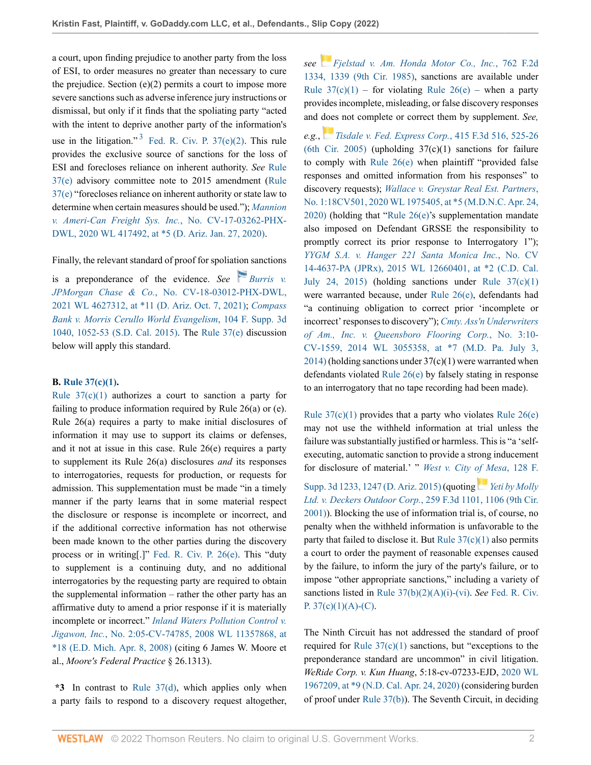<span id="page-1-0"></span>a court, upon finding prejudice to another party from the loss of ESI, to order measures no greater than necessary to cure the prejudice. Section  $(e)(2)$  permits a court to impose more severe sanctions such as adverse inference jury instructions or dismissal, but only if it finds that the spoliating party "acted with the intent to deprive another party of the information's use in the litigation."<sup>[3](#page-18-2)</sup> Fed. R. Civ. P.  $37(e)(2)$ . This rule provides the exclusive source of sanctions for the loss of ESI and forecloses reliance on inherent authority. *See* [Rule](http://www.westlaw.com/Link/Document/FullText?findType=L&pubNum=1000600&cite=USFRCPR37&originatingDoc=I3998e690855c11ecaa4ed5e57242bc05&refType=LQ&originationContext=document&vr=3.0&rs=cblt1.0&transitionType=DocumentItem&contextData=(sc.History*oc.UserEnteredCitation)) [37\(e\)](http://www.westlaw.com/Link/Document/FullText?findType=L&pubNum=1000600&cite=USFRCPR37&originatingDoc=I3998e690855c11ecaa4ed5e57242bc05&refType=LQ&originationContext=document&vr=3.0&rs=cblt1.0&transitionType=DocumentItem&contextData=(sc.History*oc.UserEnteredCitation)) advisory committee note to 2015 amendment [\(Rule](http://www.westlaw.com/Link/Document/FullText?findType=L&pubNum=1000600&cite=USFRCPR37&originatingDoc=I3998e690855c11ecaa4ed5e57242bc05&refType=LQ&originationContext=document&vr=3.0&rs=cblt1.0&transitionType=DocumentItem&contextData=(sc.History*oc.UserEnteredCitation)) [37\(e\)](http://www.westlaw.com/Link/Document/FullText?findType=L&pubNum=1000600&cite=USFRCPR37&originatingDoc=I3998e690855c11ecaa4ed5e57242bc05&refType=LQ&originationContext=document&vr=3.0&rs=cblt1.0&transitionType=DocumentItem&contextData=(sc.History*oc.UserEnteredCitation)) "forecloses reliance on inherent authority or state law to determine when certain measures should be used."); *[Mannion](http://www.westlaw.com/Link/Document/FullText?findType=Y&serNum=2050232401&pubNum=0000999&originatingDoc=I3998e690855c11ecaa4ed5e57242bc05&refType=RP&fi=co_pp_sp_999_5&originationContext=document&vr=3.0&rs=cblt1.0&transitionType=DocumentItem&contextData=(sc.History*oc.UserEnteredCitation)#co_pp_sp_999_5) [v. Ameri-Can Freight Sys. Inc.](http://www.westlaw.com/Link/Document/FullText?findType=Y&serNum=2050232401&pubNum=0000999&originatingDoc=I3998e690855c11ecaa4ed5e57242bc05&refType=RP&fi=co_pp_sp_999_5&originationContext=document&vr=3.0&rs=cblt1.0&transitionType=DocumentItem&contextData=(sc.History*oc.UserEnteredCitation)#co_pp_sp_999_5)*, No. CV-17-03262-PHX-[DWL, 2020 WL 417492, at \\*5 \(D. Ariz. Jan. 27, 2020\)](http://www.westlaw.com/Link/Document/FullText?findType=Y&serNum=2050232401&pubNum=0000999&originatingDoc=I3998e690855c11ecaa4ed5e57242bc05&refType=RP&fi=co_pp_sp_999_5&originationContext=document&vr=3.0&rs=cblt1.0&transitionType=DocumentItem&contextData=(sc.History*oc.UserEnteredCitation)#co_pp_sp_999_5).

## Finally, the relevant standard of proof for spoliation sanctions

is a preponderance of the evidence. *See [Burris v.](http://www.westlaw.com/Link/Document/FullText?findType=Y&serNum=2054662513&pubNum=0000999&originatingDoc=I3998e690855c11ecaa4ed5e57242bc05&refType=RP&fi=co_pp_sp_999_11&originationContext=document&vr=3.0&rs=cblt1.0&transitionType=DocumentItem&contextData=(sc.History*oc.UserEnteredCitation)#co_pp_sp_999_11) JPMorgan Chase & Co.*[, No. CV-18-03012-PHX-DWL,](http://www.westlaw.com/Link/Document/FullText?findType=Y&serNum=2054662513&pubNum=0000999&originatingDoc=I3998e690855c11ecaa4ed5e57242bc05&refType=RP&fi=co_pp_sp_999_11&originationContext=document&vr=3.0&rs=cblt1.0&transitionType=DocumentItem&contextData=(sc.History*oc.UserEnteredCitation)#co_pp_sp_999_11) [2021 WL 4627312, at \\*11 \(D. Ariz. Oct. 7, 2021\);](http://www.westlaw.com/Link/Document/FullText?findType=Y&serNum=2054662513&pubNum=0000999&originatingDoc=I3998e690855c11ecaa4ed5e57242bc05&refType=RP&fi=co_pp_sp_999_11&originationContext=document&vr=3.0&rs=cblt1.0&transitionType=DocumentItem&contextData=(sc.History*oc.UserEnteredCitation)#co_pp_sp_999_11) *[Compass](http://www.westlaw.com/Link/Document/FullText?findType=Y&serNum=2036253018&pubNum=0007903&originatingDoc=I3998e690855c11ecaa4ed5e57242bc05&refType=RP&fi=co_pp_sp_7903_1052&originationContext=document&vr=3.0&rs=cblt1.0&transitionType=DocumentItem&contextData=(sc.History*oc.UserEnteredCitation)#co_pp_sp_7903_1052) [Bank v. Morris Cerullo World Evangelism](http://www.westlaw.com/Link/Document/FullText?findType=Y&serNum=2036253018&pubNum=0007903&originatingDoc=I3998e690855c11ecaa4ed5e57242bc05&refType=RP&fi=co_pp_sp_7903_1052&originationContext=document&vr=3.0&rs=cblt1.0&transitionType=DocumentItem&contextData=(sc.History*oc.UserEnteredCitation)#co_pp_sp_7903_1052)*, 104 F. Supp. 3d [1040, 1052-53 \(S.D. Cal. 2015\)](http://www.westlaw.com/Link/Document/FullText?findType=Y&serNum=2036253018&pubNum=0007903&originatingDoc=I3998e690855c11ecaa4ed5e57242bc05&refType=RP&fi=co_pp_sp_7903_1052&originationContext=document&vr=3.0&rs=cblt1.0&transitionType=DocumentItem&contextData=(sc.History*oc.UserEnteredCitation)#co_pp_sp_7903_1052). The [Rule 37\(e\)](http://www.westlaw.com/Link/Document/FullText?findType=L&pubNum=1000600&cite=USFRCPR37&originatingDoc=I3998e690855c11ecaa4ed5e57242bc05&refType=LQ&originationContext=document&vr=3.0&rs=cblt1.0&transitionType=DocumentItem&contextData=(sc.History*oc.UserEnteredCitation)) discussion below will apply this standard.

## **B. [Rule 37\(c\)\(1\).](http://www.westlaw.com/Link/Document/FullText?findType=L&pubNum=1000600&cite=USFRCPR37&originatingDoc=I3998e690855c11ecaa4ed5e57242bc05&refType=LQ&originationContext=document&vr=3.0&rs=cblt1.0&transitionType=DocumentItem&contextData=(sc.History*oc.UserEnteredCitation))**

Rule  $37(c)(1)$  authorizes a court to sanction a party for failing to produce information required by Rule 26(a) or (e). Rule 26(a) requires a party to make initial disclosures of information it may use to support its claims or defenses, and it not at issue in this case. Rule 26(e) requires a party to supplement its Rule 26(a) disclosures *and* its responses to interrogatories, requests for production, or requests for admission. This supplementation must be made "in a timely manner if the party learns that in some material respect the disclosure or response is incomplete or incorrect, and if the additional corrective information has not otherwise been made known to the other parties during the discovery process or in writing[.]" [Fed. R. Civ. P. 26\(e\)](http://www.westlaw.com/Link/Document/FullText?findType=L&pubNum=1000600&cite=USFRCPR26&originatingDoc=I3998e690855c11ecaa4ed5e57242bc05&refType=LQ&originationContext=document&vr=3.0&rs=cblt1.0&transitionType=DocumentItem&contextData=(sc.History*oc.UserEnteredCitation)). This "duty to supplement is a continuing duty, and no additional interrogatories by the requesting party are required to obtain the supplemental information – rather the other party has an affirmative duty to amend a prior response if it is materially incomplete or incorrect." *[Inland Waters Pollution Control v.](http://www.westlaw.com/Link/Document/FullText?findType=Y&serNum=2042350429&pubNum=0000999&originatingDoc=I3998e690855c11ecaa4ed5e57242bc05&refType=RP&fi=co_pp_sp_999_18&originationContext=document&vr=3.0&rs=cblt1.0&transitionType=DocumentItem&contextData=(sc.History*oc.UserEnteredCitation)#co_pp_sp_999_18) Jigawon, Inc.*[, No. 2:05-CV-74785, 2008 WL 11357868, at](http://www.westlaw.com/Link/Document/FullText?findType=Y&serNum=2042350429&pubNum=0000999&originatingDoc=I3998e690855c11ecaa4ed5e57242bc05&refType=RP&fi=co_pp_sp_999_18&originationContext=document&vr=3.0&rs=cblt1.0&transitionType=DocumentItem&contextData=(sc.History*oc.UserEnteredCitation)#co_pp_sp_999_18) [\\*18 \(E.D. Mich. Apr. 8, 2008\)](http://www.westlaw.com/Link/Document/FullText?findType=Y&serNum=2042350429&pubNum=0000999&originatingDoc=I3998e690855c11ecaa4ed5e57242bc05&refType=RP&fi=co_pp_sp_999_18&originationContext=document&vr=3.0&rs=cblt1.0&transitionType=DocumentItem&contextData=(sc.History*oc.UserEnteredCitation)#co_pp_sp_999_18) (citing 6 James W. Moore et al., *Moore's Federal Practice* § 26.1313).

**\*3** In contrast to [Rule 37\(d\),](http://www.westlaw.com/Link/Document/FullText?findType=L&pubNum=1000600&cite=USFRCPR37&originatingDoc=I3998e690855c11ecaa4ed5e57242bc05&refType=LQ&originationContext=document&vr=3.0&rs=cblt1.0&transitionType=DocumentItem&contextData=(sc.History*oc.UserEnteredCitation)) which applies only when a party fails to respond to a discovery request altogether, *see [Fjelstad v. Am. Honda Motor Co., Inc.](http://www.westlaw.com/Link/Document/FullText?findType=Y&serNum=1985129511&pubNum=0000350&originatingDoc=I3998e690855c11ecaa4ed5e57242bc05&refType=RP&fi=co_pp_sp_350_1339&originationContext=document&vr=3.0&rs=cblt1.0&transitionType=DocumentItem&contextData=(sc.History*oc.UserEnteredCitation)#co_pp_sp_350_1339)*, 762 F.2d [1334, 1339 \(9th Cir. 1985\)](http://www.westlaw.com/Link/Document/FullText?findType=Y&serNum=1985129511&pubNum=0000350&originatingDoc=I3998e690855c11ecaa4ed5e57242bc05&refType=RP&fi=co_pp_sp_350_1339&originationContext=document&vr=3.0&rs=cblt1.0&transitionType=DocumentItem&contextData=(sc.History*oc.UserEnteredCitation)#co_pp_sp_350_1339), sanctions are available under Rule  $37(c)(1)$  – for violating Rule  $26(e)$  – when a party provides incomplete, misleading, or false discovery responses and [doe](https://1.next.westlaw.com/Link/RelatedInformation/Flag?documentGuid=I7a64cdc7f56c11d983e7e9deff98dc6f&transitionType=InlineKeyCiteFlags&originationContext=docHeaderFlag&Rank=0&ppcid=7844255315f244aca42bae920e3400ec&contextData=(sc.History*oc.UserEnteredCitation) )s not complete or correct them by supplement. *See,*

*e.g.*, *[Tisdale v. Fed. Express Corp.](http://www.westlaw.com/Link/Document/FullText?findType=Y&serNum=2006953107&pubNum=0000506&originatingDoc=I3998e690855c11ecaa4ed5e57242bc05&refType=RP&fi=co_pp_sp_506_525&originationContext=document&vr=3.0&rs=cblt1.0&transitionType=DocumentItem&contextData=(sc.History*oc.UserEnteredCitation)#co_pp_sp_506_525)*, 415 F.3d 516, 525-26 [\(6th Cir. 2005\)](http://www.westlaw.com/Link/Document/FullText?findType=Y&serNum=2006953107&pubNum=0000506&originatingDoc=I3998e690855c11ecaa4ed5e57242bc05&refType=RP&fi=co_pp_sp_506_525&originationContext=document&vr=3.0&rs=cblt1.0&transitionType=DocumentItem&contextData=(sc.History*oc.UserEnteredCitation)#co_pp_sp_506_525) (upholding  $37(c)(1)$  sanctions for failure to comply with [Rule 26\(e\)](http://www.westlaw.com/Link/Document/FullText?findType=L&pubNum=1000600&cite=USFRCPR26&originatingDoc=I3998e690855c11ecaa4ed5e57242bc05&refType=LQ&originationContext=document&vr=3.0&rs=cblt1.0&transitionType=DocumentItem&contextData=(sc.History*oc.UserEnteredCitation)) when plaintiff "provided false responses and omitted information from his responses" to discovery requests); *[Wallace v. Greystar Real Est. Partners](http://www.westlaw.com/Link/Document/FullText?findType=Y&serNum=2050839177&pubNum=0000999&originatingDoc=I3998e690855c11ecaa4ed5e57242bc05&refType=RP&fi=co_pp_sp_999_5&originationContext=document&vr=3.0&rs=cblt1.0&transitionType=DocumentItem&contextData=(sc.History*oc.UserEnteredCitation)#co_pp_sp_999_5)*, [No. 1:18CV501, 2020 WL 1975405, at \\*5 \(M.D.N.C. Apr. 24,](http://www.westlaw.com/Link/Document/FullText?findType=Y&serNum=2050839177&pubNum=0000999&originatingDoc=I3998e690855c11ecaa4ed5e57242bc05&refType=RP&fi=co_pp_sp_999_5&originationContext=document&vr=3.0&rs=cblt1.0&transitionType=DocumentItem&contextData=(sc.History*oc.UserEnteredCitation)#co_pp_sp_999_5) [2020\)](http://www.westlaw.com/Link/Document/FullText?findType=Y&serNum=2050839177&pubNum=0000999&originatingDoc=I3998e690855c11ecaa4ed5e57242bc05&refType=RP&fi=co_pp_sp_999_5&originationContext=document&vr=3.0&rs=cblt1.0&transitionType=DocumentItem&contextData=(sc.History*oc.UserEnteredCitation)#co_pp_sp_999_5) (holding that "[Rule 26\(e\)'](http://www.westlaw.com/Link/Document/FullText?findType=L&pubNum=1000600&cite=USFRCPR26&originatingDoc=I3998e690855c11ecaa4ed5e57242bc05&refType=LQ&originationContext=document&vr=3.0&rs=cblt1.0&transitionType=DocumentItem&contextData=(sc.History*oc.UserEnteredCitation))s supplementation mandate also imposed on Defendant GRSSE the responsibility to promptly correct its prior response to Interrogatory 1"); *[YYGM S.A. v. Hanger 221 Santa Monica Inc.](http://www.westlaw.com/Link/Document/FullText?findType=Y&serNum=2040071314&pubNum=0000999&originatingDoc=I3998e690855c11ecaa4ed5e57242bc05&refType=RP&fi=co_pp_sp_999_2&originationContext=document&vr=3.0&rs=cblt1.0&transitionType=DocumentItem&contextData=(sc.History*oc.UserEnteredCitation)#co_pp_sp_999_2)*, No. CV [14-4637-PA \(JPRx\), 2015 WL 12660401, at \\*2 \(C.D. Cal.](http://www.westlaw.com/Link/Document/FullText?findType=Y&serNum=2040071314&pubNum=0000999&originatingDoc=I3998e690855c11ecaa4ed5e57242bc05&refType=RP&fi=co_pp_sp_999_2&originationContext=document&vr=3.0&rs=cblt1.0&transitionType=DocumentItem&contextData=(sc.History*oc.UserEnteredCitation)#co_pp_sp_999_2) [July 24, 2015\)](http://www.westlaw.com/Link/Document/FullText?findType=Y&serNum=2040071314&pubNum=0000999&originatingDoc=I3998e690855c11ecaa4ed5e57242bc05&refType=RP&fi=co_pp_sp_999_2&originationContext=document&vr=3.0&rs=cblt1.0&transitionType=DocumentItem&contextData=(sc.History*oc.UserEnteredCitation)#co_pp_sp_999_2) (holding sanctions under Rule  $37(c)(1)$ were warranted because, under [Rule 26\(e\)](http://www.westlaw.com/Link/Document/FullText?findType=L&pubNum=1000600&cite=USFRCPR26&originatingDoc=I3998e690855c11ecaa4ed5e57242bc05&refType=LQ&originationContext=document&vr=3.0&rs=cblt1.0&transitionType=DocumentItem&contextData=(sc.History*oc.UserEnteredCitation)), defendants had "a continuing obligation to correct prior 'incomplete or incorrect' responses to discovery"); *[Cmty. Ass'n Underwriters](http://www.westlaw.com/Link/Document/FullText?findType=Y&serNum=2033791038&pubNum=0000999&originatingDoc=I3998e690855c11ecaa4ed5e57242bc05&refType=RP&fi=co_pp_sp_999_7&originationContext=document&vr=3.0&rs=cblt1.0&transitionType=DocumentItem&contextData=(sc.History*oc.UserEnteredCitation)#co_pp_sp_999_7) [of Am., Inc. v. Queensboro Flooring Corp.](http://www.westlaw.com/Link/Document/FullText?findType=Y&serNum=2033791038&pubNum=0000999&originatingDoc=I3998e690855c11ecaa4ed5e57242bc05&refType=RP&fi=co_pp_sp_999_7&originationContext=document&vr=3.0&rs=cblt1.0&transitionType=DocumentItem&contextData=(sc.History*oc.UserEnteredCitation)#co_pp_sp_999_7)*, No. 3:10- [CV-1559, 2014 WL 3055358, at \\*7 \(M.D. Pa. July 3,](http://www.westlaw.com/Link/Document/FullText?findType=Y&serNum=2033791038&pubNum=0000999&originatingDoc=I3998e690855c11ecaa4ed5e57242bc05&refType=RP&fi=co_pp_sp_999_7&originationContext=document&vr=3.0&rs=cblt1.0&transitionType=DocumentItem&contextData=(sc.History*oc.UserEnteredCitation)#co_pp_sp_999_7)  $2014$ ) (holding sanctions under  $37(c)(1)$  were warranted when defendants violated [Rule 26\(e\)](http://www.westlaw.com/Link/Document/FullText?findType=L&pubNum=1000600&cite=USFRCPR26&originatingDoc=I3998e690855c11ecaa4ed5e57242bc05&refType=LQ&originationContext=document&vr=3.0&rs=cblt1.0&transitionType=DocumentItem&contextData=(sc.History*oc.UserEnteredCitation)) by falsely stating in response to an interrogatory that no tape recording had been made).

Rule  $37(c)(1)$  provides that a party who violates Rule  $26(e)$ may not use the withheld information at trial unless the failure was substantially justified or harmless. This is "a 'selfexecuting, automatic sanction to provide a strong inducement for disclosure of material.' " *[West v. City of Mesa](http://www.westlaw.com/Link/Document/FullText?findType=Y&serNum=2037135170&pubNum=0007903&originatingDoc=I3998e690855c11ecaa4ed5e57242bc05&refType=RP&fi=co_pp_sp_7903_1247&originationContext=document&vr=3.0&rs=cblt1.0&transitionType=DocumentItem&contextData=(sc.History*oc.UserEnteredCitation)#co_pp_sp_7903_1247)*, 128 F. [Supp. 3d 1233, 1247 \(D. Ariz. 2015\)](http://www.westlaw.com/Link/Document/FullText?findType=Y&serNum=2037135170&pubNum=0007903&originatingDoc=I3998e690855c11ecaa4ed5e57242bc05&refType=RP&fi=co_pp_sp_7903_1247&originationContext=document&vr=3.0&rs=cblt1.0&transitionType=DocumentItem&contextData=(sc.History*oc.UserEnteredCitation)#co_pp_sp_7903_1247) (quoting *[Yeti by Molly](http://www.westlaw.com/Link/Document/FullText?findType=Y&serNum=2001680772&pubNum=0000506&originatingDoc=I3998e690855c11ecaa4ed5e57242bc05&refType=RP&fi=co_pp_sp_506_1106&originationContext=document&vr=3.0&rs=cblt1.0&transitionType=DocumentItem&contextData=(sc.History*oc.UserEnteredCitation)#co_pp_sp_506_1106) Ltd. v. Deckers Outdoor Corp.*[, 259 F.3d 1101, 1106 \(9th Cir.](http://www.westlaw.com/Link/Document/FullText?findType=Y&serNum=2001680772&pubNum=0000506&originatingDoc=I3998e690855c11ecaa4ed5e57242bc05&refType=RP&fi=co_pp_sp_506_1106&originationContext=document&vr=3.0&rs=cblt1.0&transitionType=DocumentItem&contextData=(sc.History*oc.UserEnteredCitation)#co_pp_sp_506_1106) [2001\)](http://www.westlaw.com/Link/Document/FullText?findType=Y&serNum=2001680772&pubNum=0000506&originatingDoc=I3998e690855c11ecaa4ed5e57242bc05&refType=RP&fi=co_pp_sp_506_1106&originationContext=document&vr=3.0&rs=cblt1.0&transitionType=DocumentItem&contextData=(sc.History*oc.UserEnteredCitation)#co_pp_sp_506_1106)). Blocking the use of information trial is, of course, no penalty when the withheld information is unfavorable to the party that failed to disclose it. But Rule  $37(c)(1)$  also permits a court to order the payment of reasonable expenses caused by the failure, to inform the jury of the party's failure, or to impose "other appropriate sanctions," including a variety of sanctions listed in [Rule 37\(b\)\(2\)\(A\)\(i\)-\(vi\).](http://www.westlaw.com/Link/Document/FullText?findType=L&pubNum=1000600&cite=USFRCPR37&originatingDoc=I3998e690855c11ecaa4ed5e57242bc05&refType=LQ&originationContext=document&vr=3.0&rs=cblt1.0&transitionType=DocumentItem&contextData=(sc.History*oc.UserEnteredCitation)) *See* [Fed. R. Civ.](http://www.westlaw.com/Link/Document/FullText?findType=L&pubNum=1000600&cite=USFRCPR37&originatingDoc=I3998e690855c11ecaa4ed5e57242bc05&refType=LQ&originationContext=document&vr=3.0&rs=cblt1.0&transitionType=DocumentItem&contextData=(sc.History*oc.UserEnteredCitation))

The Ninth Circuit has not addressed the standard of proof required for Rule  $37(c)(1)$  sanctions, but "exceptions to the preponderance standard are uncommon" in civil litigation. *WeRide Corp. v. Kun Huang*, 5:18-cv-07233-EJD, [2020 WL](http://www.westlaw.com/Link/Document/FullText?findType=Y&serNum=2050834040&pubNum=0000999&originatingDoc=I3998e690855c11ecaa4ed5e57242bc05&refType=RP&fi=co_pp_sp_999_9&originationContext=document&vr=3.0&rs=cblt1.0&transitionType=DocumentItem&contextData=(sc.History*oc.UserEnteredCitation)#co_pp_sp_999_9) [1967209, at \\*9 \(N.D. Cal. Apr. 24, 2020\)](http://www.westlaw.com/Link/Document/FullText?findType=Y&serNum=2050834040&pubNum=0000999&originatingDoc=I3998e690855c11ecaa4ed5e57242bc05&refType=RP&fi=co_pp_sp_999_9&originationContext=document&vr=3.0&rs=cblt1.0&transitionType=DocumentItem&contextData=(sc.History*oc.UserEnteredCitation)#co_pp_sp_999_9) (considering burden of proof under [Rule 37\(b\)\)](http://www.westlaw.com/Link/Document/FullText?findType=L&pubNum=1000600&cite=USFRCPR37&originatingDoc=I3998e690855c11ecaa4ed5e57242bc05&refType=LQ&originationContext=document&vr=3.0&rs=cblt1.0&transitionType=DocumentItem&contextData=(sc.History*oc.UserEnteredCitation)). The Seventh Circuit, in deciding

P.  $37(c)(1)(A)-(C)$ .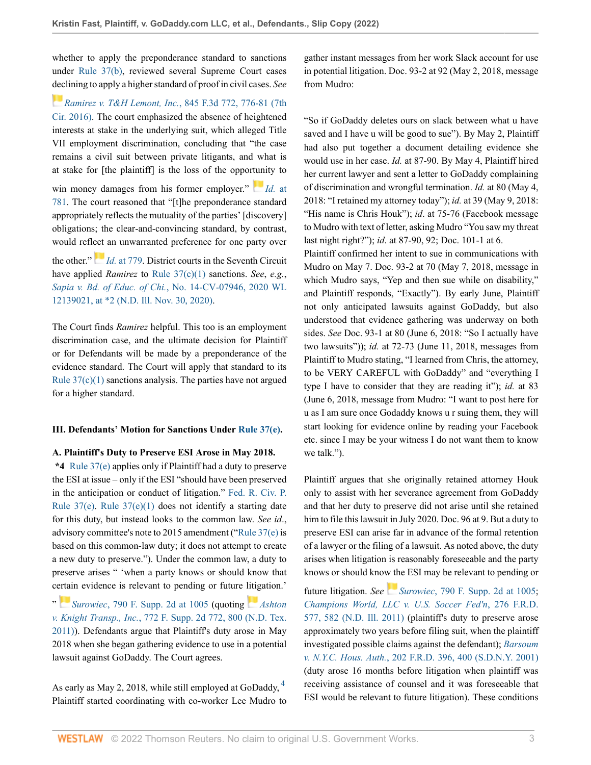whether to apply the preponderance standard to sanctions under [Rule 37\(b\),](http://www.westlaw.com/Link/Document/FullText?findType=L&pubNum=1000600&cite=USFRCPR37&originatingDoc=I3998e690855c11ecaa4ed5e57242bc05&refType=LQ&originationContext=document&vr=3.0&rs=cblt1.0&transitionType=DocumentItem&contextData=(sc.History*oc.UserEnteredCitation)) reviewed several Supreme Court cases [dec](https://1.next.westlaw.com/Link/RelatedInformation/Flag?documentGuid=Ieb233130cf0f11e6960ceb4fdef01e17&transitionType=InlineKeyCiteFlags&originationContext=docHeaderFlag&Rank=0&ppcid=7844255315f244aca42bae920e3400ec&contextData=(sc.History*oc.UserEnteredCitation) )lining to apply a higher standard of proof in civil cases. *See*

*[Ramirez v. T&H Lemont, Inc.](http://www.westlaw.com/Link/Document/FullText?findType=Y&serNum=2040649194&pubNum=0000506&originatingDoc=I3998e690855c11ecaa4ed5e57242bc05&refType=RP&fi=co_pp_sp_506_776&originationContext=document&vr=3.0&rs=cblt1.0&transitionType=DocumentItem&contextData=(sc.History*oc.UserEnteredCitation)#co_pp_sp_506_776)*, 845 F.3d 772, 776-81 (7th [Cir. 2016\).](http://www.westlaw.com/Link/Document/FullText?findType=Y&serNum=2040649194&pubNum=0000506&originatingDoc=I3998e690855c11ecaa4ed5e57242bc05&refType=RP&fi=co_pp_sp_506_776&originationContext=document&vr=3.0&rs=cblt1.0&transitionType=DocumentItem&contextData=(sc.History*oc.UserEnteredCitation)#co_pp_sp_506_776) The court emphasized the absence of heightened interests at stake in the underlying suit, which alleged Title VII employment discrimination, concluding that "the case remains a civil suit between private litigants, and what is at stake for [the plaintiff] is the loss of the oppor[tuni](https://1.next.westlaw.com/Link/RelatedInformation/Flag?documentGuid=Ieb233130cf0f11e6960ceb4fdef01e17&transitionType=InlineKeyCiteFlags&originationContext=docHeaderFlag&Rank=0&ppcid=7844255315f244aca42bae920e3400ec&contextData=(sc.History*oc.UserEnteredCitation) )ty to win money damages from his former employer." *Id.* [at](http://www.westlaw.com/Link/Document/FullText?findType=Y&serNum=2040649194&pubNum=0000506&originatingDoc=I3998e690855c11ecaa4ed5e57242bc05&refType=RP&fi=co_pp_sp_506_781&originationContext=document&vr=3.0&rs=cblt1.0&transitionType=DocumentItem&contextData=(sc.History*oc.UserEnteredCitation)#co_pp_sp_506_781) [781](http://www.westlaw.com/Link/Document/FullText?findType=Y&serNum=2040649194&pubNum=0000506&originatingDoc=I3998e690855c11ecaa4ed5e57242bc05&refType=RP&fi=co_pp_sp_506_781&originationContext=document&vr=3.0&rs=cblt1.0&transitionType=DocumentItem&contextData=(sc.History*oc.UserEnteredCitation)#co_pp_sp_506_781). The court reasoned that "[t]he preponderance standard appropriately reflects the mutuality of the parties' [discovery] obligations; the clear-and-convincing standard, by contrast, would refl[ect](https://1.next.westlaw.com/Link/RelatedInformation/Flag?documentGuid=Ieb233130cf0f11e6960ceb4fdef01e17&transitionType=InlineKeyCiteFlags&originationContext=docHeaderFlag&Rank=0&ppcid=7844255315f244aca42bae920e3400ec&contextData=(sc.History*oc.UserEnteredCitation) ) an unwarranted preference for one party over the other." *Id.* [at 779](http://www.westlaw.com/Link/Document/FullText?findType=Y&serNum=2040649194&pubNum=0000506&originatingDoc=I3998e690855c11ecaa4ed5e57242bc05&refType=RP&fi=co_pp_sp_506_779&originationContext=document&vr=3.0&rs=cblt1.0&transitionType=DocumentItem&contextData=(sc.History*oc.UserEnteredCitation)#co_pp_sp_506_779). District courts in the Seventh Circuit

have applied *Ramirez* to [Rule 37\(c\)\(1\)](http://www.westlaw.com/Link/Document/FullText?findType=L&pubNum=1000600&cite=USFRCPR37&originatingDoc=I3998e690855c11ecaa4ed5e57242bc05&refType=LQ&originationContext=document&vr=3.0&rs=cblt1.0&transitionType=DocumentItem&contextData=(sc.History*oc.UserEnteredCitation)) sanctions. *See*, *e.g.*, *Sapia v. Bd. of Educ. of Chi.*[, No. 14-CV-07946, 2020 WL](http://www.westlaw.com/Link/Document/FullText?findType=Y&serNum=2054761217&pubNum=0000999&originatingDoc=I3998e690855c11ecaa4ed5e57242bc05&refType=RP&fi=co_pp_sp_999_2&originationContext=document&vr=3.0&rs=cblt1.0&transitionType=DocumentItem&contextData=(sc.History*oc.UserEnteredCitation)#co_pp_sp_999_2) [12139021, at \\*2 \(N.D. Ill. Nov. 30, 2020\)](http://www.westlaw.com/Link/Document/FullText?findType=Y&serNum=2054761217&pubNum=0000999&originatingDoc=I3998e690855c11ecaa4ed5e57242bc05&refType=RP&fi=co_pp_sp_999_2&originationContext=document&vr=3.0&rs=cblt1.0&transitionType=DocumentItem&contextData=(sc.History*oc.UserEnteredCitation)#co_pp_sp_999_2).

The Court finds *Ramirez* helpful. This too is an employment discrimination case, and the ultimate decision for Plaintiff or for Defendants will be made by a preponderance of the evidence standard. The Court will apply that standard to its Rule  $37(c)(1)$  sanctions analysis. The parties have not argued for a higher standard.

## **III. Defendants' Motion for Sanctions Under [Rule 37\(e\).](http://www.westlaw.com/Link/Document/FullText?findType=L&pubNum=1000600&cite=USFRCPR37&originatingDoc=I3998e690855c11ecaa4ed5e57242bc05&refType=LQ&originationContext=document&vr=3.0&rs=cblt1.0&transitionType=DocumentItem&contextData=(sc.History*oc.UserEnteredCitation))**

### **A. Plaintiff's Duty to Preserve ESI Arose in May 2018.**

**\*4** [Rule 37\(e\)](http://www.westlaw.com/Link/Document/FullText?findType=L&pubNum=1000600&cite=USFRCPR37&originatingDoc=I3998e690855c11ecaa4ed5e57242bc05&refType=LQ&originationContext=document&vr=3.0&rs=cblt1.0&transitionType=DocumentItem&contextData=(sc.History*oc.UserEnteredCitation)) applies only if Plaintiff had a duty to preserve the ESI at issue – only if the ESI "should have been preserved in the anticipation or conduct of litigation." [Fed. R. Civ. P.](http://www.westlaw.com/Link/Document/FullText?findType=L&pubNum=1000600&cite=USFRCPR37&originatingDoc=I3998e690855c11ecaa4ed5e57242bc05&refType=LQ&originationContext=document&vr=3.0&rs=cblt1.0&transitionType=DocumentItem&contextData=(sc.History*oc.UserEnteredCitation)) Rule  $37(e)$ . Rule  $37(e)(1)$  does not identify a starting date for this duty, but instead looks to the common law. *See id*., advisory committee's note to 2015 amendment ("[Rule 37\(e\)](http://www.westlaw.com/Link/Document/FullText?findType=L&pubNum=1000600&cite=USFRCPR37&originatingDoc=I3998e690855c11ecaa4ed5e57242bc05&refType=LQ&originationContext=document&vr=3.0&rs=cblt1.0&transitionType=DocumentItem&contextData=(sc.History*oc.UserEnteredCitation)) is based on this common-law duty; it does not attempt to create a new duty to preserve."). Under the common law, a duty to preserve arises " 'when a party knows or should know that c[ertai](https://1.next.westlaw.com/Link/RelatedInformation/Flag?documentGuid=I37361822771711e0b63e897ab6fa6920&transitionType=InlineKeyCiteFlags&originationContext=docHeaderFlag&Rank=0&ppcid=7844255315f244aca42bae920e3400ec&contextData=(sc.History*oc.UserEnteredCitation) )n evidence is relevant to pending or future [litig](https://1.next.westlaw.com/Link/RelatedInformation/Flag?documentGuid=I698c9a3f461311e0b931b80af77abaf1&transitionType=InlineKeyCiteFlags&originationContext=docHeaderFlag&Rank=0&ppcid=7844255315f244aca42bae920e3400ec&contextData=(sc.History*oc.UserEnteredCitation) )ation.'

" *Surowiec*[, 790 F. Supp. 2d at 1005](http://www.westlaw.com/Link/Document/FullText?findType=Y&serNum=2025228079&pubNum=0004637&originatingDoc=I3998e690855c11ecaa4ed5e57242bc05&refType=RP&fi=co_pp_sp_4637_1005&originationContext=document&vr=3.0&rs=cblt1.0&transitionType=DocumentItem&contextData=(sc.History*oc.UserEnteredCitation)#co_pp_sp_4637_1005) (quoting *[Ashton](http://www.westlaw.com/Link/Document/FullText?findType=Y&serNum=2024711849&pubNum=0004637&originatingDoc=I3998e690855c11ecaa4ed5e57242bc05&refType=RP&fi=co_pp_sp_4637_800&originationContext=document&vr=3.0&rs=cblt1.0&transitionType=DocumentItem&contextData=(sc.History*oc.UserEnteredCitation)#co_pp_sp_4637_800) v. Knight Transp., Inc.*[, 772 F. Supp. 2d 772, 800 \(N.D. Tex.](http://www.westlaw.com/Link/Document/FullText?findType=Y&serNum=2024711849&pubNum=0004637&originatingDoc=I3998e690855c11ecaa4ed5e57242bc05&refType=RP&fi=co_pp_sp_4637_800&originationContext=document&vr=3.0&rs=cblt1.0&transitionType=DocumentItem&contextData=(sc.History*oc.UserEnteredCitation)#co_pp_sp_4637_800) [2011\)\)](http://www.westlaw.com/Link/Document/FullText?findType=Y&serNum=2024711849&pubNum=0004637&originatingDoc=I3998e690855c11ecaa4ed5e57242bc05&refType=RP&fi=co_pp_sp_4637_800&originationContext=document&vr=3.0&rs=cblt1.0&transitionType=DocumentItem&contextData=(sc.History*oc.UserEnteredCitation)#co_pp_sp_4637_800). Defendants argue that Plaintiff's duty arose in May 2018 when she began gathering evidence to use in a potential lawsuit against GoDaddy. The Court agrees.

As early as May 2, 2018, while still employed at GoDaddy, [4](#page-18-3) Plaintiff started coordinating with co-worker Lee Mudro to gather instant messages from her work Slack account for use in potential litigation. Doc. 93-2 at 92 (May 2, 2018, message from Mudro:

"So if GoDaddy deletes ours on slack between what u have saved and I have u will be good to sue"). By May 2, Plaintiff had also put together a document detailing evidence she would use in her case. *Id.* at 87-90. By May 4, Plaintiff hired her current lawyer and sent a letter to GoDaddy complaining of discrimination and wrongful termination. *Id.* at 80 (May 4, 2018: "I retained my attorney today"); *id.* at 39 (May 9, 2018: "His name is Chris Houk"); *id.* at 75-76 (Facebook message to Mudro with text of letter, asking Mudro "You saw my threat last night right?"); *id*. at 87-90, 92; Doc. 101-1 at 6.

Plaintiff confirmed her intent to sue in communications with Mudro on May 7. Doc. 93-2 at 70 (May 7, 2018, message in which Mudro says, "Yep and then sue while on disability," and Plaintiff responds, "Exactly"). By early June, Plaintiff not only anticipated lawsuits against GoDaddy, but also understood that evidence gathering was underway on both sides. *See* Doc. 93-1 at 80 (June 6, 2018: "So I actually have two lawsuits")); *id.* at 72-73 (June 11, 2018, messages from Plaintiff to Mudro stating, "I learned from Chris, the attorney, to be VERY CAREFUL with GoDaddy" and "everything I type I have to consider that they are reading it"); *id.* at 83 (June 6, 2018, message from Mudro: "I want to post here for u as I am sure once Godaddy knows u r suing them, they will start looking for evidence online by reading your Facebook etc. since I may be your witness I do not want them to know we talk.").

Plaintiff argues that she originally retained attorney Houk only to assist with her severance agreement from GoDaddy and that her duty to preserve did not arise until she retained him to file this lawsuit in July 2020. Doc. 96 at 9. But a duty to preserve ESI can arise far in advance of the formal retention of a lawyer or the filing of a lawsuit. As noted above, the duty arises when litigation is reasonably foreseeable and the party knows or should know the ESI may be relevant to pending or

<span id="page-2-0"></span>future litigation. *See [S](https://1.next.westlaw.com/Link/RelatedInformation/Flag?documentGuid=I37361822771711e0b63e897ab6fa6920&transitionType=InlineKeyCiteFlags&originationContext=docHeaderFlag&Rank=0&ppcid=7844255315f244aca42bae920e3400ec&contextData=(sc.History*oc.UserEnteredCitation) )urowiec*[, 790 F. Supp. 2d at 1005](http://www.westlaw.com/Link/Document/FullText?findType=Y&serNum=2025228079&pubNum=0004637&originatingDoc=I3998e690855c11ecaa4ed5e57242bc05&refType=RP&fi=co_pp_sp_4637_1005&originationContext=document&vr=3.0&rs=cblt1.0&transitionType=DocumentItem&contextData=(sc.History*oc.UserEnteredCitation)#co_pp_sp_4637_1005); *[Champions World, LLC v. U.S. Soccer Fed'n](http://www.westlaw.com/Link/Document/FullText?findType=Y&serNum=2025903608&pubNum=0000344&originatingDoc=I3998e690855c11ecaa4ed5e57242bc05&refType=RP&fi=co_pp_sp_344_582&originationContext=document&vr=3.0&rs=cblt1.0&transitionType=DocumentItem&contextData=(sc.History*oc.UserEnteredCitation)#co_pp_sp_344_582)*, 276 F.R.D. [577, 582 \(N.D. Ill. 2011\)](http://www.westlaw.com/Link/Document/FullText?findType=Y&serNum=2025903608&pubNum=0000344&originatingDoc=I3998e690855c11ecaa4ed5e57242bc05&refType=RP&fi=co_pp_sp_344_582&originationContext=document&vr=3.0&rs=cblt1.0&transitionType=DocumentItem&contextData=(sc.History*oc.UserEnteredCitation)#co_pp_sp_344_582) (plaintiff's duty to preserve arose approximately two years before filing suit, when the plaintiff investigated possible claims against the defendant); *[Barsoum](http://www.westlaw.com/Link/Document/FullText?findType=Y&serNum=2001289093&pubNum=0000344&originatingDoc=I3998e690855c11ecaa4ed5e57242bc05&refType=RP&fi=co_pp_sp_344_400&originationContext=document&vr=3.0&rs=cblt1.0&transitionType=DocumentItem&contextData=(sc.History*oc.UserEnteredCitation)#co_pp_sp_344_400) v. N.Y.C. Hous. Auth.*[, 202 F.R.D. 396, 400 \(S.D.N.Y. 2001\)](http://www.westlaw.com/Link/Document/FullText?findType=Y&serNum=2001289093&pubNum=0000344&originatingDoc=I3998e690855c11ecaa4ed5e57242bc05&refType=RP&fi=co_pp_sp_344_400&originationContext=document&vr=3.0&rs=cblt1.0&transitionType=DocumentItem&contextData=(sc.History*oc.UserEnteredCitation)#co_pp_sp_344_400) (duty arose 16 months before litigation when plaintiff was receiving assistance of counsel and it was foreseeable that ESI would be relevant to future litigation). These conditions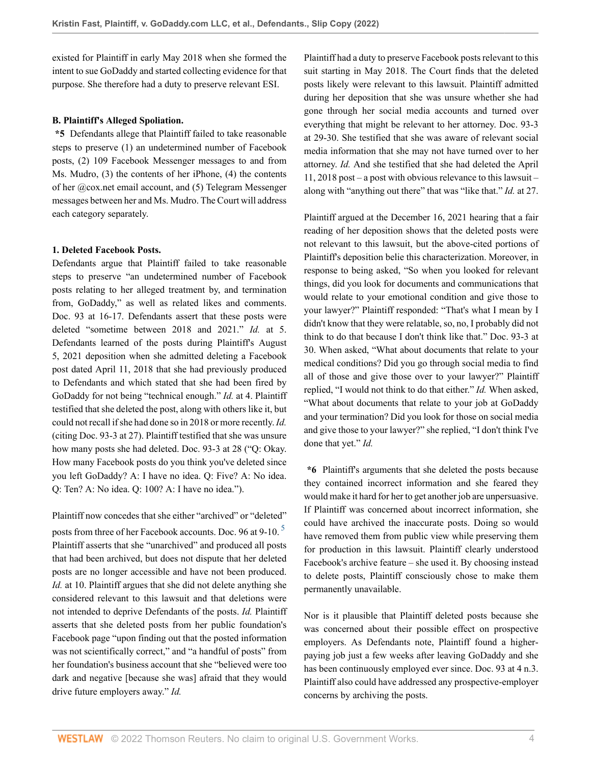existed for Plaintiff in early May 2018 when she formed the intent to sue GoDaddy and started collecting evidence for that purpose. She therefore had a duty to preserve relevant ESI.

## **B. Plaintiff's Alleged Spoliation.**

**\*5** Defendants allege that Plaintiff failed to take reasonable steps to preserve (1) an undetermined number of Facebook posts, (2) 109 Facebook Messenger messages to and from Ms. Mudro, (3) the contents of her iPhone, (4) the contents of her @cox.net email account, and (5) Telegram Messenger messages between her and Ms. Mudro. The Court will address each category separately.

### **1. Deleted Facebook Posts.**

Defendants argue that Plaintiff failed to take reasonable steps to preserve "an undetermined number of Facebook posts relating to her alleged treatment by, and termination from, GoDaddy," as well as related likes and comments. Doc. 93 at 16-17. Defendants assert that these posts were deleted "sometime between 2018 and 2021." *Id.* at 5. Defendants learned of the posts during Plaintiff's August 5, 2021 deposition when she admitted deleting a Facebook post dated April 11, 2018 that she had previously produced to Defendants and which stated that she had been fired by GoDaddy for not being "technical enough." *Id.* at 4. Plaintiff testified that she deleted the post, along with others like it, but could not recall if she had done so in 2018 or more recently. *Id.* (citing Doc. 93-3 at 27). Plaintiff testified that she was unsure how many posts she had deleted. Doc. 93-3 at 28 ("Q: Okay. How many Facebook posts do you think you've deleted since you left GoDaddy? A: I have no idea. Q: Five? A: No idea. Q: Ten? A: No idea. Q: 100? A: I have no idea.").

Plaintiff now concedes that she either "archived" or "deleted"

posts from three of her Facebook accounts. Doc. 96 at 9-10.<sup>[5](#page-18-4)</sup> Plaintiff asserts that she "unarchived" and produced all posts that had been archived, but does not dispute that her deleted posts are no longer accessible and have not been produced. *Id.* at 10. Plaintiff argues that she did not delete anything she considered relevant to this lawsuit and that deletions were not intended to deprive Defendants of the posts. *Id.* Plaintiff asserts that she deleted posts from her public foundation's Facebook page "upon finding out that the posted information was not scientifically correct," and "a handful of posts" from her foundation's business account that she "believed were too dark and negative [because she was] afraid that they would drive future employers away." *Id.*

Plaintiff had a duty to preserve Facebook posts relevant to this suit starting in May 2018. The Court finds that the deleted posts likely were relevant to this lawsuit. Plaintiff admitted during her deposition that she was unsure whether she had gone through her social media accounts and turned over everything that might be relevant to her attorney. Doc. 93-3 at 29-30. She testified that she was aware of relevant social media information that she may not have turned over to her attorney. *Id.* And she testified that she had deleted the April 11, 2018 post – a post with obvious relevance to this lawsuit – along with "anything out there" that was "like that." *Id.* at 27.

Plaintiff argued at the December 16, 2021 hearing that a fair reading of her deposition shows that the deleted posts were not relevant to this lawsuit, but the above-cited portions of Plaintiff's deposition belie this characterization. Moreover, in response to being asked, "So when you looked for relevant things, did you look for documents and communications that would relate to your emotional condition and give those to your lawyer?" Plaintiff responded: "That's what I mean by I didn't know that they were relatable, so, no, I probably did not think to do that because I don't think like that." Doc. 93-3 at 30. When asked, "What about documents that relate to your medical conditions? Did you go through social media to find all of those and give those over to your lawyer?" Plaintiff replied, "I would not think to do that either." *Id.* When asked, "What about documents that relate to your job at GoDaddy and your termination? Did you look for those on social media and give those to your lawyer?" she replied, "I don't think I've done that yet." *Id.*

<span id="page-3-0"></span>**\*6** Plaintiff's arguments that she deleted the posts because they contained incorrect information and she feared they would make it hard for her to get another job are unpersuasive. If Plaintiff was concerned about incorrect information, she could have archived the inaccurate posts. Doing so would have removed them from public view while preserving them for production in this lawsuit. Plaintiff clearly understood Facebook's archive feature – she used it. By choosing instead to delete posts, Plaintiff consciously chose to make them permanently unavailable.

Nor is it plausible that Plaintiff deleted posts because she was concerned about their possible effect on prospective employers. As Defendants note, Plaintiff found a higherpaying job just a few weeks after leaving GoDaddy and she has been continuously employed ever since. Doc. 93 at 4 n.3. Plaintiff also could have addressed any prospective-employer concerns by archiving the posts.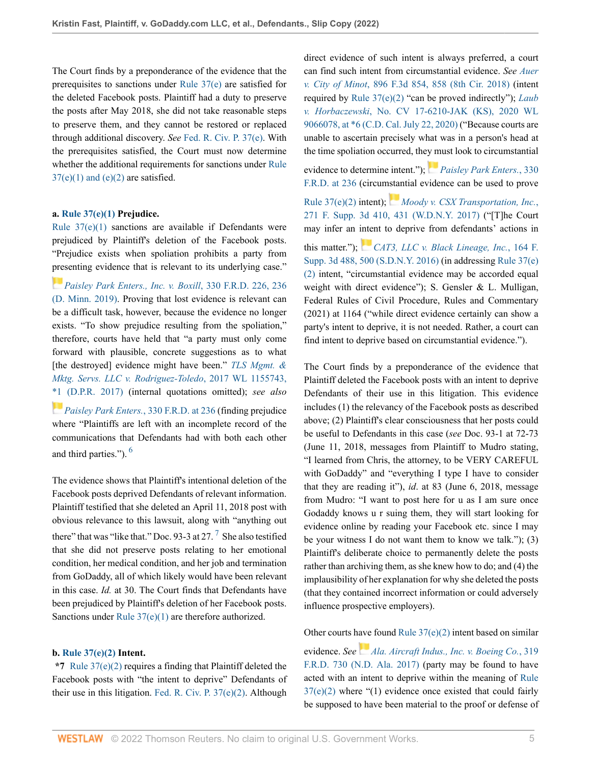The Court finds by a preponderance of the evidence that the prerequisites to sanctions under [Rule 37\(e\)](http://www.westlaw.com/Link/Document/FullText?findType=L&pubNum=1000600&cite=USFRCPR37&originatingDoc=I3998e690855c11ecaa4ed5e57242bc05&refType=LQ&originationContext=document&vr=3.0&rs=cblt1.0&transitionType=DocumentItem&contextData=(sc.History*oc.UserEnteredCitation)) are satisfied for the deleted Facebook posts. Plaintiff had a duty to preserve the posts after May 2018, she did not take reasonable steps to preserve them, and they cannot be restored or replaced through additional discovery. *See* [Fed. R. Civ. P. 37\(e\)](http://www.westlaw.com/Link/Document/FullText?findType=L&pubNum=1000600&cite=USFRCPR37&originatingDoc=I3998e690855c11ecaa4ed5e57242bc05&refType=LQ&originationContext=document&vr=3.0&rs=cblt1.0&transitionType=DocumentItem&contextData=(sc.History*oc.UserEnteredCitation)). With the prerequisites satisfied, the Court must now determine whether the additional requirements for sanctions under [Rule](http://www.westlaw.com/Link/Document/FullText?findType=L&pubNum=1000600&cite=USFRCPR37&originatingDoc=I3998e690855c11ecaa4ed5e57242bc05&refType=LQ&originationContext=document&vr=3.0&rs=cblt1.0&transitionType=DocumentItem&contextData=(sc.History*oc.UserEnteredCitation))  $37(e)(1)$  and  $(e)(2)$  are satisfied.

## **a. [Rule 37\(e\)\(1\)](http://www.westlaw.com/Link/Document/FullText?findType=L&pubNum=1000600&cite=USFRCPR37&originatingDoc=I3998e690855c11ecaa4ed5e57242bc05&refType=LQ&originationContext=document&vr=3.0&rs=cblt1.0&transitionType=DocumentItem&contextData=(sc.History*oc.UserEnteredCitation)) Prejudice.**

Rule  $37(e)(1)$  sanctions are available if Defendants were prejudiced by Plaintiff's deletion of the Facebook posts. "Prejudice exists when spoliation prohibits a party from [pres](https://1.next.westlaw.com/Link/RelatedInformation/Flag?documentGuid=I8ddcfdf03fbd11e987fd8441446aa305&transitionType=InlineKeyCiteFlags&originationContext=docHeaderFlag&Rank=0&ppcid=7844255315f244aca42bae920e3400ec&contextData=(sc.History*oc.UserEnteredCitation) )enting evidence that is relevant to its underlying case."

*[Paisley Park Enters., Inc. v. Boxill](http://www.westlaw.com/Link/Document/FullText?findType=Y&serNum=2047689013&pubNum=0000344&originatingDoc=I3998e690855c11ecaa4ed5e57242bc05&refType=RP&fi=co_pp_sp_344_236&originationContext=document&vr=3.0&rs=cblt1.0&transitionType=DocumentItem&contextData=(sc.History*oc.UserEnteredCitation)#co_pp_sp_344_236)*, 330 F.R.D. 226, 236 [\(D. Minn. 2019\)](http://www.westlaw.com/Link/Document/FullText?findType=Y&serNum=2047689013&pubNum=0000344&originatingDoc=I3998e690855c11ecaa4ed5e57242bc05&refType=RP&fi=co_pp_sp_344_236&originationContext=document&vr=3.0&rs=cblt1.0&transitionType=DocumentItem&contextData=(sc.History*oc.UserEnteredCitation)#co_pp_sp_344_236). Proving that lost evidence is relevant can be a difficult task, however, because the evidence no longer exists. "To show prejudice resulting from the spoliation," therefore, courts have held that "a party must only come forward with plausible, concrete suggestions as to what [the destroyed] evidence might have been." *[TLS Mgmt. &](http://www.westlaw.com/Link/Document/FullText?findType=Y&serNum=2041325950&pubNum=0000999&originatingDoc=I3998e690855c11ecaa4ed5e57242bc05&refType=RP&fi=co_pp_sp_999_1&originationContext=document&vr=3.0&rs=cblt1.0&transitionType=DocumentItem&contextData=(sc.History*oc.UserEnteredCitation)#co_pp_sp_999_1) [Mktg. Servs. LLC v. Rodriguez-Toledo](http://www.westlaw.com/Link/Document/FullText?findType=Y&serNum=2041325950&pubNum=0000999&originatingDoc=I3998e690855c11ecaa4ed5e57242bc05&refType=RP&fi=co_pp_sp_999_1&originationContext=document&vr=3.0&rs=cblt1.0&transitionType=DocumentItem&contextData=(sc.History*oc.UserEnteredCitation)#co_pp_sp_999_1)*, 2017 WL 1155743, [\\*1 \(D.P.R. 2017\)](http://www.westlaw.com/Link/Document/FullText?findType=Y&serNum=2041325950&pubNum=0000999&originatingDoc=I3998e690855c11ecaa4ed5e57242bc05&refType=RP&fi=co_pp_sp_999_1&originationContext=document&vr=3.0&rs=cblt1.0&transitionType=DocumentItem&contextData=(sc.History*oc.UserEnteredCitation)#co_pp_sp_999_1) (internal quotations omitted); *see also [Paisley Park Enters.](http://www.westlaw.com/Link/Document/FullText?findType=Y&serNum=2047689013&pubNum=0000344&originatingDoc=I3998e690855c11ecaa4ed5e57242bc05&refType=RP&fi=co_pp_sp_344_236&originationContext=document&vr=3.0&rs=cblt1.0&transitionType=DocumentItem&contextData=(sc.History*oc.UserEnteredCitation)#co_pp_sp_344_236)*, 330 F.R.D. at 236 (finding prejudice where "Plaintiffs are left with an incomplete record of the

<span id="page-4-0"></span>communications that Defendants had with both each other and third parties."). [6](#page-18-5)

The evidence shows that Plaintiff's intentional deletion of the Facebook posts deprived Defendants of relevant information. Plaintiff testified that she deleted an April 11, 2018 post with obvious relevance to this lawsuit, along with "anything out there" that was "like that." Doc. 93-3 at 2[7](#page-19-0).  $\frac{7}{1}$  She also testified that she did not preserve posts relating to her emotional condition, her medical condition, and her job and termination from GoDaddy, all of which likely would have been relevant in this case. *Id.* at 30. The Court finds that Defendants have been prejudiced by Plaintiff's deletion of her Facebook posts. Sanctions under [Rule 37\(e\)\(1\)](http://www.westlaw.com/Link/Document/FullText?findType=L&pubNum=1000600&cite=USFRCPR37&originatingDoc=I3998e690855c11ecaa4ed5e57242bc05&refType=LQ&originationContext=document&vr=3.0&rs=cblt1.0&transitionType=DocumentItem&contextData=(sc.History*oc.UserEnteredCitation)) are therefore authorized.

## **b. [Rule 37\(e\)\(2\)](http://www.westlaw.com/Link/Document/FullText?findType=L&pubNum=1000600&cite=USFRCPR37&originatingDoc=I3998e690855c11ecaa4ed5e57242bc05&refType=LQ&originationContext=document&vr=3.0&rs=cblt1.0&transitionType=DocumentItem&contextData=(sc.History*oc.UserEnteredCitation)) Intent.**

**\*7** [Rule 37\(e\)\(2\)](http://www.westlaw.com/Link/Document/FullText?findType=L&pubNum=1000600&cite=USFRCPR37&originatingDoc=I3998e690855c11ecaa4ed5e57242bc05&refType=LQ&originationContext=document&vr=3.0&rs=cblt1.0&transitionType=DocumentItem&contextData=(sc.History*oc.UserEnteredCitation)) requires a finding that Plaintiff deleted the Facebook posts with "the intent to deprive" Defendants of their use in this litigation. [Fed. R. Civ. P. 37\(e\)\(2\).](http://www.westlaw.com/Link/Document/FullText?findType=L&pubNum=1000600&cite=USFRCPR37&originatingDoc=I3998e690855c11ecaa4ed5e57242bc05&refType=LQ&originationContext=document&vr=3.0&rs=cblt1.0&transitionType=DocumentItem&contextData=(sc.History*oc.UserEnteredCitation)) Although direct evidence of such intent is always preferred, a court can find such intent from circumstantial evidence. *See [Auer](http://www.westlaw.com/Link/Document/FullText?findType=Y&serNum=2045058722&pubNum=0000506&originatingDoc=I3998e690855c11ecaa4ed5e57242bc05&refType=RP&fi=co_pp_sp_506_858&originationContext=document&vr=3.0&rs=cblt1.0&transitionType=DocumentItem&contextData=(sc.History*oc.UserEnteredCitation)#co_pp_sp_506_858) v. City of Minot*[, 896 F.3d 854, 858 \(8th Cir. 2018\)](http://www.westlaw.com/Link/Document/FullText?findType=Y&serNum=2045058722&pubNum=0000506&originatingDoc=I3998e690855c11ecaa4ed5e57242bc05&refType=RP&fi=co_pp_sp_506_858&originationContext=document&vr=3.0&rs=cblt1.0&transitionType=DocumentItem&contextData=(sc.History*oc.UserEnteredCitation)#co_pp_sp_506_858) (intent required by [Rule 37\(e\)\(2\)](http://www.westlaw.com/Link/Document/FullText?findType=L&pubNum=1000600&cite=USFRCPR37&originatingDoc=I3998e690855c11ecaa4ed5e57242bc05&refType=LQ&originationContext=document&vr=3.0&rs=cblt1.0&transitionType=DocumentItem&contextData=(sc.History*oc.UserEnteredCitation)) "can be proved indirectly"); *[Laub](http://www.westlaw.com/Link/Document/FullText?findType=Y&serNum=2053367267&pubNum=0000999&originatingDoc=I3998e690855c11ecaa4ed5e57242bc05&refType=RP&fi=co_pp_sp_999_6&originationContext=document&vr=3.0&rs=cblt1.0&transitionType=DocumentItem&contextData=(sc.History*oc.UserEnteredCitation)#co_pp_sp_999_6) v. Horbaczewski*[, No. CV 17-6210-JAK \(KS\), 2020 WL](http://www.westlaw.com/Link/Document/FullText?findType=Y&serNum=2053367267&pubNum=0000999&originatingDoc=I3998e690855c11ecaa4ed5e57242bc05&refType=RP&fi=co_pp_sp_999_6&originationContext=document&vr=3.0&rs=cblt1.0&transitionType=DocumentItem&contextData=(sc.History*oc.UserEnteredCitation)#co_pp_sp_999_6) [9066078, at \\*6 \(C.D. Cal. July 22, 2020\)](http://www.westlaw.com/Link/Document/FullText?findType=Y&serNum=2053367267&pubNum=0000999&originatingDoc=I3998e690855c11ecaa4ed5e57242bc05&refType=RP&fi=co_pp_sp_999_6&originationContext=document&vr=3.0&rs=cblt1.0&transitionType=DocumentItem&contextData=(sc.History*oc.UserEnteredCitation)#co_pp_sp_999_6) ("Because courts are unable to ascertain precisely what was in a person's head at the time spoliation occurred, the[y m](https://1.next.westlaw.com/Link/RelatedInformation/Flag?documentGuid=I8ddcfdf03fbd11e987fd8441446aa305&transitionType=InlineKeyCiteFlags&originationContext=docHeaderFlag&Rank=0&ppcid=7844255315f244aca42bae920e3400ec&contextData=(sc.History*oc.UserEnteredCitation) )ust look to circumstantial

evidence to determine intent."); *[Paisley Park Enters.](http://www.westlaw.com/Link/Document/FullText?findType=Y&serNum=2047689013&pubNum=0000344&originatingDoc=I3998e690855c11ecaa4ed5e57242bc05&refType=RP&fi=co_pp_sp_344_236&originationContext=document&vr=3.0&rs=cblt1.0&transitionType=DocumentItem&contextData=(sc.History*oc.UserEnteredCitation)#co_pp_sp_344_236)*, 330 [F.R.D. at 236](http://www.westlaw.com/Link/Document/FullText?findType=Y&serNum=2047689013&pubNum=0000344&originatingDoc=I3998e690855c11ecaa4ed5e57242bc05&refType=RP&fi=co_pp_sp_344_236&originationContext=document&vr=3.0&rs=cblt1.0&transitionType=DocumentItem&contextData=(sc.History*oc.UserEnteredCitation)#co_pp_sp_344_236) (circu[mstan](https://1.next.westlaw.com/Link/RelatedInformation/Flag?documentGuid=I3b62c9809f1c11e7ae06bb6d796f727f&transitionType=InlineKeyCiteFlags&originationContext=docHeaderFlag&Rank=0&ppcid=7844255315f244aca42bae920e3400ec&contextData=(sc.History*oc.UserEnteredCitation) )tial evidence can be used to prove

[Rule 37\(e\)\(2\)](http://www.westlaw.com/Link/Document/FullText?findType=L&pubNum=1000600&cite=USFRCPR37&originatingDoc=I3998e690855c11ecaa4ed5e57242bc05&refType=LQ&originationContext=document&vr=3.0&rs=cblt1.0&transitionType=DocumentItem&contextData=(sc.History*oc.UserEnteredCitation)) intent); *[Moody v. CSX Transportation, Inc.](http://www.westlaw.com/Link/Document/FullText?findType=Y&serNum=2042666527&pubNum=0007903&originatingDoc=I3998e690855c11ecaa4ed5e57242bc05&refType=RP&fi=co_pp_sp_7903_431&originationContext=document&vr=3.0&rs=cblt1.0&transitionType=DocumentItem&contextData=(sc.History*oc.UserEnteredCitation)#co_pp_sp_7903_431)*, [271 F. Supp. 3d 410, 431 \(W.D.N.Y. 2017\)](http://www.westlaw.com/Link/Document/FullText?findType=Y&serNum=2042666527&pubNum=0007903&originatingDoc=I3998e690855c11ecaa4ed5e57242bc05&refType=RP&fi=co_pp_sp_7903_431&originationContext=document&vr=3.0&rs=cblt1.0&transitionType=DocumentItem&contextData=(sc.History*oc.UserEnteredCitation)#co_pp_sp_7903_431) ("[T]he Court may infer an [inte](https://1.next.westlaw.com/Link/RelatedInformation/Flag?documentGuid=Ia1cdc720bab611e5b10893af99153f48&transitionType=InlineKeyCiteFlags&originationContext=docHeaderFlag&Rank=0&ppcid=7844255315f244aca42bae920e3400ec&contextData=(sc.History*oc.UserEnteredCitation) )nt to deprive from defendants' actions in

this matter."); *[CAT3, LLC v. Black Lineage, Inc.](http://www.westlaw.com/Link/Document/FullText?findType=Y&serNum=2037990922&pubNum=0007903&originatingDoc=I3998e690855c11ecaa4ed5e57242bc05&refType=RP&fi=co_pp_sp_7903_500&originationContext=document&vr=3.0&rs=cblt1.0&transitionType=DocumentItem&contextData=(sc.History*oc.UserEnteredCitation)#co_pp_sp_7903_500)*, 164 F. [Supp. 3d 488, 500 \(S.D.N.Y. 2016\)](http://www.westlaw.com/Link/Document/FullText?findType=Y&serNum=2037990922&pubNum=0007903&originatingDoc=I3998e690855c11ecaa4ed5e57242bc05&refType=RP&fi=co_pp_sp_7903_500&originationContext=document&vr=3.0&rs=cblt1.0&transitionType=DocumentItem&contextData=(sc.History*oc.UserEnteredCitation)#co_pp_sp_7903_500) (in addressing [Rule 37\(e\)](http://www.westlaw.com/Link/Document/FullText?findType=L&pubNum=1000600&cite=USFRCPR37&originatingDoc=I3998e690855c11ecaa4ed5e57242bc05&refType=LQ&originationContext=document&vr=3.0&rs=cblt1.0&transitionType=DocumentItem&contextData=(sc.History*oc.UserEnteredCitation)) [\(2\)](http://www.westlaw.com/Link/Document/FullText?findType=L&pubNum=1000600&cite=USFRCPR37&originatingDoc=I3998e690855c11ecaa4ed5e57242bc05&refType=LQ&originationContext=document&vr=3.0&rs=cblt1.0&transitionType=DocumentItem&contextData=(sc.History*oc.UserEnteredCitation)) intent, "circumstantial evidence may be accorded equal weight with direct evidence"); S. Gensler & L. Mulligan, Federal Rules of Civil Procedure, Rules and Commentary (2021) at 1164 ("while direct evidence certainly can show a party's intent to deprive, it is not needed. Rather, a court can find intent to deprive based on circumstantial evidence.").

The Court finds by a preponderance of the evidence that Plaintiff deleted the Facebook posts with an intent to deprive Defendants of their use in this litigation. This evidence includes (1) the relevancy of the Facebook posts as described above; (2) Plaintiff's clear consciousness that her posts could be useful to Defendants in this case (*see* Doc. 93-1 at 72-73 (June 11, 2018, messages from Plaintiff to Mudro stating, "I learned from Chris, the attorney, to be VERY CAREFUL with GoDaddy" and "everything I type I have to consider that they are reading it"), *id*. at 83 (June 6, 2018, message from Mudro: "I want to post here for u as I am sure once Godaddy knows u r suing them, they will start looking for evidence online by reading your Facebook etc. since I may be your witness I do not want them to know we talk."); (3) Plaintiff's deliberate choice to permanently delete the posts rather than archiving them, as she knew how to do; and (4) the implausibility of her explanation for why she deleted the posts (that they contained incorrect information or could adversely influence prospective employers).

<span id="page-4-1"></span>Other courts have found Rule  $37(e)(2)$  intent based on similar

evidence. *See [Ala. Aircraft Indus., Inc. v. Boeing Co.](http://www.westlaw.com/Link/Document/FullText?findType=Y&serNum=2041191632&pubNum=0000344&originatingDoc=I3998e690855c11ecaa4ed5e57242bc05&refType=RP&originationContext=document&vr=3.0&rs=cblt1.0&transitionType=DocumentItem&contextData=(sc.History*oc.UserEnteredCitation))*, 319 [F.R.D. 730 \(N.D. Ala. 2017\)](http://www.westlaw.com/Link/Document/FullText?findType=Y&serNum=2041191632&pubNum=0000344&originatingDoc=I3998e690855c11ecaa4ed5e57242bc05&refType=RP&originationContext=document&vr=3.0&rs=cblt1.0&transitionType=DocumentItem&contextData=(sc.History*oc.UserEnteredCitation)) (party may be found to have acted with an intent to deprive within the meaning of [Rule](http://www.westlaw.com/Link/Document/FullText?findType=L&pubNum=1000600&cite=USFRCPR37&originatingDoc=I3998e690855c11ecaa4ed5e57242bc05&refType=LQ&originationContext=document&vr=3.0&rs=cblt1.0&transitionType=DocumentItem&contextData=(sc.History*oc.UserEnteredCitation))  $37(e)(2)$  where "(1) evidence once existed that could fairly be supposed to have been material to the proof or defense of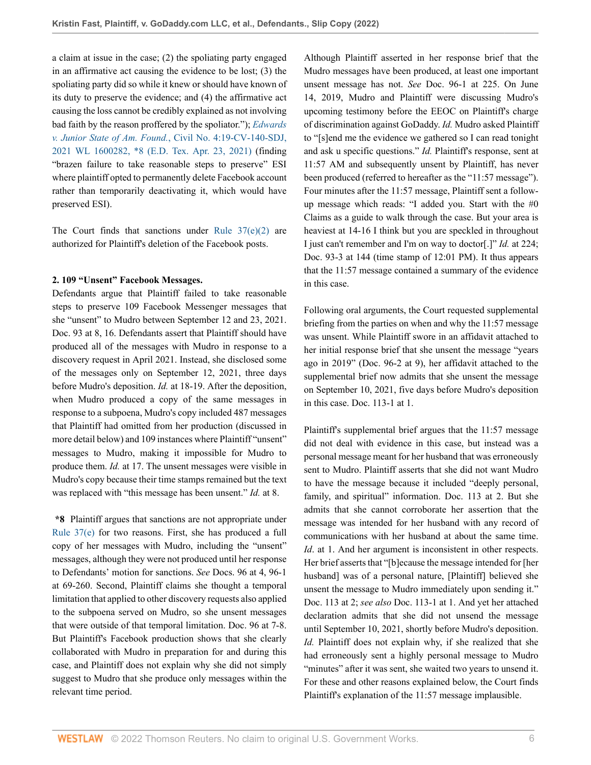a claim at issue in the case; (2) the spoliating party engaged in an affirmative act causing the evidence to be lost; (3) the spoliating party did so while it knew or should have known of its duty to preserve the evidence; and (4) the affirmative act causing the loss cannot be credibly explained as not involving bad faith by the reason proffered by the spoliator."); *[Edwards](http://www.westlaw.com/Link/Document/FullText?findType=Y&serNum=2053504595&pubNum=0000999&originatingDoc=I3998e690855c11ecaa4ed5e57242bc05&refType=RP&fi=co_pp_sp_999_8&originationContext=document&vr=3.0&rs=cblt1.0&transitionType=DocumentItem&contextData=(sc.History*oc.UserEnteredCitation)#co_pp_sp_999_8) v. Junior State of Am. Found.*[, Civil No. 4:19-CV-140-SDJ,](http://www.westlaw.com/Link/Document/FullText?findType=Y&serNum=2053504595&pubNum=0000999&originatingDoc=I3998e690855c11ecaa4ed5e57242bc05&refType=RP&fi=co_pp_sp_999_8&originationContext=document&vr=3.0&rs=cblt1.0&transitionType=DocumentItem&contextData=(sc.History*oc.UserEnteredCitation)#co_pp_sp_999_8) [2021 WL 1600282, \\*8 \(E.D. Tex. Apr. 23, 2021\)](http://www.westlaw.com/Link/Document/FullText?findType=Y&serNum=2053504595&pubNum=0000999&originatingDoc=I3998e690855c11ecaa4ed5e57242bc05&refType=RP&fi=co_pp_sp_999_8&originationContext=document&vr=3.0&rs=cblt1.0&transitionType=DocumentItem&contextData=(sc.History*oc.UserEnteredCitation)#co_pp_sp_999_8) (finding "brazen failure to take reasonable steps to preserve" ESI where plaintiff opted to permanently delete Facebook account rather than temporarily deactivating it, which would have preserved ESI).

The Court finds that sanctions under Rule  $37(e)(2)$  are authorized for Plaintiff's deletion of the Facebook posts.

## **2. 109 "Unsent" Facebook Messages.**

Defendants argue that Plaintiff failed to take reasonable steps to preserve 109 Facebook Messenger messages that she "unsent" to Mudro between September 12 and 23, 2021. Doc. 93 at 8, 16. Defendants assert that Plaintiff should have produced all of the messages with Mudro in response to a discovery request in April 2021. Instead, she disclosed some of the messages only on September 12, 2021, three days before Mudro's deposition. *Id.* at 18-19. After the deposition, when Mudro produced a copy of the same messages in response to a subpoena, Mudro's copy included 487 messages that Plaintiff had omitted from her production (discussed in more detail below) and 109 instances where Plaintiff "unsent" messages to Mudro, making it impossible for Mudro to produce them. *Id.* at 17. The unsent messages were visible in Mudro's copy because their time stamps remained but the text was replaced with "this message has been unsent." *Id.* at 8.

**\*8** Plaintiff argues that sanctions are not appropriate under [Rule 37\(e\)](http://www.westlaw.com/Link/Document/FullText?findType=L&pubNum=1000600&cite=USFRCPR37&originatingDoc=I3998e690855c11ecaa4ed5e57242bc05&refType=LQ&originationContext=document&vr=3.0&rs=cblt1.0&transitionType=DocumentItem&contextData=(sc.History*oc.UserEnteredCitation)) for two reasons. First, she has produced a full copy of her messages with Mudro, including the "unsent" messages, although they were not produced until her response to Defendants' motion for sanctions. *See* Docs. 96 at 4, 96-1 at 69-260. Second, Plaintiff claims she thought a temporal limitation that applied to other discovery requests also applied to the subpoena served on Mudro, so she unsent messages that were outside of that temporal limitation. Doc. 96 at 7-8. But Plaintiff's Facebook production shows that she clearly collaborated with Mudro in preparation for and during this case, and Plaintiff does not explain why she did not simply suggest to Mudro that she produce only messages within the relevant time period.

Although Plaintiff asserted in her response brief that the Mudro messages have been produced, at least one important unsent message has not. *See* Doc. 96-1 at 225. On June 14, 2019, Mudro and Plaintiff were discussing Mudro's upcoming testimony before the EEOC on Plaintiff's charge of discrimination against GoDaddy. *Id.* Mudro asked Plaintiff to "[s]end me the evidence we gathered so I can read tonight and ask u specific questions." *Id.* Plaintiff's response, sent at 11:57 AM and subsequently unsent by Plaintiff, has never been produced (referred to hereafter as the "11:57 message"). Four minutes after the 11:57 message, Plaintiff sent a followup message which reads: "I added you. Start with the #0 Claims as a guide to walk through the case. But your area is heaviest at 14-16 I think but you are speckled in throughout I just can't remember and I'm on way to doctor[.]" *Id.* at 224; Doc. 93-3 at 144 (time stamp of 12:01 PM). It thus appears that the 11:57 message contained a summary of the evidence in this case.

Following oral arguments, the Court requested supplemental briefing from the parties on when and why the 11:57 message was unsent. While Plaintiff swore in an affidavit attached to her initial response brief that she unsent the message "years ago in 2019" (Doc. 96-2 at 9), her affidavit attached to the supplemental brief now admits that she unsent the message on September 10, 2021, five days before Mudro's deposition in this case. Doc. 113-1 at 1.

Plaintiff's supplemental brief argues that the 11:57 message did not deal with evidence in this case, but instead was a personal message meant for her husband that was erroneously sent to Mudro. Plaintiff asserts that she did not want Mudro to have the message because it included "deeply personal, family, and spiritual" information. Doc. 113 at 2. But she admits that she cannot corroborate her assertion that the message was intended for her husband with any record of communications with her husband at about the same time. *Id.* at 1. And her argument is inconsistent in other respects. Her brief asserts that "[b]ecause the message intended for [her husband] was of a personal nature, [Plaintiff] believed she unsent the message to Mudro immediately upon sending it." Doc. 113 at 2; *see also* Doc. 113-1 at 1. And yet her attached declaration admits that she did not unsend the message until September 10, 2021, shortly before Mudro's deposition. *Id.* Plaintiff does not explain why, if she realized that she had erroneously sent a highly personal message to Mudro "minutes" after it was sent, she waited two years to unsend it. For these and other reasons explained below, the Court finds Plaintiff's explanation of the 11:57 message implausible.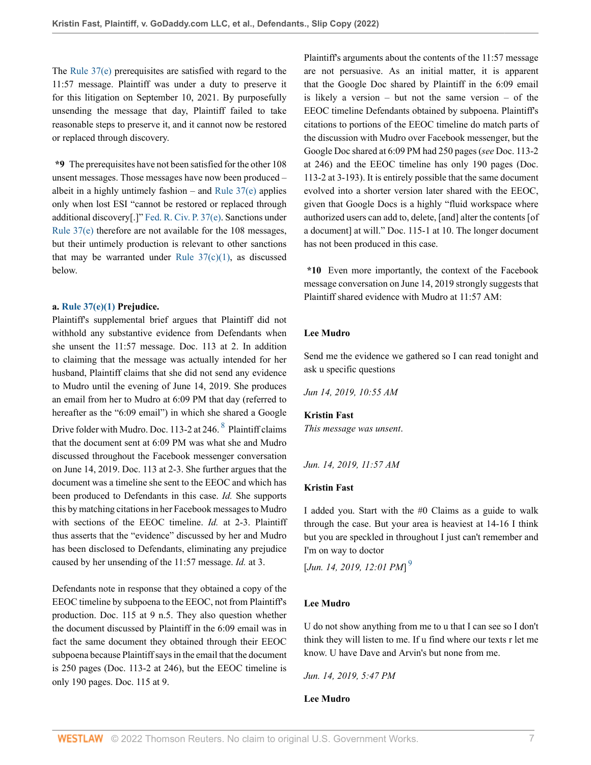The [Rule 37\(e\)](http://www.westlaw.com/Link/Document/FullText?findType=L&pubNum=1000600&cite=USFRCPR37&originatingDoc=I3998e690855c11ecaa4ed5e57242bc05&refType=LQ&originationContext=document&vr=3.0&rs=cblt1.0&transitionType=DocumentItem&contextData=(sc.History*oc.UserEnteredCitation)) prerequisites are satisfied with regard to the 11:57 message. Plaintiff was under a duty to preserve it for this litigation on September 10, 2021. By purposefully unsending the message that day, Plaintiff failed to take reasonable steps to preserve it, and it cannot now be restored or replaced through discovery.

**\*9** The prerequisites have not been satisfied for the other 108 unsent messages. Those messages have now been produced – albeit in a highly untimely fashion – and Rule  $37(e)$  applies only when lost ESI "cannot be restored or replaced through additional discovery[.]" [Fed. R. Civ. P. 37\(e\)](http://www.westlaw.com/Link/Document/FullText?findType=L&pubNum=1000600&cite=USFRCPR37&originatingDoc=I3998e690855c11ecaa4ed5e57242bc05&refType=LQ&originationContext=document&vr=3.0&rs=cblt1.0&transitionType=DocumentItem&contextData=(sc.History*oc.UserEnteredCitation)). Sanctions under [Rule 37\(e\)](http://www.westlaw.com/Link/Document/FullText?findType=L&pubNum=1000600&cite=USFRCPR37&originatingDoc=I3998e690855c11ecaa4ed5e57242bc05&refType=LQ&originationContext=document&vr=3.0&rs=cblt1.0&transitionType=DocumentItem&contextData=(sc.History*oc.UserEnteredCitation)) therefore are not available for the 108 messages, but their untimely production is relevant to other sanctions that may be warranted under Rule  $37(c)(1)$ , as discussed below.

### **a. [Rule 37\(e\)\(1\)](http://www.westlaw.com/Link/Document/FullText?findType=L&pubNum=1000600&cite=USFRCPR37&originatingDoc=I3998e690855c11ecaa4ed5e57242bc05&refType=LQ&originationContext=document&vr=3.0&rs=cblt1.0&transitionType=DocumentItem&contextData=(sc.History*oc.UserEnteredCitation)) Prejudice.**

Plaintiff's supplemental brief argues that Plaintiff did not withhold any substantive evidence from Defendants when she unsent the 11:57 message. Doc. 113 at 2. In addition to claiming that the message was actually intended for her husband, Plaintiff claims that she did not send any evidence to Mudro until the evening of June 14, 2019. She produces an email from her to Mudro at 6:09 PM that day (referred to hereafter as the "6:09 email") in which she shared a Google Drive folder with Mudro. Doc. 113-2 at 246.  $8$  Plaintiff claims that the document sent at 6:09 PM was what she and Mudro discussed throughout the Facebook messenger conversation on June 14, 2019. Doc. 113 at 2-3. She further argues that the document was a timeline she sent to the EEOC and which has been produced to Defendants in this case. *Id.* She supports this by matching citations in her Facebook messages to Mudro with sections of the EEOC timeline. *Id.* at 2-3. Plaintiff thus asserts that the "evidence" discussed by her and Mudro has been disclosed to Defendants, eliminating any prejudice caused by her unsending of the 11:57 message. *Id.* at 3.

Defendants note in response that they obtained a copy of the EEOC timeline by subpoena to the EEOC, not from Plaintiff's production. Doc. 115 at 9 n.5. They also question whether the document discussed by Plaintiff in the 6:09 email was in fact the same document they obtained through their EEOC subpoena because Plaintiff says in the email that the document is 250 pages (Doc. 113-2 at 246), but the EEOC timeline is only 190 pages. Doc. 115 at 9.

Plaintiff's arguments about the contents of the 11:57 message are not persuasive. As an initial matter, it is apparent that the Google Doc shared by Plaintiff in the 6:09 email is likely a version – but not the same version – of the EEOC timeline Defendants obtained by subpoena. Plaintiff's citations to portions of the EEOC timeline do match parts of the discussion with Mudro over Facebook messenger, but the Google Doc shared at 6:09 PM had 250 pages (*see* Doc. 113-2 at 246) and the EEOC timeline has only 190 pages (Doc. 113-2 at 3-193). It is entirely possible that the same document evolved into a shorter version later shared with the EEOC, given that Google Docs is a highly "fluid workspace where authorized users can add to, delete, [and] alter the contents [of a document] at will." Doc. 115-1 at 10. The longer document has not been produced in this case.

**\*10** Even more importantly, the context of the Facebook message conversation on June 14, 2019 strongly suggests that Plaintiff shared evidence with Mudro at 11:57 AM:

## **Lee Mudro**

Send me the evidence we gathered so I can read tonight and ask u specific questions

*Jun 14, 2019, 10:55 AM*

#### <span id="page-6-0"></span>**Kristin Fast**

*This message was unsent*.

### *Jun. 14, 2019, 11:57 AM*

## **Kristin Fast**

I added you. Start with the #0 Claims as a guide to walk through the case. But your area is heaviest at 14-16 I think but you are speckled in throughout I just can't remember and I'm on way to doctor

<span id="page-6-1"></span>[*Jun. 14, 2019, 12:01 PM*] [9](#page-19-2)

### **Lee Mudro**

U do not show anything from me to u that I can see so I don't think they will listen to me. If u find where our texts r let me know. U have Dave and Arvin's but none from me.

*Jun. 14, 2019, 5:47 PM*

### **Lee Mudro**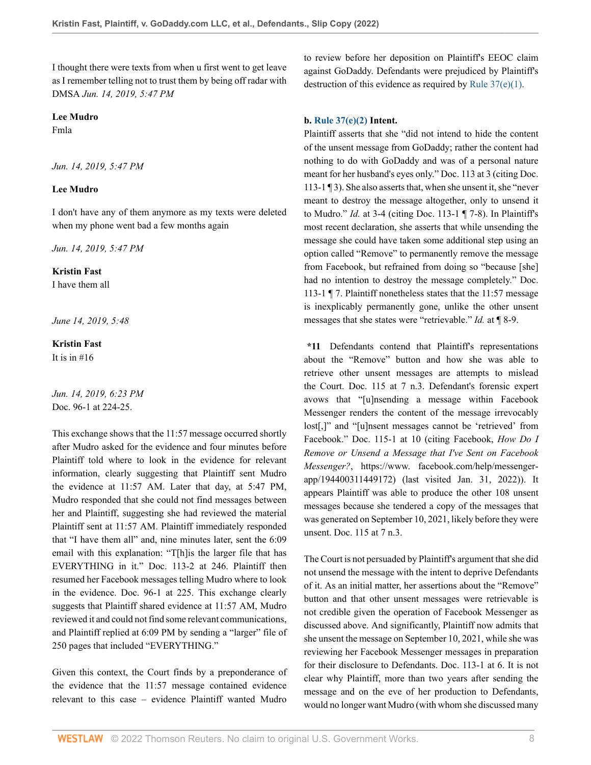I thought there were texts from when u first went to get leave as I remember telling not to trust them by being off radar with DMSA *Jun. 14, 2019, 5:47 PM*

**Lee Mudro**

Fmla

*Jun. 14, 2019, 5:47 PM*

## **Lee Mudro**

I don't have any of them anymore as my texts were deleted when my phone went bad a few months again

*Jun. 14, 2019, 5:47 PM*

## **Kristin Fast**

I have them all

*June 14, 2019, 5:48*

**Kristin Fast**

It is in  $#16$ 

*Jun. 14, 2019, 6:23 PM* Doc. 96-1 at 224-25.

This exchange shows that the 11:57 message occurred shortly after Mudro asked for the evidence and four minutes before Plaintiff told where to look in the evidence for relevant information, clearly suggesting that Plaintiff sent Mudro the evidence at 11:57 AM. Later that day, at 5:47 PM, Mudro responded that she could not find messages between her and Plaintiff, suggesting she had reviewed the material Plaintiff sent at 11:57 AM. Plaintiff immediately responded that "I have them all" and, nine minutes later, sent the 6:09 email with this explanation: "T[h]is the larger file that has EVERYTHING in it." Doc. 113-2 at 246. Plaintiff then resumed her Facebook messages telling Mudro where to look in the evidence. Doc. 96-1 at 225. This exchange clearly suggests that Plaintiff shared evidence at 11:57 AM, Mudro reviewed it and could not find some relevant communications, and Plaintiff replied at 6:09 PM by sending a "larger" file of 250 pages that included "EVERYTHING."

Given this context, the Court finds by a preponderance of the evidence that the 11:57 message contained evidence relevant to this case – evidence Plaintiff wanted Mudro to review before her deposition on Plaintiff's EEOC claim against GoDaddy. Defendants were prejudiced by Plaintiff's destruction of this evidence as required by [Rule 37\(e\)\(1\).](http://www.westlaw.com/Link/Document/FullText?findType=L&pubNum=1000600&cite=USFRCPR37&originatingDoc=I3998e690855c11ecaa4ed5e57242bc05&refType=LQ&originationContext=document&vr=3.0&rs=cblt1.0&transitionType=DocumentItem&contextData=(sc.History*oc.UserEnteredCitation))

## **b. [Rule 37\(e\)\(2\)](http://www.westlaw.com/Link/Document/FullText?findType=L&pubNum=1000600&cite=USFRCPR37&originatingDoc=I3998e690855c11ecaa4ed5e57242bc05&refType=LQ&originationContext=document&vr=3.0&rs=cblt1.0&transitionType=DocumentItem&contextData=(sc.History*oc.UserEnteredCitation)) Intent.**

Plaintiff asserts that she "did not intend to hide the content of the unsent message from GoDaddy; rather the content had nothing to do with GoDaddy and was of a personal nature meant for her husband's eyes only." Doc. 113 at 3 (citing Doc. 113-1 ¶ 3). She also asserts that, when she unsent it, she "never meant to destroy the message altogether, only to unsend it to Mudro." *Id.* at 3-4 (citing Doc. 113-1 ¶ 7-8). In Plaintiff's most recent declaration, she asserts that while unsending the message she could have taken some additional step using an option called "Remove" to permanently remove the message from Facebook, but refrained from doing so "because [she] had no intention to destroy the message completely." Doc. 113-1 ¶ 7. Plaintiff nonetheless states that the 11:57 message is inexplicably permanently gone, unlike the other unsent messages that she states were "retrievable." *Id.* at ¶ 8-9.

**\*11** Defendants contend that Plaintiff's representations about the "Remove" button and how she was able to retrieve other unsent messages are attempts to mislead the Court. Doc. 115 at 7 n.3. Defendant's forensic expert avows that "[u]nsending a message within Facebook Messenger renders the content of the message irrevocably lost[,]" and "[u]nsent messages cannot be 'retrieved' from Facebook." Doc. 115-1 at 10 (citing Facebook, *How Do I Remove or Unsend a Message that I've Sent on Facebook Messenger?*, https://www. facebook.com/help/messengerapp/194400311449172) (last visited Jan. 31, 2022)). It appears Plaintiff was able to produce the other 108 unsent messages because she tendered a copy of the messages that was generated on September 10, 2021, likely before they were unsent. Doc. 115 at 7 n.3.

The Court is not persuaded by Plaintiff's argument that she did not unsend the message with the intent to deprive Defendants of it. As an initial matter, her assertions about the "Remove" button and that other unsent messages were retrievable is not credible given the operation of Facebook Messenger as discussed above. And significantly, Plaintiff now admits that she unsent the message on September 10, 2021, while she was reviewing her Facebook Messenger messages in preparation for their disclosure to Defendants. Doc. 113-1 at 6. It is not clear why Plaintiff, more than two years after sending the message and on the eve of her production to Defendants, would no longer want Mudro (with whom she discussed many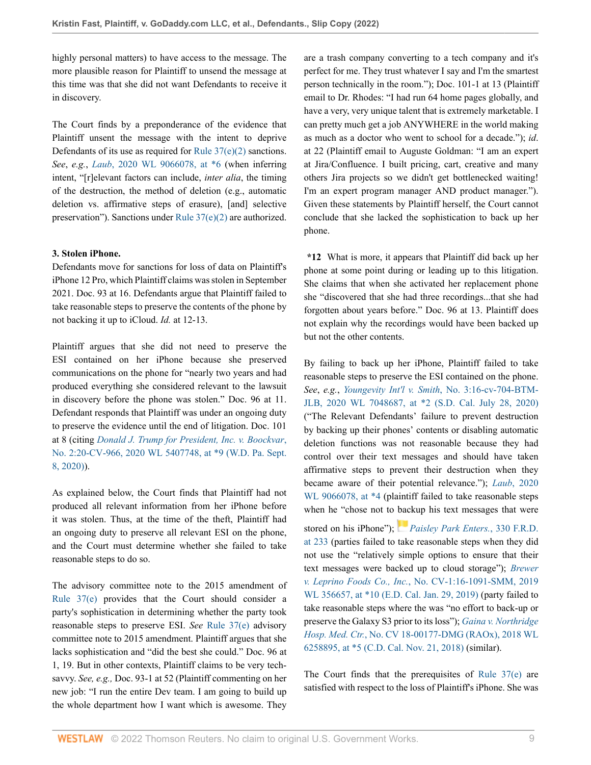highly personal matters) to have access to the message. The more plausible reason for Plaintiff to unsend the message at this time was that she did not want Defendants to receive it in discovery.

The Court finds by a preponderance of the evidence that Plaintiff unsent the message with the intent to deprive Defendants of its use as required for [Rule 37\(e\)\(2\)](http://www.westlaw.com/Link/Document/FullText?findType=L&pubNum=1000600&cite=USFRCPR37&originatingDoc=I3998e690855c11ecaa4ed5e57242bc05&refType=LQ&originationContext=document&vr=3.0&rs=cblt1.0&transitionType=DocumentItem&contextData=(sc.History*oc.UserEnteredCitation)) sanctions. *See*, *e.g.*, *Laub*[, 2020 WL 9066078, at \\*6](http://www.westlaw.com/Link/Document/FullText?findType=Y&serNum=2053367267&pubNum=0000999&originatingDoc=I3998e690855c11ecaa4ed5e57242bc05&refType=RP&fi=co_pp_sp_999_6&originationContext=document&vr=3.0&rs=cblt1.0&transitionType=DocumentItem&contextData=(sc.History*oc.UserEnteredCitation)#co_pp_sp_999_6) (when inferring intent, "[r]elevant factors can include, *inter alia*, the timing of the destruction, the method of deletion (e.g., automatic deletion vs. affirmative steps of erasure), [and] selective preservation"). Sanctions under [Rule 37\(e\)\(2\)](http://www.westlaw.com/Link/Document/FullText?findType=L&pubNum=1000600&cite=USFRCPR37&originatingDoc=I3998e690855c11ecaa4ed5e57242bc05&refType=LQ&originationContext=document&vr=3.0&rs=cblt1.0&transitionType=DocumentItem&contextData=(sc.History*oc.UserEnteredCitation)) are authorized.

## **3. Stolen iPhone.**

Defendants move for sanctions for loss of data on Plaintiff's iPhone 12 Pro, which Plaintiff claims was stolen in September 2021. Doc. 93 at 16. Defendants argue that Plaintiff failed to take reasonable steps to preserve the contents of the phone by not backing it up to iCloud. *Id.* at 12-13.

Plaintiff argues that she did not need to preserve the ESI contained on her iPhone because she preserved communications on the phone for "nearly two years and had produced everything she considered relevant to the lawsuit in discovery before the phone was stolen." Doc. 96 at 11. Defendant responds that Plaintiff was under an ongoing duty to preserve the evidence until the end of litigation. Doc. 101 at 8 (citing *[Donald J. Trump for President, Inc. v. Boockvar](http://www.westlaw.com/Link/Document/FullText?findType=Y&serNum=2051810539&pubNum=0000999&originatingDoc=I3998e690855c11ecaa4ed5e57242bc05&refType=RP&fi=co_pp_sp_999_9&originationContext=document&vr=3.0&rs=cblt1.0&transitionType=DocumentItem&contextData=(sc.History*oc.UserEnteredCitation)#co_pp_sp_999_9)*, [No. 2:20-CV-966, 2020 WL 5407748, at \\*9 \(W.D. Pa. Sept.](http://www.westlaw.com/Link/Document/FullText?findType=Y&serNum=2051810539&pubNum=0000999&originatingDoc=I3998e690855c11ecaa4ed5e57242bc05&refType=RP&fi=co_pp_sp_999_9&originationContext=document&vr=3.0&rs=cblt1.0&transitionType=DocumentItem&contextData=(sc.History*oc.UserEnteredCitation)#co_pp_sp_999_9) [8, 2020\)](http://www.westlaw.com/Link/Document/FullText?findType=Y&serNum=2051810539&pubNum=0000999&originatingDoc=I3998e690855c11ecaa4ed5e57242bc05&refType=RP&fi=co_pp_sp_999_9&originationContext=document&vr=3.0&rs=cblt1.0&transitionType=DocumentItem&contextData=(sc.History*oc.UserEnteredCitation)#co_pp_sp_999_9)).

As explained below, the Court finds that Plaintiff had not produced all relevant information from her iPhone before it was stolen. Thus, at the time of the theft, Plaintiff had an ongoing duty to preserve all relevant ESI on the phone, and the Court must determine whether she failed to take reasonable steps to do so.

The advisory committee note to the 2015 amendment of [Rule 37\(e\)](http://www.westlaw.com/Link/Document/FullText?findType=L&pubNum=1000600&cite=USFRCPR37&originatingDoc=I3998e690855c11ecaa4ed5e57242bc05&refType=LQ&originationContext=document&vr=3.0&rs=cblt1.0&transitionType=DocumentItem&contextData=(sc.History*oc.UserEnteredCitation)) provides that the Court should consider a party's sophistication in determining whether the party took reasonable steps to preserve ESI. *See* [Rule 37\(e\)](http://www.westlaw.com/Link/Document/FullText?findType=L&pubNum=1000600&cite=USFRCPR37&originatingDoc=I3998e690855c11ecaa4ed5e57242bc05&refType=LQ&originationContext=document&vr=3.0&rs=cblt1.0&transitionType=DocumentItem&contextData=(sc.History*oc.UserEnteredCitation)) advisory committee note to 2015 amendment. Plaintiff argues that she lacks sophistication and "did the best she could." Doc. 96 at 1, 19. But in other contexts, Plaintiff claims to be very techsavvy. *See, e.g.,* Doc. 93-1 at 52 (Plaintiff commenting on her new job: "I run the entire Dev team. I am going to build up the whole department how I want which is awesome. They are a trash company converting to a tech company and it's perfect for me. They trust whatever I say and I'm the smartest person technically in the room."); Doc. 101-1 at 13 (Plaintiff email to Dr. Rhodes: "I had run 64 home pages globally, and have a very, very unique talent that is extremely marketable. I can pretty much get a job ANYWHERE in the world making as much as a doctor who went to school for a decade."); *id*. at 22 (Plaintiff email to Auguste Goldman: "I am an expert at Jira/Confluence. I built pricing, cart, creative and many others Jira projects so we didn't get bottlenecked waiting! I'm an expert program manager AND product manager."). Given these statements by Plaintiff herself, the Court cannot conclude that she lacked the sophistication to back up her phone.

**\*12** What is more, it appears that Plaintiff did back up her phone at some point during or leading up to this litigation. She claims that when she activated her replacement phone she "discovered that she had three recordings...that she had forgotten about years before." Doc. 96 at 13. Plaintiff does not explain why the recordings would have been backed up but not the other contents.

By failing to back up her iPhone, Plaintiff failed to take reasonable steps to preserve the ESI contained on the phone. *See*, *e.g.*, *Youngevity Int'l v. Smith*[, No. 3:16-cv-704-BTM-](http://www.westlaw.com/Link/Document/FullText?findType=Y&serNum=2052480959&pubNum=0000999&originatingDoc=I3998e690855c11ecaa4ed5e57242bc05&refType=RP&fi=co_pp_sp_999_2&originationContext=document&vr=3.0&rs=cblt1.0&transitionType=DocumentItem&contextData=(sc.History*oc.UserEnteredCitation)#co_pp_sp_999_2)[JLB, 2020 WL 7048687, at \\*2 \(S.D. Cal. July 28, 2020\)](http://www.westlaw.com/Link/Document/FullText?findType=Y&serNum=2052480959&pubNum=0000999&originatingDoc=I3998e690855c11ecaa4ed5e57242bc05&refType=RP&fi=co_pp_sp_999_2&originationContext=document&vr=3.0&rs=cblt1.0&transitionType=DocumentItem&contextData=(sc.History*oc.UserEnteredCitation)#co_pp_sp_999_2) ("The Relevant Defendants' failure to prevent destruction by backing up their phones' contents or disabling automatic deletion functions was not reasonable because they had control over their text messages and should have taken affirmative steps to prevent their destruction when they became aware of their potential relevance."); *Laub*[, 2020](http://www.westlaw.com/Link/Document/FullText?findType=Y&serNum=2053367267&pubNum=0000999&originatingDoc=I3998e690855c11ecaa4ed5e57242bc05&refType=RP&fi=co_pp_sp_999_4&originationContext=document&vr=3.0&rs=cblt1.0&transitionType=DocumentItem&contextData=(sc.History*oc.UserEnteredCitation)#co_pp_sp_999_4) WL 9066078, at  $*4$  (plaintiff failed to take reasonable steps when he "chose not to [bac](https://1.next.westlaw.com/Link/RelatedInformation/Flag?documentGuid=I8ddcfdf03fbd11e987fd8441446aa305&transitionType=InlineKeyCiteFlags&originationContext=docHeaderFlag&Rank=0&ppcid=7844255315f244aca42bae920e3400ec&contextData=(sc.History*oc.UserEnteredCitation) )kup his text messages that were stored on his iPhone"); *[Paisley Park Enters.](http://www.westlaw.com/Link/Document/FullText?findType=Y&serNum=2047689013&pubNum=0000344&originatingDoc=I3998e690855c11ecaa4ed5e57242bc05&refType=RP&fi=co_pp_sp_344_233&originationContext=document&vr=3.0&rs=cblt1.0&transitionType=DocumentItem&contextData=(sc.History*oc.UserEnteredCitation)#co_pp_sp_344_233)*, 330 F.R.D. [at 233](http://www.westlaw.com/Link/Document/FullText?findType=Y&serNum=2047689013&pubNum=0000344&originatingDoc=I3998e690855c11ecaa4ed5e57242bc05&refType=RP&fi=co_pp_sp_344_233&originationContext=document&vr=3.0&rs=cblt1.0&transitionType=DocumentItem&contextData=(sc.History*oc.UserEnteredCitation)#co_pp_sp_344_233) (parties failed to take reasonable steps when they did not use the "relatively simple options to ensure that their text messages were backed up to cloud storage"); *[Brewer](http://www.westlaw.com/Link/Document/FullText?findType=Y&serNum=2047424075&pubNum=0000999&originatingDoc=I3998e690855c11ecaa4ed5e57242bc05&refType=RP&fi=co_pp_sp_999_10&originationContext=document&vr=3.0&rs=cblt1.0&transitionType=DocumentItem&contextData=(sc.History*oc.UserEnteredCitation)#co_pp_sp_999_10) v. Leprino Foods Co., Inc.*[, No. CV-1:16-1091-SMM, 2019](http://www.westlaw.com/Link/Document/FullText?findType=Y&serNum=2047424075&pubNum=0000999&originatingDoc=I3998e690855c11ecaa4ed5e57242bc05&refType=RP&fi=co_pp_sp_999_10&originationContext=document&vr=3.0&rs=cblt1.0&transitionType=DocumentItem&contextData=(sc.History*oc.UserEnteredCitation)#co_pp_sp_999_10) [WL 356657, at \\*10 \(E.D. Cal. Jan. 29, 2019\)](http://www.westlaw.com/Link/Document/FullText?findType=Y&serNum=2047424075&pubNum=0000999&originatingDoc=I3998e690855c11ecaa4ed5e57242bc05&refType=RP&fi=co_pp_sp_999_10&originationContext=document&vr=3.0&rs=cblt1.0&transitionType=DocumentItem&contextData=(sc.History*oc.UserEnteredCitation)#co_pp_sp_999_10) (party failed to take reasonable steps where the was "no effort to back-up or preserve the Galaxy S3 prior to its loss"); *[Gaina v. Northridge](http://www.westlaw.com/Link/Document/FullText?findType=Y&serNum=2046145085&pubNum=0000999&originatingDoc=I3998e690855c11ecaa4ed5e57242bc05&refType=RP&fi=co_pp_sp_999_5&originationContext=document&vr=3.0&rs=cblt1.0&transitionType=DocumentItem&contextData=(sc.History*oc.UserEnteredCitation)#co_pp_sp_999_5) Hosp. Med. Ctr.*[, No. CV 18-00177-DMG \(RAOx\), 2018 WL](http://www.westlaw.com/Link/Document/FullText?findType=Y&serNum=2046145085&pubNum=0000999&originatingDoc=I3998e690855c11ecaa4ed5e57242bc05&refType=RP&fi=co_pp_sp_999_5&originationContext=document&vr=3.0&rs=cblt1.0&transitionType=DocumentItem&contextData=(sc.History*oc.UserEnteredCitation)#co_pp_sp_999_5) [6258895, at \\*5 \(C.D. Cal. Nov. 21, 2018\)](http://www.westlaw.com/Link/Document/FullText?findType=Y&serNum=2046145085&pubNum=0000999&originatingDoc=I3998e690855c11ecaa4ed5e57242bc05&refType=RP&fi=co_pp_sp_999_5&originationContext=document&vr=3.0&rs=cblt1.0&transitionType=DocumentItem&contextData=(sc.History*oc.UserEnteredCitation)#co_pp_sp_999_5) (similar).

The Court finds that the prerequisites of [Rule 37\(e\)](http://www.westlaw.com/Link/Document/FullText?findType=L&pubNum=1000600&cite=USFRCPR37&originatingDoc=I3998e690855c11ecaa4ed5e57242bc05&refType=LQ&originationContext=document&vr=3.0&rs=cblt1.0&transitionType=DocumentItem&contextData=(sc.History*oc.UserEnteredCitation)) are satisfied with respect to the loss of Plaintiff's iPhone. She was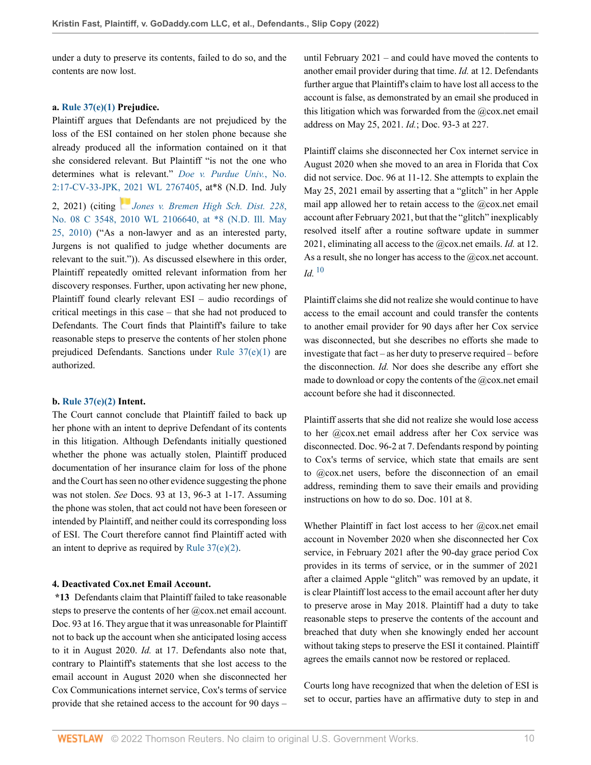under a duty to preserve its contents, failed to do so, and the contents are now lost.

## **a. [Rule 37\(e\)\(1\)](http://www.westlaw.com/Link/Document/FullText?findType=L&pubNum=1000600&cite=USFRCPR37&originatingDoc=I3998e690855c11ecaa4ed5e57242bc05&refType=LQ&originationContext=document&vr=3.0&rs=cblt1.0&transitionType=DocumentItem&contextData=(sc.History*oc.UserEnteredCitation)) Prejudice.**

Plaintiff argues that Defendants are not prejudiced by the loss of the ESI contained on her stolen phone because she already produced all the information contained on it that she considered relevant. But Plaintiff "is not the one who determines what is relevant." *[Doe v. Purdue Univ.](http://www.westlaw.com/Link/Document/FullText?findType=Y&serNum=2053941669&pubNum=0000999&originatingDoc=I3998e690855c11ecaa4ed5e57242bc05&refType=RP&originationContext=document&vr=3.0&rs=cblt1.0&transitionType=DocumentItem&contextData=(sc.History*oc.UserEnteredCitation))*, No. [2:17-CV-33-JPK, 2021 WL 2767405,](http://www.westlaw.com/Link/Document/FullText?findType=Y&serNum=2053941669&pubNum=0000999&originatingDoc=I3998e690855c11ecaa4ed5e57242bc05&refType=RP&originationContext=document&vr=3.0&rs=cblt1.0&transitionType=DocumentItem&contextData=(sc.History*oc.UserEnteredCitation)) at\*8 (N.D. Ind. July 2, 2021) (citing *[Jones v. Bremen High Sch. Dist. 228](http://www.westlaw.com/Link/Document/FullText?findType=Y&serNum=2022159807&pubNum=0000999&originatingDoc=I3998e690855c11ecaa4ed5e57242bc05&refType=RP&fi=co_pp_sp_999_8&originationContext=document&vr=3.0&rs=cblt1.0&transitionType=DocumentItem&contextData=(sc.History*oc.UserEnteredCitation)#co_pp_sp_999_8)*, [No. 08 C 3548, 2010 WL 2106640, at \\*8 \(N.D. Ill. May](http://www.westlaw.com/Link/Document/FullText?findType=Y&serNum=2022159807&pubNum=0000999&originatingDoc=I3998e690855c11ecaa4ed5e57242bc05&refType=RP&fi=co_pp_sp_999_8&originationContext=document&vr=3.0&rs=cblt1.0&transitionType=DocumentItem&contextData=(sc.History*oc.UserEnteredCitation)#co_pp_sp_999_8) [25, 2010\)](http://www.westlaw.com/Link/Document/FullText?findType=Y&serNum=2022159807&pubNum=0000999&originatingDoc=I3998e690855c11ecaa4ed5e57242bc05&refType=RP&fi=co_pp_sp_999_8&originationContext=document&vr=3.0&rs=cblt1.0&transitionType=DocumentItem&contextData=(sc.History*oc.UserEnteredCitation)#co_pp_sp_999_8) ("As a non-lawyer and as an interested party, Jurgens is not qualified to judge whether documents are relevant to the suit.")). As discussed elsewhere in this order, Plaintiff repeatedly omitted relevant information from her discovery responses. Further, upon activating her new phone, Plaintiff found clearly relevant ESI – audio recordings of critical meetings in this case – that she had not produced to Defendants. The Court finds that Plaintiff's failure to take reasonable steps to preserve the contents of her stolen phone prejudiced Defendants. Sanctions under [Rule 37\(e\)\(1\)](http://www.westlaw.com/Link/Document/FullText?findType=L&pubNum=1000600&cite=USFRCPR37&originatingDoc=I3998e690855c11ecaa4ed5e57242bc05&refType=LQ&originationContext=document&vr=3.0&rs=cblt1.0&transitionType=DocumentItem&contextData=(sc.History*oc.UserEnteredCitation)) are authorized.

#### **b. [Rule 37\(e\)\(2\)](http://www.westlaw.com/Link/Document/FullText?findType=L&pubNum=1000600&cite=USFRCPR37&originatingDoc=I3998e690855c11ecaa4ed5e57242bc05&refType=LQ&originationContext=document&vr=3.0&rs=cblt1.0&transitionType=DocumentItem&contextData=(sc.History*oc.UserEnteredCitation)) Intent.**

The Court cannot conclude that Plaintiff failed to back up her phone with an intent to deprive Defendant of its contents in this litigation. Although Defendants initially questioned whether the phone was actually stolen, Plaintiff produced documentation of her insurance claim for loss of the phone and the Court has seen no other evidence suggesting the phone was not stolen. *See* Docs. 93 at 13, 96-3 at 1-17. Assuming the phone was stolen, that act could not have been foreseen or intended by Plaintiff, and neither could its corresponding loss of ESI. The Court therefore cannot find Plaintiff acted with an intent to deprive as required by Rule  $37(e)(2)$ .

## **4. Deactivated Cox.net Email Account.**

**\*13** Defendants claim that Plaintiff failed to take reasonable steps to preserve the contents of her @cox.net email account. Doc. 93 at 16. They argue that it was unreasonable for Plaintiff not to back up the account when she anticipated losing access to it in August 2020. *Id.* at 17. Defendants also note that, contrary to Plaintiff's statements that she lost access to the email account in August 2020 when she disconnected her Cox Communications internet service, Cox's terms of service provide that she retained access to the account for 90 days –

until February 2021 – and could have moved the contents to another email provider during that time. *Id.* at 12. Defendants further argue that Plaintiff's claim to have lost all access to the account is false, as demonstrated by an email she produced in this litigation which was forwarded from the  $@$ cox.net email address on May 25, 2021. *Id.*; Doc. 93-3 at 227.

Plaintiff claims she disconnected her Cox internet service in August 2020 when she moved to an area in Florida that Cox did not service. Doc. 96 at 11-12. She attempts to explain the May 25, 2021 email by asserting that a "glitch" in her Apple mail app allowed her to retain access to the  $@{\text{cox.net}}$  email account after February 2021, but that the "glitch" inexplicably resolved itself after a routine software update in summer 2021, eliminating all access to the @cox.net emails. *Id.* at 12. As a result, she no longer has access to the @cox.net account.  $Id$ <sup>[10](#page-19-3)</sup>

<span id="page-9-0"></span>Plaintiff claims she did not realize she would continue to have access to the email account and could transfer the contents to another email provider for 90 days after her Cox service was disconnected, but she describes no efforts she made to investigate that fact – as her duty to preserve required – before the disconnection. *Id.* Nor does she describe any effort she made to download or copy the contents of the @cox.net email account before she had it disconnected.

Plaintiff asserts that she did not realize she would lose access to her @cox.net email address after her Cox service was disconnected. Doc. 96-2 at 7. Defendants respond by pointing to Cox's terms of service, which state that emails are sent to @cox.net users, before the disconnection of an email address, reminding them to save their emails and providing instructions on how to do so. Doc. 101 at 8.

Whether Plaintiff in fact lost access to her  $@cos$ .net email account in November 2020 when she disconnected her Cox service, in February 2021 after the 90-day grace period Cox provides in its terms of service, or in the summer of 2021 after a claimed Apple "glitch" was removed by an update, it is clear Plaintiff lost access to the email account after her duty to preserve arose in May 2018. Plaintiff had a duty to take reasonable steps to preserve the contents of the account and breached that duty when she knowingly ended her account without taking steps to preserve the ESI it contained. Plaintiff agrees the emails cannot now be restored or replaced.

Courts long have recognized that when the deletion of ESI is set to occur, parties have an affirmative duty to step in and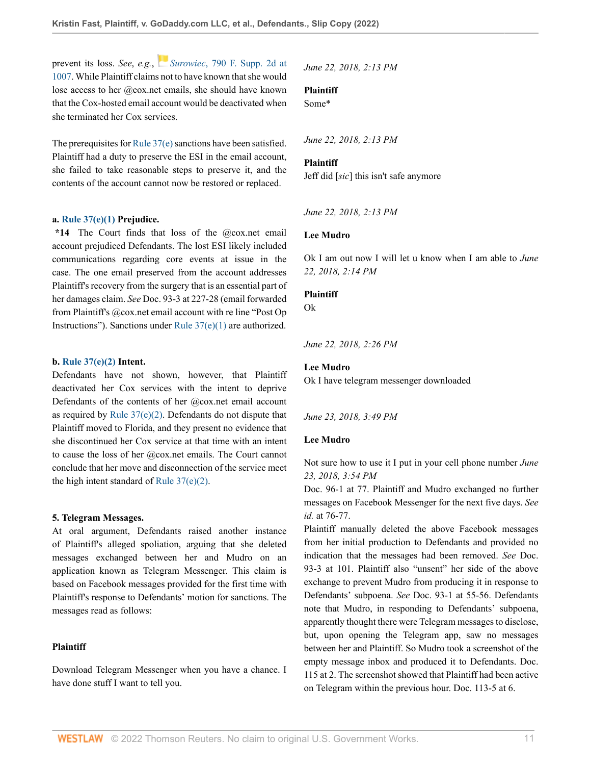prevent its loss. *See*, *e.g.*, *Surowiec*[, 790 F. Supp. 2d at](http://www.westlaw.com/Link/Document/FullText?findType=Y&serNum=2025228079&pubNum=0004637&originatingDoc=I3998e690855c11ecaa4ed5e57242bc05&refType=RP&fi=co_pp_sp_4637_1007&originationContext=document&vr=3.0&rs=cblt1.0&transitionType=DocumentItem&contextData=(sc.History*oc.UserEnteredCitation)#co_pp_sp_4637_1007) [1007](http://www.westlaw.com/Link/Document/FullText?findType=Y&serNum=2025228079&pubNum=0004637&originatingDoc=I3998e690855c11ecaa4ed5e57242bc05&refType=RP&fi=co_pp_sp_4637_1007&originationContext=document&vr=3.0&rs=cblt1.0&transitionType=DocumentItem&contextData=(sc.History*oc.UserEnteredCitation)#co_pp_sp_4637_1007). While Plaintiff claims not to have known that she would lose access to her @cox.net emails, she should have known that the Cox-hosted email account would be deactivated when she terminated her Cox services.

The prerequisites for [Rule 37\(e\)](http://www.westlaw.com/Link/Document/FullText?findType=L&pubNum=1000600&cite=USFRCPR37&originatingDoc=I3998e690855c11ecaa4ed5e57242bc05&refType=LQ&originationContext=document&vr=3.0&rs=cblt1.0&transitionType=DocumentItem&contextData=(sc.History*oc.UserEnteredCitation)) sanctions have been satisfied. Plaintiff had a duty to preserve the ESI in the email account, she failed to take reasonable steps to preserve it, and the contents of the account cannot now be restored or replaced.

### **a. [Rule 37\(e\)\(1\)](http://www.westlaw.com/Link/Document/FullText?findType=L&pubNum=1000600&cite=USFRCPR37&originatingDoc=I3998e690855c11ecaa4ed5e57242bc05&refType=LQ&originationContext=document&vr=3.0&rs=cblt1.0&transitionType=DocumentItem&contextData=(sc.History*oc.UserEnteredCitation)) Prejudice.**

**\*14** The Court finds that loss of the @cox.net email account prejudiced Defendants. The lost ESI likely included communications regarding core events at issue in the case. The one email preserved from the account addresses Plaintiff's recovery from the surgery that is an essential part of her damages claim. *See* Doc. 93-3 at 227-28 (email forwarded from Plaintiff's @cox.net email account with re line "Post Op Instructions"). Sanctions under [Rule 37\(e\)\(1\)](http://www.westlaw.com/Link/Document/FullText?findType=L&pubNum=1000600&cite=USFRCPR37&originatingDoc=I3998e690855c11ecaa4ed5e57242bc05&refType=LQ&originationContext=document&vr=3.0&rs=cblt1.0&transitionType=DocumentItem&contextData=(sc.History*oc.UserEnteredCitation)) are authorized.

### **b. [Rule 37\(e\)\(2\)](http://www.westlaw.com/Link/Document/FullText?findType=L&pubNum=1000600&cite=USFRCPR37&originatingDoc=I3998e690855c11ecaa4ed5e57242bc05&refType=LQ&originationContext=document&vr=3.0&rs=cblt1.0&transitionType=DocumentItem&contextData=(sc.History*oc.UserEnteredCitation)) Intent.**

Defendants have not shown, however, that Plaintiff deactivated her Cox services with the intent to deprive Defendants of the contents of her @cox.net email account as required by Rule  $37(e)(2)$ . Defendants do not dispute that Plaintiff moved to Florida, and they present no evidence that she discontinued her Cox service at that time with an intent to cause the loss of her @cox.net emails. The Court cannot conclude that her move and disconnection of the service meet the high intent standard of [Rule 37\(e\)\(2\).](http://www.westlaw.com/Link/Document/FullText?findType=L&pubNum=1000600&cite=USFRCPR37&originatingDoc=I3998e690855c11ecaa4ed5e57242bc05&refType=LQ&originationContext=document&vr=3.0&rs=cblt1.0&transitionType=DocumentItem&contextData=(sc.History*oc.UserEnteredCitation))

#### **5. Telegram Messages.**

At oral argument, Defendants raised another instance of Plaintiff's alleged spoliation, arguing that she deleted messages exchanged between her and Mudro on an application known as Telegram Messenger. This claim is based on Facebook messages provided for the first time with Plaintiff's response to Defendants' motion for sanctions. The messages read as follows:

## **Plaintiff**

Download Telegram Messenger when you have a chance. I have done stuff I want to tell you.

*June 22, 2018, 2:13 PM*

## **Plaintiff**

Some\*

*June 22, 2018, 2:13 PM*

#### **Plaintiff**

Jeff did [*sic*] this isn't safe anymore

*June 22, 2018, 2:13 PM*

## **Lee Mudro**

Ok I am out now I will let u know when I am able to *June 22, 2018, 2:14 PM*

## **Plaintiff**

Ok

*June 22, 2018, 2:26 PM*

### **Lee Mudro**

Ok I have telegram messenger downloaded

*June 23, 2018, 3:49 PM*

## **Lee Mudro**

Not sure how to use it I put in your cell phone number *June 23, 2018, 3:54 PM*

Doc. 96-1 at 77. Plaintiff and Mudro exchanged no further messages on Facebook Messenger for the next five days. *See id.* at 76-77.

Plaintiff manually deleted the above Facebook messages from her initial production to Defendants and provided no indication that the messages had been removed. *See* Doc. 93-3 at 101. Plaintiff also "unsent" her side of the above exchange to prevent Mudro from producing it in response to Defendants' subpoena. *See* Doc. 93-1 at 55-56. Defendants note that Mudro, in responding to Defendants' subpoena, apparently thought there were Telegram messages to disclose, but, upon opening the Telegram app, saw no messages between her and Plaintiff. So Mudro took a screenshot of the empty message inbox and produced it to Defendants. Doc. 115 at 2. The screenshot showed that Plaintiff had been active on Telegram within the previous hour. Doc. 113-5 at 6.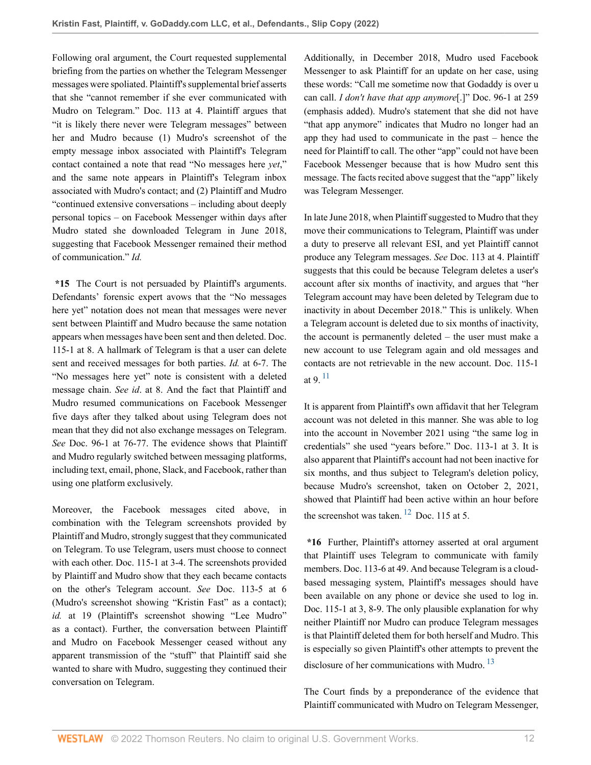Following oral argument, the Court requested supplemental briefing from the parties on whether the Telegram Messenger messages were spoliated. Plaintiff's supplemental brief asserts that she "cannot remember if she ever communicated with Mudro on Telegram." Doc. 113 at 4. Plaintiff argues that "it is likely there never were Telegram messages" between her and Mudro because (1) Mudro's screenshot of the empty message inbox associated with Plaintiff's Telegram contact contained a note that read "No messages here *yet*," and the same note appears in Plaintiff's Telegram inbox associated with Mudro's contact; and (2) Plaintiff and Mudro "continued extensive conversations – including about deeply personal topics – on Facebook Messenger within days after Mudro stated she downloaded Telegram in June 2018, suggesting that Facebook Messenger remained their method of communication." *Id.*

**\*15** The Court is not persuaded by Plaintiff's arguments. Defendants' forensic expert avows that the "No messages here yet" notation does not mean that messages were never sent between Plaintiff and Mudro because the same notation appears when messages have been sent and then deleted. Doc. 115-1 at 8. A hallmark of Telegram is that a user can delete sent and received messages for both parties. *Id.* at 6-7. The "No messages here yet" note is consistent with a deleted message chain. *See id*. at 8. And the fact that Plaintiff and Mudro resumed communications on Facebook Messenger five days after they talked about using Telegram does not mean that they did not also exchange messages on Telegram. *See* Doc. 96-1 at 76-77. The evidence shows that Plaintiff and Mudro regularly switched between messaging platforms, including text, email, phone, Slack, and Facebook, rather than using one platform exclusively.

Moreover, the Facebook messages cited above, in combination with the Telegram screenshots provided by Plaintiff and Mudro, strongly suggest that they communicated on Telegram. To use Telegram, users must choose to connect with each other. Doc. 115-1 at 3-4. The screenshots provided by Plaintiff and Mudro show that they each became contacts on the other's Telegram account. *See* Doc. 113-5 at 6 (Mudro's screenshot showing "Kristin Fast" as a contact); id. at 19 (Plaintiff's screenshot showing "Lee Mudro" as a contact). Further, the conversation between Plaintiff and Mudro on Facebook Messenger ceased without any apparent transmission of the "stuff" that Plaintiff said she wanted to share with Mudro, suggesting they continued their conversation on Telegram.

Additionally, in December 2018, Mudro used Facebook Messenger to ask Plaintiff for an update on her case, using these words: "Call me sometime now that Godaddy is over u can call. *I don't have that app anymore*[.]" Doc. 96-1 at 259 (emphasis added). Mudro's statement that she did not have "that app anymore" indicates that Mudro no longer had an app they had used to communicate in the past – hence the need for Plaintiff to call. The other "app" could not have been Facebook Messenger because that is how Mudro sent this message. The facts recited above suggest that the "app" likely was Telegram Messenger.

In late June 2018, when Plaintiff suggested to Mudro that they move their communications to Telegram, Plaintiff was under a duty to preserve all relevant ESI, and yet Plaintiff cannot produce any Telegram messages. *See* Doc. 113 at 4. Plaintiff suggests that this could be because Telegram deletes a user's account after six months of inactivity, and argues that "her Telegram account may have been deleted by Telegram due to inactivity in about December 2018." This is unlikely. When a Telegram account is deleted due to six months of inactivity, the account is permanently deleted – the user must make a new account to use Telegram again and old messages and contacts are not retrievable in the new account. Doc. 115-1 at 9. [11](#page-19-4)

<span id="page-11-0"></span>It is apparent from Plaintiff's own affidavit that her Telegram account was not deleted in this manner. She was able to log into the account in November 2021 using "the same log in credentials" she used "years before." Doc. 113-1 at 3. It is also apparent that Plaintiff's account had not been inactive for six months, and thus subject to Telegram's deletion policy, because Mudro's screenshot, taken on October 2, 2021, showed that Plaintiff had been active within an hour before the screenshot was taken.  $12$  Doc. 115 at 5.

<span id="page-11-1"></span>**\*16** Further, Plaintiff's attorney asserted at oral argument that Plaintiff uses Telegram to communicate with family members. Doc. 113-6 at 49. And because Telegram is a cloudbased messaging system, Plaintiff's messages should have been available on any phone or device she used to log in. Doc. 115-1 at 3, 8-9. The only plausible explanation for why neither Plaintiff nor Mudro can produce Telegram messages is that Plaintiff deleted them for both herself and Mudro. This is especially so given Plaintiff's other attempts to prevent the disclosure of her communications with Mudro.<sup>[13](#page-19-6)</sup>

<span id="page-11-2"></span>The Court finds by a preponderance of the evidence that Plaintiff communicated with Mudro on Telegram Messenger,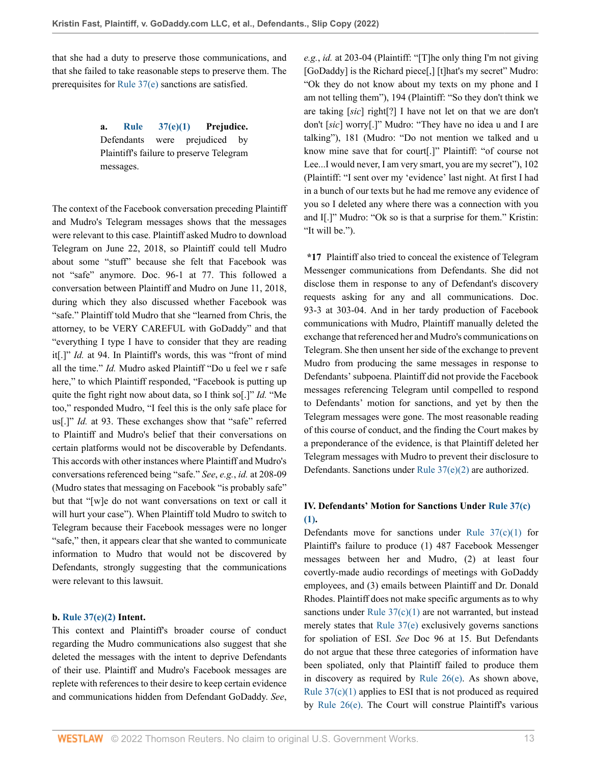that she had a duty to preserve those communications, and that she failed to take reasonable steps to preserve them. The prerequisites for [Rule 37\(e\)](http://www.westlaw.com/Link/Document/FullText?findType=L&pubNum=1000600&cite=USFRCPR37&originatingDoc=I3998e690855c11ecaa4ed5e57242bc05&refType=LQ&originationContext=document&vr=3.0&rs=cblt1.0&transitionType=DocumentItem&contextData=(sc.History*oc.UserEnteredCitation)) sanctions are satisfied.

> **a. [Rule 37\(e\)\(1\)](http://www.westlaw.com/Link/Document/FullText?findType=L&pubNum=1000600&cite=USFRCPR37&originatingDoc=I3998e690855c11ecaa4ed5e57242bc05&refType=LQ&originationContext=document&vr=3.0&rs=cblt1.0&transitionType=DocumentItem&contextData=(sc.History*oc.UserEnteredCitation)) Prejudice.** Defendants were prejudiced by Plaintiff's failure to preserve Telegram messages.

The context of the Facebook conversation preceding Plaintiff and Mudro's Telegram messages shows that the messages were relevant to this case. Plaintiff asked Mudro to download Telegram on June 22, 2018, so Plaintiff could tell Mudro about some "stuff" because she felt that Facebook was not "safe" anymore. Doc. 96-1 at 77. This followed a conversation between Plaintiff and Mudro on June 11, 2018, during which they also discussed whether Facebook was "safe." Plaintiff told Mudro that she "learned from Chris, the attorney, to be VERY CAREFUL with GoDaddy" and that "everything I type I have to consider that they are reading it[.]" *Id.* at 94. In Plaintiff's words, this was "front of mind all the time." *Id.* Mudro asked Plaintiff "Do u feel we r safe here," to which Plaintiff responded, "Facebook is putting up quite the fight right now about data, so I think so[.]" *Id.* "Me too," responded Mudro, "I feel this is the only safe place for us[.]" *Id.* at 93. These exchanges show that "safe" referred to Plaintiff and Mudro's belief that their conversations on certain platforms would not be discoverable by Defendants. This accords with other instances where Plaintiff and Mudro's conversations referenced being "safe." *See*, *e.g.*, *id.* at 208-09 (Mudro states that messaging on Facebook "is probably safe" but that "[w]e do not want conversations on text or call it will hurt your case"). When Plaintiff told Mudro to switch to Telegram because their Facebook messages were no longer "safe," then, it appears clear that she wanted to communicate information to Mudro that would not be discovered by Defendants, strongly suggesting that the communications were relevant to this lawsuit.

## **b. [Rule 37\(e\)\(2\)](http://www.westlaw.com/Link/Document/FullText?findType=L&pubNum=1000600&cite=USFRCPR37&originatingDoc=I3998e690855c11ecaa4ed5e57242bc05&refType=LQ&originationContext=document&vr=3.0&rs=cblt1.0&transitionType=DocumentItem&contextData=(sc.History*oc.UserEnteredCitation)) Intent.**

This context and Plaintiff's broader course of conduct regarding the Mudro communications also suggest that she deleted the messages with the intent to deprive Defendants of their use. Plaintiff and Mudro's Facebook messages are replete with references to their desire to keep certain evidence and communications hidden from Defendant GoDaddy. *See*, *e.g.*, *id.* at 203-04 (Plaintiff: "[T]he only thing I'm not giving [GoDaddy] is the Richard piece[,] [t]hat's my secret" Mudro: "Ok they do not know about my texts on my phone and I am not telling them"), 194 (Plaintiff: "So they don't think we are taking [*sic*] right[?] I have not let on that we are don't don't [*sic*] worry[.]" Mudro: "They have no idea u and I are talking"), 181 (Mudro: "Do not mention we talked and u know mine save that for court[.]" Plaintiff: "of course not Lee...I would never, I am very smart, you are my secret"), 102 (Plaintiff: "I sent over my 'evidence' last night. At first I had in a bunch of our texts but he had me remove any evidence of you so I deleted any where there was a connection with you and I[.]" Mudro: "Ok so is that a surprise for them." Kristin: "It will be.").

**\*17** Plaintiff also tried to conceal the existence of Telegram Messenger communications from Defendants. She did not disclose them in response to any of Defendant's discovery requests asking for any and all communications. Doc. 93-3 at 303-04. And in her tardy production of Facebook communications with Mudro, Plaintiff manually deleted the exchange that referenced her and Mudro's communications on Telegram. She then unsent her side of the exchange to prevent Mudro from producing the same messages in response to Defendants' subpoena. Plaintiff did not provide the Facebook messages referencing Telegram until compelled to respond to Defendants' motion for sanctions, and yet by then the Telegram messages were gone. The most reasonable reading of this course of conduct, and the finding the Court makes by a preponderance of the evidence, is that Plaintiff deleted her Telegram messages with Mudro to prevent their disclosure to Defendants. Sanctions under [Rule 37\(e\)\(2\)](http://www.westlaw.com/Link/Document/FullText?findType=L&pubNum=1000600&cite=USFRCPR37&originatingDoc=I3998e690855c11ecaa4ed5e57242bc05&refType=LQ&originationContext=document&vr=3.0&rs=cblt1.0&transitionType=DocumentItem&contextData=(sc.History*oc.UserEnteredCitation)) are authorized.

# **IV. Defendants' Motion for Sanctions Under [Rule 37\(c\)](http://www.westlaw.com/Link/Document/FullText?findType=L&pubNum=1000600&cite=USFRCPR37&originatingDoc=I3998e690855c11ecaa4ed5e57242bc05&refType=LQ&originationContext=document&vr=3.0&rs=cblt1.0&transitionType=DocumentItem&contextData=(sc.History*oc.UserEnteredCitation)) [\(1\).](http://www.westlaw.com/Link/Document/FullText?findType=L&pubNum=1000600&cite=USFRCPR37&originatingDoc=I3998e690855c11ecaa4ed5e57242bc05&refType=LQ&originationContext=document&vr=3.0&rs=cblt1.0&transitionType=DocumentItem&contextData=(sc.History*oc.UserEnteredCitation))**

Defendants move for sanctions under Rule  $37(c)(1)$  for Plaintiff's failure to produce (1) 487 Facebook Messenger messages between her and Mudro, (2) at least four covertly-made audio recordings of meetings with GoDaddy employees, and (3) emails between Plaintiff and Dr. Donald Rhodes. Plaintiff does not make specific arguments as to why sanctions under Rule  $37(c)(1)$  are not warranted, but instead merely states that [Rule 37\(e\)](http://www.westlaw.com/Link/Document/FullText?findType=L&pubNum=1000600&cite=USFRCPR37&originatingDoc=I3998e690855c11ecaa4ed5e57242bc05&refType=LQ&originationContext=document&vr=3.0&rs=cblt1.0&transitionType=DocumentItem&contextData=(sc.History*oc.UserEnteredCitation)) exclusively governs sanctions for spoliation of ESI. *See* Doc 96 at 15. But Defendants do not argue that these three categories of information have been spoliated, only that Plaintiff failed to produce them in discovery as required by [Rule 26\(e\)](http://www.westlaw.com/Link/Document/FullText?findType=L&pubNum=1000600&cite=USFRCPR26&originatingDoc=I3998e690855c11ecaa4ed5e57242bc05&refType=LQ&originationContext=document&vr=3.0&rs=cblt1.0&transitionType=DocumentItem&contextData=(sc.History*oc.UserEnteredCitation)). As shown above, Rule  $37(c)(1)$  applies to ESI that is not produced as required by [Rule 26\(e\).](http://www.westlaw.com/Link/Document/FullText?findType=L&pubNum=1000600&cite=USFRCPR26&originatingDoc=I3998e690855c11ecaa4ed5e57242bc05&refType=LQ&originationContext=document&vr=3.0&rs=cblt1.0&transitionType=DocumentItem&contextData=(sc.History*oc.UserEnteredCitation)) The Court will construe Plaintiff's various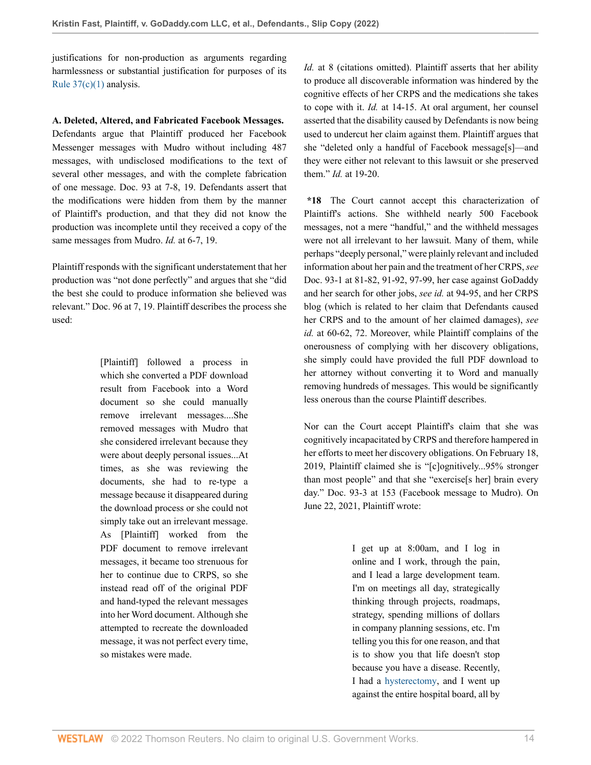justifications for non-production as arguments regarding harmlessness or substantial justification for purposes of its [Rule 37\(c\)\(1\)](http://www.westlaw.com/Link/Document/FullText?findType=L&pubNum=1000600&cite=USFRCPR37&originatingDoc=I3998e690855c11ecaa4ed5e57242bc05&refType=LQ&originationContext=document&vr=3.0&rs=cblt1.0&transitionType=DocumentItem&contextData=(sc.History*oc.UserEnteredCitation)) analysis.

**A. Deleted, Altered, and Fabricated Facebook Messages.**

Defendants argue that Plaintiff produced her Facebook Messenger messages with Mudro without including 487 messages, with undisclosed modifications to the text of several other messages, and with the complete fabrication of one message. Doc. 93 at 7-8, 19. Defendants assert that the modifications were hidden from them by the manner of Plaintiff's production, and that they did not know the production was incomplete until they received a copy of the same messages from Mudro. *Id.* at 6-7, 19.

Plaintiff responds with the significant understatement that her production was "not done perfectly" and argues that she "did the best she could to produce information she believed was relevant." Doc. 96 at 7, 19. Plaintiff describes the process she used:

> [Plaintiff] followed a process in which she converted a PDF download result from Facebook into a Word document so she could manually remove irrelevant messages....She removed messages with Mudro that she considered irrelevant because they were about deeply personal issues...At times, as she was reviewing the documents, she had to re-type a message because it disappeared during the download process or she could not simply take out an irrelevant message. As [Plaintiff] worked from the PDF document to remove irrelevant messages, it became too strenuous for her to continue due to CRPS, so she instead read off of the original PDF and hand-typed the relevant messages into her Word document. Although she attempted to recreate the downloaded message, it was not perfect every time, so mistakes were made.

*Id.* at 8 (citations omitted). Plaintiff asserts that her ability to produce all discoverable information was hindered by the cognitive effects of her CRPS and the medications she takes to cope with it. *Id.* at 14-15. At oral argument, her counsel asserted that the disability caused by Defendants is now being used to undercut her claim against them. Plaintiff argues that she "deleted only a handful of Facebook message[s]—and they were either not relevant to this lawsuit or she preserved them." *Id.* at 19-20.

**\*18** The Court cannot accept this characterization of Plaintiff's actions. She withheld nearly 500 Facebook messages, not a mere "handful," and the withheld messages were not all irrelevant to her lawsuit. Many of them, while perhaps "deeply personal," were plainly relevant and included information about her pain and the treatment of her CRPS, *see* Doc. 93-1 at 81-82, 91-92, 97-99, her case against GoDaddy and her search for other jobs, *see id.* at 94-95, and her CRPS blog (which is related to her claim that Defendants caused her CRPS and to the amount of her claimed damages), *see id.* at 60-62, 72. Moreover, while Plaintiff complains of the onerousness of complying with her discovery obligations, she simply could have provided the full PDF download to her attorney without converting it to Word and manually removing hundreds of messages. This would be significantly less onerous than the course Plaintiff describes.

Nor can the Court accept Plaintiff's claim that she was cognitively incapacitated by CRPS and therefore hampered in her efforts to meet her discovery obligations. On February 18, 2019, Plaintiff claimed she is "[c]ognitively...95% stronger than most people" and that she "exercise[s her] brain every day." Doc. 93-3 at 153 (Facebook message to Mudro). On June 22, 2021, Plaintiff wrote:

> I get up at 8:00am, and I log in online and I work, through the pain, and I lead a large development team. I'm on meetings all day, strategically thinking through projects, roadmaps, strategy, spending millions of dollars in company planning sessions, etc. I'm telling you this for one reason, and that is to show you that life doesn't stop because you have a disease. Recently, I had a [hysterectomy,](http://www.westlaw.com/Link/Document/FullText?entityType=mproc&entityId=Ibc5d07f4475411db9765f9243f53508a&originationContext=document&transitionType=DocumentItem&contextData=(sc.Default)&vr=3.0&rs=cblt1.0) and I went up against the entire hospital board, all by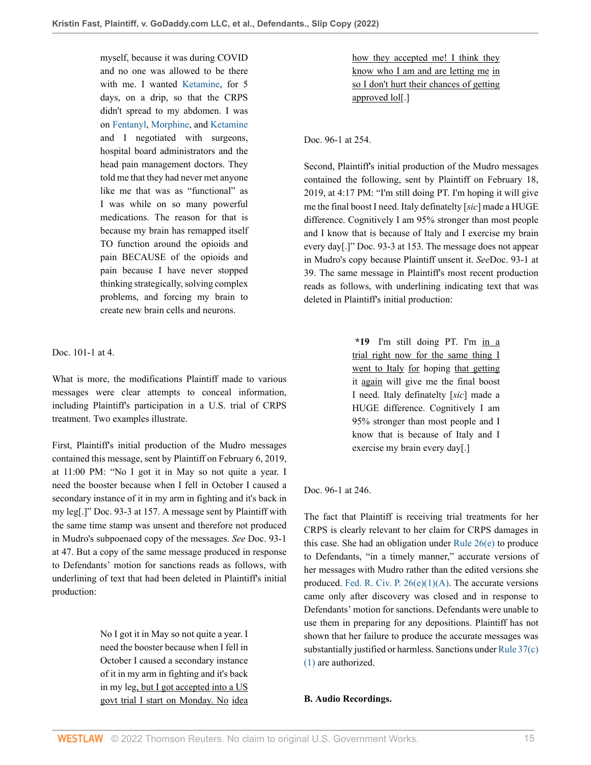myself, because it was during COVID and no one was allowed to be there with me. I wanted [Ketamine,](http://www.westlaw.com/Link/Document/FullText?entityType=gdrug&entityId=I3ba62985475111db9765f9243f53508a&originationContext=document&transitionType=DocumentItem&contextData=(sc.Default)&vr=3.0&rs=cblt1.0) for 5 days, on a drip, so that the CRPS didn't spread to my abdomen. I was on [Fentanyl,](http://www.westlaw.com/Link/Document/FullText?entityType=gdrug&entityId=I3af0bc70475111db9765f9243f53508a&originationContext=document&transitionType=DocumentItem&contextData=(sc.Default)&vr=3.0&rs=cblt1.0) [Morphine](http://www.westlaw.com/Link/Document/FullText?entityType=gdrug&entityId=I3af158e9475111db9765f9243f53508a&originationContext=document&transitionType=DocumentItem&contextData=(sc.Default)&vr=3.0&rs=cblt1.0), and [Ketamine](http://www.westlaw.com/Link/Document/FullText?entityType=gdrug&entityId=I3ba62985475111db9765f9243f53508a&originationContext=document&transitionType=DocumentItem&contextData=(sc.Default)&vr=3.0&rs=cblt1.0) and I negotiated with surgeons, hospital board administrators and the head pain management doctors. They told me that they had never met anyone like me that was as "functional" as I was while on so many powerful medications. The reason for that is because my brain has remapped itself TO function around the opioids and pain BECAUSE of the opioids and pain because I have never stopped thinking strategically, solving complex problems, and forcing my brain to create new brain cells and neurons.

Doc. 101-1 at 4.

What is more, the modifications Plaintiff made to various messages were clear attempts to conceal information, including Plaintiff's participation in a U.S. trial of CRPS treatment. Two examples illustrate.

First, Plaintiff's initial production of the Mudro messages contained this message, sent by Plaintiff on February 6, 2019, at 11:00 PM: "No I got it in May so not quite a year. I need the booster because when I fell in October I caused a secondary instance of it in my arm in fighting and it's back in my leg[.]" Doc. 93-3 at 157. A message sent by Plaintiff with the same time stamp was unsent and therefore not produced in Mudro's subpoenaed copy of the messages. *See* Doc. 93-1 at 47. But a copy of the same message produced in response to Defendants' motion for sanctions reads as follows, with underlining of text that had been deleted in Plaintiff's initial production:

> No I got it in May so not quite a year. I need the booster because when I fell in October I caused a secondary instance of it in my arm in fighting and it's back in my leg, but I got accepted into a US govt trial I start on Monday. No idea

how they accepted me! I think they know who I am and are letting me in so I don't hurt their chances of getting approved lol[.]

Doc. 96-1 at 254.

Second, Plaintiff's initial production of the Mudro messages contained the following, sent by Plaintiff on February 18, 2019, at 4:17 PM: "I'm still doing PT. I'm hoping it will give me the final boost I need. Italy definatelty [*sic*] made a HUGE difference. Cognitively I am 95% stronger than most people and I know that is because of Italy and I exercise my brain every day[.]" Doc. 93-3 at 153. The message does not appear in Mudro's copy because Plaintiff unsent it. *See*Doc. 93-1 at 39. The same message in Plaintiff's most recent production reads as follows, with underlining indicating text that was deleted in Plaintiff's initial production:

> **\*19** I'm still doing PT. I'm in a trial right now for the same thing I went to Italy for hoping that getting it again will give me the final boost I need. Italy definatelty [*sic*] made a HUGE difference. Cognitively I am 95% stronger than most people and I know that is because of Italy and I exercise my brain every day[.]

## Doc. 96-1 at 246.

The fact that Plaintiff is receiving trial treatments for her CRPS is clearly relevant to her claim for CRPS damages in this case. She had an obligation under [Rule 26\(e\)](http://www.westlaw.com/Link/Document/FullText?findType=L&pubNum=1000600&cite=USFRCPR26&originatingDoc=I3998e690855c11ecaa4ed5e57242bc05&refType=LQ&originationContext=document&vr=3.0&rs=cblt1.0&transitionType=DocumentItem&contextData=(sc.History*oc.UserEnteredCitation)) to produce to Defendants, "in a timely manner," accurate versions of her messages with Mudro rather than the edited versions she produced. Fed. R. Civ. P.  $26(e)(1)(A)$ . The accurate versions came only after discovery was closed and in response to Defendants' motion for sanctions. Defendants were unable to use them in preparing for any depositions. Plaintiff has not shown that her failure to produce the accurate messages was substantially justified or harmless. Sanctions under [Rule 37\(c\)](http://www.westlaw.com/Link/Document/FullText?findType=L&pubNum=1000600&cite=USFRCPR37&originatingDoc=I3998e690855c11ecaa4ed5e57242bc05&refType=LQ&originationContext=document&vr=3.0&rs=cblt1.0&transitionType=DocumentItem&contextData=(sc.History*oc.UserEnteredCitation)) [\(1\)](http://www.westlaw.com/Link/Document/FullText?findType=L&pubNum=1000600&cite=USFRCPR37&originatingDoc=I3998e690855c11ecaa4ed5e57242bc05&refType=LQ&originationContext=document&vr=3.0&rs=cblt1.0&transitionType=DocumentItem&contextData=(sc.History*oc.UserEnteredCitation)) are authorized.

## **B. Audio Recordings.**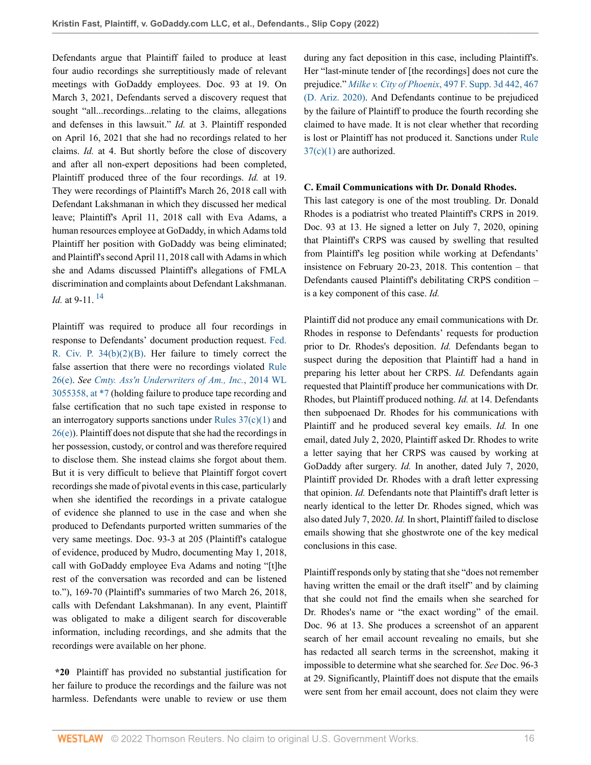Defendants argue that Plaintiff failed to produce at least four audio recordings she surreptitiously made of relevant meetings with GoDaddy employees. Doc. 93 at 19. On March 3, 2021, Defendants served a discovery request that sought "all...recordings...relating to the claims, allegations and defenses in this lawsuit." *Id.* at 3. Plaintiff responded on April 16, 2021 that she had no recordings related to her claims. *Id.* at 4. But shortly before the close of discovery and after all non-expert depositions had been completed, Plaintiff produced three of the four recordings. *Id.* at 19. They were recordings of Plaintiff's March 26, 2018 call with Defendant Lakshmanan in which they discussed her medical leave; Plaintiff's April 11, 2018 call with Eva Adams, a human resources employee at GoDaddy, in which Adams told Plaintiff her position with GoDaddy was being eliminated; and Plaintiff's second April 11, 2018 call with Adams in which she and Adams discussed Plaintiff's allegations of FMLA discrimination and complaints about Defendant Lakshmanan. *Id.* at 9-11. [14](#page-19-7)

<span id="page-15-0"></span>Plaintiff was required to produce all four recordings in response to Defendants' document production request. [Fed.](http://www.westlaw.com/Link/Document/FullText?findType=L&pubNum=1000600&cite=USFRCPR34&originatingDoc=I3998e690855c11ecaa4ed5e57242bc05&refType=LQ&originationContext=document&vr=3.0&rs=cblt1.0&transitionType=DocumentItem&contextData=(sc.History*oc.UserEnteredCitation)) [R. Civ. P. 34\(b\)\(2\)\(B\).](http://www.westlaw.com/Link/Document/FullText?findType=L&pubNum=1000600&cite=USFRCPR34&originatingDoc=I3998e690855c11ecaa4ed5e57242bc05&refType=LQ&originationContext=document&vr=3.0&rs=cblt1.0&transitionType=DocumentItem&contextData=(sc.History*oc.UserEnteredCitation)) Her failure to timely correct the false assertion that there were no recordings violated [Rule](http://www.westlaw.com/Link/Document/FullText?findType=L&pubNum=1000600&cite=USFRCPR26&originatingDoc=I3998e690855c11ecaa4ed5e57242bc05&refType=LQ&originationContext=document&vr=3.0&rs=cblt1.0&transitionType=DocumentItem&contextData=(sc.History*oc.UserEnteredCitation)) [26\(e\)](http://www.westlaw.com/Link/Document/FullText?findType=L&pubNum=1000600&cite=USFRCPR26&originatingDoc=I3998e690855c11ecaa4ed5e57242bc05&refType=LQ&originationContext=document&vr=3.0&rs=cblt1.0&transitionType=DocumentItem&contextData=(sc.History*oc.UserEnteredCitation)). *See [Cmty. Ass'n Underwriters of Am., Inc.](http://www.westlaw.com/Link/Document/FullText?findType=Y&serNum=2033791038&pubNum=0000999&originatingDoc=I3998e690855c11ecaa4ed5e57242bc05&refType=RP&fi=co_pp_sp_999_7&originationContext=document&vr=3.0&rs=cblt1.0&transitionType=DocumentItem&contextData=(sc.History*oc.UserEnteredCitation)#co_pp_sp_999_7)*, 2014 WL [3055358, at \\*7](http://www.westlaw.com/Link/Document/FullText?findType=Y&serNum=2033791038&pubNum=0000999&originatingDoc=I3998e690855c11ecaa4ed5e57242bc05&refType=RP&fi=co_pp_sp_999_7&originationContext=document&vr=3.0&rs=cblt1.0&transitionType=DocumentItem&contextData=(sc.History*oc.UserEnteredCitation)#co_pp_sp_999_7) (holding failure to produce tape recording and false certification that no such tape existed in response to an interrogatory supports sanctions under Rules  $37(c)(1)$  and [26\(e\)](http://www.westlaw.com/Link/Document/FullText?findType=L&pubNum=1000600&cite=USFRCPR26&originatingDoc=I3998e690855c11ecaa4ed5e57242bc05&refType=LQ&originationContext=document&vr=3.0&rs=cblt1.0&transitionType=DocumentItem&contextData=(sc.History*oc.UserEnteredCitation))). Plaintiff does not dispute that she had the recordings in her possession, custody, or control and was therefore required to disclose them. She instead claims she forgot about them. But it is very difficult to believe that Plaintiff forgot covert recordings she made of pivotal events in this case, particularly when she identified the recordings in a private catalogue of evidence she planned to use in the case and when she produced to Defendants purported written summaries of the very same meetings. Doc. 93-3 at 205 (Plaintiff's catalogue of evidence, produced by Mudro, documenting May 1, 2018, call with GoDaddy employee Eva Adams and noting "[t]he rest of the conversation was recorded and can be listened to."), 169-70 (Plaintiff's summaries of two March 26, 2018, calls with Defendant Lakshmanan). In any event, Plaintiff was obligated to make a diligent search for discoverable information, including recordings, and she admits that the recordings were available on her phone.

**\*20** Plaintiff has provided no substantial justification for her failure to produce the recordings and the failure was not harmless. Defendants were unable to review or use them during any fact deposition in this case, including Plaintiff's. Her "last-minute tender of [the recordings] does not cure the prejudice." *Milke v. City of Phoenix*[, 497 F. Supp. 3d 442, 467](http://www.westlaw.com/Link/Document/FullText?findType=Y&serNum=2052270695&pubNum=0007903&originatingDoc=I3998e690855c11ecaa4ed5e57242bc05&refType=RP&fi=co_pp_sp_7903_467&originationContext=document&vr=3.0&rs=cblt1.0&transitionType=DocumentItem&contextData=(sc.History*oc.UserEnteredCitation)#co_pp_sp_7903_467) [\(D. Ariz. 2020\)](http://www.westlaw.com/Link/Document/FullText?findType=Y&serNum=2052270695&pubNum=0007903&originatingDoc=I3998e690855c11ecaa4ed5e57242bc05&refType=RP&fi=co_pp_sp_7903_467&originationContext=document&vr=3.0&rs=cblt1.0&transitionType=DocumentItem&contextData=(sc.History*oc.UserEnteredCitation)#co_pp_sp_7903_467). And Defendants continue to be prejudiced by the failure of Plaintiff to produce the fourth recording she claimed to have made. It is not clear whether that recording is lost or Plaintiff has not produced it. Sanctions under [Rule](http://www.westlaw.com/Link/Document/FullText?findType=L&pubNum=1000600&cite=USFRCPR37&originatingDoc=I3998e690855c11ecaa4ed5e57242bc05&refType=LQ&originationContext=document&vr=3.0&rs=cblt1.0&transitionType=DocumentItem&contextData=(sc.History*oc.UserEnteredCitation)) [37\(c\)\(1\)](http://www.westlaw.com/Link/Document/FullText?findType=L&pubNum=1000600&cite=USFRCPR37&originatingDoc=I3998e690855c11ecaa4ed5e57242bc05&refType=LQ&originationContext=document&vr=3.0&rs=cblt1.0&transitionType=DocumentItem&contextData=(sc.History*oc.UserEnteredCitation)) are authorized.

## **C. Email Communications with Dr. Donald Rhodes.**

This last category is one of the most troubling. Dr. Donald Rhodes is a podiatrist who treated Plaintiff's CRPS in 2019. Doc. 93 at 13. He signed a letter on July 7, 2020, opining that Plaintiff's CRPS was caused by swelling that resulted from Plaintiff's leg position while working at Defendants' insistence on February 20-23, 2018. This contention – that Defendants caused Plaintiff's debilitating CRPS condition – is a key component of this case. *Id.*

Plaintiff did not produce any email communications with Dr. Rhodes in response to Defendants' requests for production prior to Dr. Rhodes's deposition. *Id.* Defendants began to suspect during the deposition that Plaintiff had a hand in preparing his letter about her CRPS. *Id.* Defendants again requested that Plaintiff produce her communications with Dr. Rhodes, but Plaintiff produced nothing. *Id.* at 14. Defendants then subpoenaed Dr. Rhodes for his communications with Plaintiff and he produced several key emails. *Id.* In one email, dated July 2, 2020, Plaintiff asked Dr. Rhodes to write a letter saying that her CRPS was caused by working at GoDaddy after surgery. *Id.* In another, dated July 7, 2020, Plaintiff provided Dr. Rhodes with a draft letter expressing that opinion. *Id.* Defendants note that Plaintiff's draft letter is nearly identical to the letter Dr. Rhodes signed, which was also dated July 7, 2020. *Id.* In short, Plaintiff failed to disclose emails showing that she ghostwrote one of the key medical conclusions in this case.

Plaintiff responds only by stating that she "does not remember having written the email or the draft itself" and by claiming that she could not find the emails when she searched for Dr. Rhodes's name or "the exact wording" of the email. Doc. 96 at 13. She produces a screenshot of an apparent search of her email account revealing no emails, but she has redacted all search terms in the screenshot, making it impossible to determine what she searched for. *See* Doc. 96-3 at 29. Significantly, Plaintiff does not dispute that the emails were sent from her email account, does not claim they were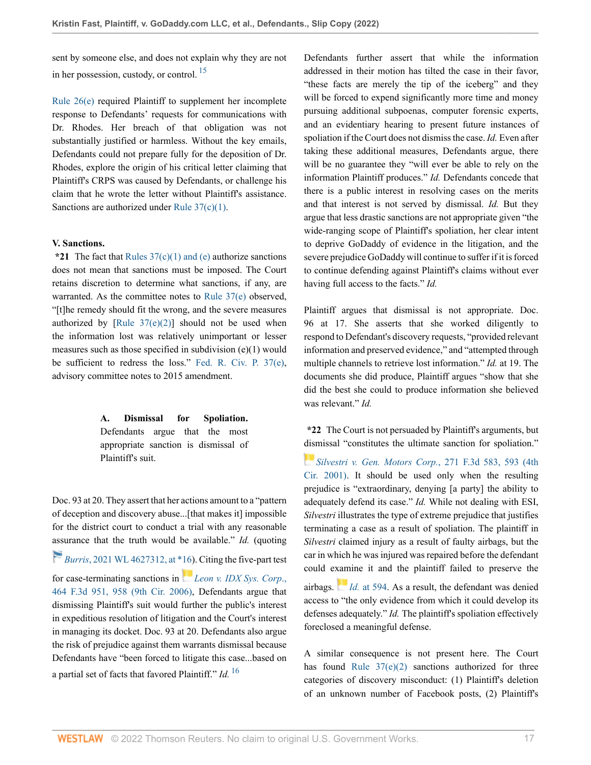sent by someone else, and does not explain why they are not in her possession, custody, or control.  $^{15}$  $^{15}$  $^{15}$ 

[Rule 26\(e\)](http://www.westlaw.com/Link/Document/FullText?findType=L&pubNum=1000600&cite=USFRCPR26&originatingDoc=I3998e690855c11ecaa4ed5e57242bc05&refType=LQ&originationContext=document&vr=3.0&rs=cblt1.0&transitionType=DocumentItem&contextData=(sc.History*oc.UserEnteredCitation)) required Plaintiff to supplement her incomplete response to Defendants' requests for communications with Dr. Rhodes. Her breach of that obligation was not substantially justified or harmless. Without the key emails, Defendants could not prepare fully for the deposition of Dr. Rhodes, explore the origin of his critical letter claiming that Plaintiff's CRPS was caused by Defendants, or challenge his claim that he wrote the letter without Plaintiff's assistance. Sanctions are authorized under [Rule 37\(c\)\(1\)](http://www.westlaw.com/Link/Document/FullText?findType=L&pubNum=1000600&cite=USFRCPR37&originatingDoc=I3998e690855c11ecaa4ed5e57242bc05&refType=LQ&originationContext=document&vr=3.0&rs=cblt1.0&transitionType=DocumentItem&contextData=(sc.History*oc.UserEnteredCitation)).

## **V. Sanctions.**

**\*21** The fact that [Rules 37\(c\)\(1\) and \(e\)](http://www.westlaw.com/Link/Document/FullText?findType=L&pubNum=1000600&cite=USFRCPR37&originatingDoc=I3998e690855c11ecaa4ed5e57242bc05&refType=LQ&originationContext=document&vr=3.0&rs=cblt1.0&transitionType=DocumentItem&contextData=(sc.History*oc.UserEnteredCitation)) authorize sanctions does not mean that sanctions must be imposed. The Court retains discretion to determine what sanctions, if any, are warranted. As the committee notes to [Rule 37\(e\)](http://www.westlaw.com/Link/Document/FullText?findType=L&pubNum=1000600&cite=USFRCPR37&originatingDoc=I3998e690855c11ecaa4ed5e57242bc05&refType=LQ&originationContext=document&vr=3.0&rs=cblt1.0&transitionType=DocumentItem&contextData=(sc.History*oc.UserEnteredCitation)) observed, "[t]he remedy should fit the wrong, and the severe measures authorized by  $[Rule 37(e)(2)]$  should not be used when the information lost was relatively unimportant or lesser measures such as those specified in subdivision (e)(1) would be sufficient to redress the loss." [Fed. R. Civ. P. 37\(e\)](http://www.westlaw.com/Link/Document/FullText?findType=L&pubNum=1000600&cite=USFRCPR37&originatingDoc=I3998e690855c11ecaa4ed5e57242bc05&refType=LQ&originationContext=document&vr=3.0&rs=cblt1.0&transitionType=DocumentItem&contextData=(sc.History*oc.UserEnteredCitation)), advisory committee notes to 2015 amendment.

> **A. Dismissal for Spoliation.** Defendants argue that the most appropriate sanction is dismissal of Plaintiff's suit.

Doc. 93 at 20. They assert that her actions amount to a "pattern of deception and discovery abuse...[that makes it] impossible for the district court to conduct a trial with any reasonable [assu](https://1.next.westlaw.com/Link/RelatedInformation/Flag?documentGuid=I8f4f6d9027f911ecae58a53d1fd95533&transitionType=InlineKeyCiteFlags&originationContext=docHeaderFlag&Rank=0&ppcid=7844255315f244aca42bae920e3400ec&contextData=(sc.History*oc.UserEnteredCitation) )rance that the truth would be available." *Id.* (quoting

*Burris*[, 2021 WL 4627312, at \\*16\)](http://www.westlaw.com/Link/Document/FullText?findType=Y&serNum=2054662513&pubNum=0000999&originatingDoc=I3998e690855c11ecaa4ed5e57242bc05&refType=RP&fi=co_pp_sp_999_16&originationContext=document&vr=3.0&rs=cblt1.0&transitionType=DocumentItem&contextData=(sc.History*oc.UserEnteredCitation)#co_pp_sp_999_16). Citing the five-part test for case-terminating sanctions in *[Leon v. IDX Sys. Corp](http://www.westlaw.com/Link/Document/FullText?findType=Y&serNum=2010325757&pubNum=0000506&originatingDoc=I3998e690855c11ecaa4ed5e57242bc05&refType=RP&fi=co_pp_sp_506_958&originationContext=document&vr=3.0&rs=cblt1.0&transitionType=DocumentItem&contextData=(sc.History*oc.UserEnteredCitation)#co_pp_sp_506_958)*., [464 F.3d 951, 958 \(9th Cir. 2006\),](http://www.westlaw.com/Link/Document/FullText?findType=Y&serNum=2010325757&pubNum=0000506&originatingDoc=I3998e690855c11ecaa4ed5e57242bc05&refType=RP&fi=co_pp_sp_506_958&originationContext=document&vr=3.0&rs=cblt1.0&transitionType=DocumentItem&contextData=(sc.History*oc.UserEnteredCitation)#co_pp_sp_506_958) Defendants argue that dismissing Plaintiff's suit would further the public's interest in expeditious resolution of litigation and the Court's interest in managing its docket. Doc. 93 at 20. Defendants also argue the risk of prejudice against them warrants dismissal because Defendants have "been forced to litigate this case...based on a partial set of facts that favored Plaintiff." *Id.* [16](#page-19-9)

<span id="page-16-0"></span>Defendants further assert that while the information addressed in their motion has tilted the case in their favor, "these facts are merely the tip of the iceberg" and they will be forced to expend significantly more time and money pursuing additional subpoenas, computer forensic experts, and an evidentiary hearing to present future instances of spoliation if the Court does not dismiss the case. *Id.* Even after taking these additional measures, Defendants argue, there will be no guarantee they "will ever be able to rely on the information Plaintiff produces." *Id.* Defendants concede that there is a public interest in resolving cases on the merits and that interest is not served by dismissal. *Id.* But they argue that less drastic sanctions are not appropriate given "the wide-ranging scope of Plaintiff's spoliation, her clear intent to deprive GoDaddy of evidence in the litigation, and the severe prejudice GoDaddy will continue to suffer if it is forced to continue defending against Plaintiff's claims without ever having full access to the facts." *Id.*

Plaintiff argues that dismissal is not appropriate. Doc. 96 at 17. She asserts that she worked diligently to respond to Defendant's discovery requests, "provided relevant information and preserved evidence," and "attempted through multiple channels to retrieve lost information." *Id.* at 19. The documents she did produce, Plaintiff argues "show that she did the best she could to produce information she believed was relevant." *Id.*

**\*22** The Court is not persuaded by Plaintiff's arguments, but [dism](https://1.next.westlaw.com/Link/RelatedInformation/Flag?documentGuid=Ia9d11e0979c611d99c4dbb2f0352441d&transitionType=InlineKeyCiteFlags&originationContext=docHeaderFlag&Rank=0&ppcid=7844255315f244aca42bae920e3400ec&contextData=(sc.History*oc.UserEnteredCitation) )issal "constitutes the ultimate sanction for spoliation."

*[Silvestri v. Gen. Motors Corp.](http://www.westlaw.com/Link/Document/FullText?findType=Y&serNum=2001961729&pubNum=0000506&originatingDoc=I3998e690855c11ecaa4ed5e57242bc05&refType=RP&fi=co_pp_sp_506_593&originationContext=document&vr=3.0&rs=cblt1.0&transitionType=DocumentItem&contextData=(sc.History*oc.UserEnteredCitation)#co_pp_sp_506_593)*, 271 F.3d 583, 593 (4th [Cir. 2001\)](http://www.westlaw.com/Link/Document/FullText?findType=Y&serNum=2001961729&pubNum=0000506&originatingDoc=I3998e690855c11ecaa4ed5e57242bc05&refType=RP&fi=co_pp_sp_506_593&originationContext=document&vr=3.0&rs=cblt1.0&transitionType=DocumentItem&contextData=(sc.History*oc.UserEnteredCitation)#co_pp_sp_506_593). It should be used only when the resulting prejudice is "extraordinary, denying [a party] the ability to adequately defend its case." *Id.* While not dealing with ESI, *Silvestri* illustrates the type of extreme prejudice that justifies terminating a case as a result of spoliation. The plaintiff in *Silvestri* claimed injury as a result of faulty airbags, but the car in which he was injured was repaired before the defendant could e[xam](https://1.next.westlaw.com/Link/RelatedInformation/Flag?documentGuid=Ia9d11e0979c611d99c4dbb2f0352441d&transitionType=InlineKeyCiteFlags&originationContext=docHeaderFlag&Rank=0&ppcid=7844255315f244aca42bae920e3400ec&contextData=(sc.History*oc.UserEnteredCitation) )ine it and the plaintiff failed to preserve the airbags. *Id.* [at 594.](http://www.westlaw.com/Link/Document/FullText?findType=Y&serNum=2001961729&pubNum=0000506&originatingDoc=I3998e690855c11ecaa4ed5e57242bc05&refType=RP&fi=co_pp_sp_506_594&originationContext=document&vr=3.0&rs=cblt1.0&transitionType=DocumentItem&contextData=(sc.History*oc.UserEnteredCitation)#co_pp_sp_506_594) As a result, the defendant was denied access to "the only evidence from which it could develop its defenses adequately." *Id.* The plaintiff's spoliation effectively

<span id="page-16-1"></span>A similar consequence is not present here. The Court has found Rule  $37(e)(2)$  sanctions authorized for three categories of discovery misconduct: (1) Plaintiff's deletion of an unknown number of Facebook posts, (2) Plaintiff's

foreclosed a meaningful defense.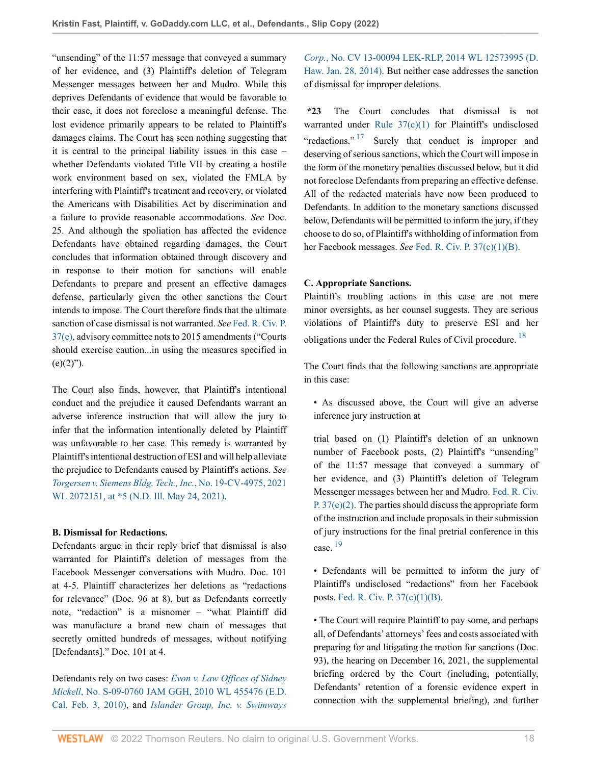"unsending" of the 11:57 message that conveyed a summary of her evidence, and (3) Plaintiff's deletion of Telegram Messenger messages between her and Mudro. While this deprives Defendants of evidence that would be favorable to their case, it does not foreclose a meaningful defense. The lost evidence primarily appears to be related to Plaintiff's damages claims. The Court has seen nothing suggesting that it is central to the principal liability issues in this case – whether Defendants violated Title VII by creating a hostile work environment based on sex, violated the FMLA by interfering with Plaintiff's treatment and recovery, or violated the Americans with Disabilities Act by discrimination and a failure to provide reasonable accommodations. *See* Doc. 25. And although the spoliation has affected the evidence Defendants have obtained regarding damages, the Court concludes that information obtained through discovery and in response to their motion for sanctions will enable Defendants to prepare and present an effective damages defense, particularly given the other sanctions the Court intends to impose. The Court therefore finds that the ultimate sanction of case dismissal is not warranted. *See* [Fed. R. Civ. P.](http://www.westlaw.com/Link/Document/FullText?findType=L&pubNum=1000600&cite=USFRCPR37&originatingDoc=I3998e690855c11ecaa4ed5e57242bc05&refType=LQ&originationContext=document&vr=3.0&rs=cblt1.0&transitionType=DocumentItem&contextData=(sc.History*oc.UserEnteredCitation)) [37\(e\)](http://www.westlaw.com/Link/Document/FullText?findType=L&pubNum=1000600&cite=USFRCPR37&originatingDoc=I3998e690855c11ecaa4ed5e57242bc05&refType=LQ&originationContext=document&vr=3.0&rs=cblt1.0&transitionType=DocumentItem&contextData=(sc.History*oc.UserEnteredCitation)), advisory committee nots to 2015 amendments ("Courts should exercise caution...in using the measures specified in  $(e)(2)$ ").

The Court also finds, however, that Plaintiff's intentional conduct and the prejudice it caused Defendants warrant an adverse inference instruction that will allow the jury to infer that the information intentionally deleted by Plaintiff was unfavorable to her case. This remedy is warranted by Plaintiff's intentional destruction of ESI and will help alleviate the prejudice to Defendants caused by Plaintiff's actions. *See [Torgersen v. Siemens Bldg. Tech., Inc.](http://www.westlaw.com/Link/Document/FullText?findType=Y&serNum=2053683117&pubNum=0000999&originatingDoc=I3998e690855c11ecaa4ed5e57242bc05&refType=RP&fi=co_pp_sp_999_5&originationContext=document&vr=3.0&rs=cblt1.0&transitionType=DocumentItem&contextData=(sc.History*oc.UserEnteredCitation)#co_pp_sp_999_5)*, No. 19-CV-4975, 2021 WL 2072151, at  $*5$  (N.D. Ill. May 24, 2021).

## **B. Dismissal for Redactions.**

Defendants argue in their reply brief that dismissal is also warranted for Plaintiff's deletion of messages from the Facebook Messenger conversations with Mudro. Doc. 101 at 4-5. Plaintiff characterizes her deletions as "redactions for relevance" (Doc. 96 at 8), but as Defendants correctly note, "redaction" is a misnomer – "what Plaintiff did was manufacture a brand new chain of messages that secretly omitted hundreds of messages, without notifying [Defendants]." Doc. 101 at 4.

Defendants rely on two cases: *[Evon v. Law Offices of Sidney](http://www.westlaw.com/Link/Document/FullText?findType=Y&serNum=2021330886&pubNum=0000999&originatingDoc=I3998e690855c11ecaa4ed5e57242bc05&refType=RP&originationContext=document&vr=3.0&rs=cblt1.0&transitionType=DocumentItem&contextData=(sc.History*oc.UserEnteredCitation)) Mickell*[, No. S-09-0760 JAM GGH, 2010 WL 455476 \(E.D.](http://www.westlaw.com/Link/Document/FullText?findType=Y&serNum=2021330886&pubNum=0000999&originatingDoc=I3998e690855c11ecaa4ed5e57242bc05&refType=RP&originationContext=document&vr=3.0&rs=cblt1.0&transitionType=DocumentItem&contextData=(sc.History*oc.UserEnteredCitation)) [Cal. Feb. 3, 2010\),](http://www.westlaw.com/Link/Document/FullText?findType=Y&serNum=2021330886&pubNum=0000999&originatingDoc=I3998e690855c11ecaa4ed5e57242bc05&refType=RP&originationContext=document&vr=3.0&rs=cblt1.0&transitionType=DocumentItem&contextData=(sc.History*oc.UserEnteredCitation)) and *[Islander Group, Inc. v. Swimways](http://www.westlaw.com/Link/Document/FullText?findType=Y&serNum=2040148793&pubNum=0000999&originatingDoc=I3998e690855c11ecaa4ed5e57242bc05&refType=RP&originationContext=document&vr=3.0&rs=cblt1.0&transitionType=DocumentItem&contextData=(sc.History*oc.UserEnteredCitation))*

*Corp.*[, No. CV 13-00094 LEK-RLP, 2014 WL 12573995 \(D.](http://www.westlaw.com/Link/Document/FullText?findType=Y&serNum=2040148793&pubNum=0000999&originatingDoc=I3998e690855c11ecaa4ed5e57242bc05&refType=RP&originationContext=document&vr=3.0&rs=cblt1.0&transitionType=DocumentItem&contextData=(sc.History*oc.UserEnteredCitation)) [Haw. Jan. 28, 2014\).](http://www.westlaw.com/Link/Document/FullText?findType=Y&serNum=2040148793&pubNum=0000999&originatingDoc=I3998e690855c11ecaa4ed5e57242bc05&refType=RP&originationContext=document&vr=3.0&rs=cblt1.0&transitionType=DocumentItem&contextData=(sc.History*oc.UserEnteredCitation)) But neither case addresses the sanction of dismissal for improper deletions.

<span id="page-17-0"></span>**\*23** The Court concludes that dismissal is not warranted under Rule  $37(c)(1)$  for Plaintiff's undisclosed "redactions."<sup>[17](#page-19-10)</sup> Surely that conduct is improper and deserving of serious sanctions, which the Court will impose in the form of the monetary penalties discussed below, but it did not foreclose Defendants from preparing an effective defense. All of the redacted materials have now been produced to Defendants. In addition to the monetary sanctions discussed below, Defendants will be permitted to inform the jury, if they choose to do so, of Plaintiff's withholding of information from her Facebook messages. *See* [Fed. R. Civ. P. 37\(c\)\(1\)\(B\).](http://www.westlaw.com/Link/Document/FullText?findType=L&pubNum=1000600&cite=USFRCPR37&originatingDoc=I3998e690855c11ecaa4ed5e57242bc05&refType=LQ&originationContext=document&vr=3.0&rs=cblt1.0&transitionType=DocumentItem&contextData=(sc.History*oc.UserEnteredCitation))

## **C. Appropriate Sanctions.**

Plaintiff's troubling actions in this case are not mere minor oversights, as her counsel suggests. They are serious violations of Plaintiff's duty to preserve ESI and her obligations under the Federal Rules of Civil procedure. <sup>[18](#page-19-11)</sup>

<span id="page-17-1"></span>The Court finds that the following sanctions are appropriate in this case:

• As discussed above, the Court will give an adverse inference jury instruction at

trial based on (1) Plaintiff's deletion of an unknown number of Facebook posts, (2) Plaintiff's "unsending" of the 11:57 message that conveyed a summary of her evidence, and (3) Plaintiff's deletion of Telegram Messenger messages between her and Mudro. [Fed. R. Civ.](http://www.westlaw.com/Link/Document/FullText?findType=L&pubNum=1000600&cite=USFRCPR37&originatingDoc=I3998e690855c11ecaa4ed5e57242bc05&refType=LQ&originationContext=document&vr=3.0&rs=cblt1.0&transitionType=DocumentItem&contextData=(sc.History*oc.UserEnteredCitation)) [P. 37\(e\)\(2\).](http://www.westlaw.com/Link/Document/FullText?findType=L&pubNum=1000600&cite=USFRCPR37&originatingDoc=I3998e690855c11ecaa4ed5e57242bc05&refType=LQ&originationContext=document&vr=3.0&rs=cblt1.0&transitionType=DocumentItem&contextData=(sc.History*oc.UserEnteredCitation)) The parties should discuss the appropriate form of the instruction and include proposals in their submission of jury instructions for the final pretrial conference in this case. [19](#page-20-0)

<span id="page-17-2"></span>• Defendants will be permitted to inform the jury of Plaintiff's undisclosed "redactions" from her Facebook posts. [Fed. R. Civ. P. 37\(c\)\(1\)\(B\).](http://www.westlaw.com/Link/Document/FullText?findType=L&pubNum=1000600&cite=USFRCPR37&originatingDoc=I3998e690855c11ecaa4ed5e57242bc05&refType=LQ&originationContext=document&vr=3.0&rs=cblt1.0&transitionType=DocumentItem&contextData=(sc.History*oc.UserEnteredCitation))

• The Court will require Plaintiff to pay some, and perhaps all, of Defendants' attorneys' fees and costs associated with preparing for and litigating the motion for sanctions (Doc. 93), the hearing on December 16, 2021, the supplemental briefing ordered by the Court (including, potentially, Defendants' retention of a forensic evidence expert in connection with the supplemental briefing), and further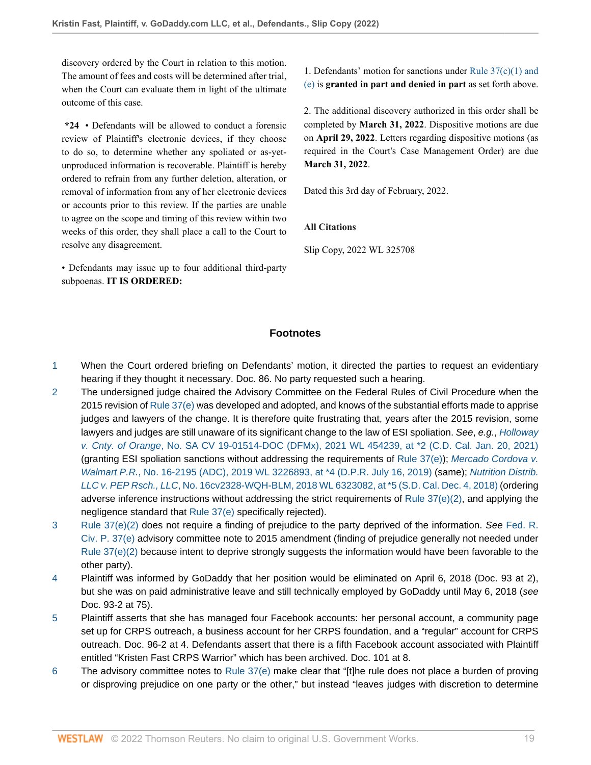discovery ordered by the Court in relation to this motion. The amount of fees and costs will be determined after trial, when the Court can evaluate them in light of the ultimate outcome of this case.

**\*24** • Defendants will be allowed to conduct a forensic review of Plaintiff's electronic devices, if they choose to do so, to determine whether any spoliated or as-yetunproduced information is recoverable. Plaintiff is hereby ordered to refrain from any further deletion, alteration, or removal of information from any of her electronic devices or accounts prior to this review. If the parties are unable to agree on the scope and timing of this review within two weeks of this order, they shall place a call to the Court to resolve any disagreement.

• Defendants may issue up to four additional third-party subpoenas. **IT IS ORDERED:**

1. Defendants' motion for sanctions under Rule  $37(c)(1)$  and [\(e\)](http://www.westlaw.com/Link/Document/FullText?findType=L&pubNum=1000600&cite=USFRCPR37&originatingDoc=I3998e690855c11ecaa4ed5e57242bc05&refType=LQ&originationContext=document&vr=3.0&rs=cblt1.0&transitionType=DocumentItem&contextData=(sc.History*oc.UserEnteredCitation)) is **granted in part and denied in part** as set forth above.

2. The additional discovery authorized in this order shall be completed by **March 31, 2022**. Dispositive motions are due on **April 29, 2022**. Letters regarding dispositive motions (as required in the Court's Case Management Order) are due **March 31, 2022**.

Dated this 3rd day of February, 2022.

**All Citations**

Slip Copy, 2022 WL 325708

# **Footnotes**

- <span id="page-18-0"></span>[1](#page-0-0) When the Court ordered briefing on Defendants' motion, it directed the parties to request an evidentiary hearing if they thought it necessary. Doc. 86. No party requested such a hearing.
- <span id="page-18-1"></span>[2](#page-0-1) The undersigned judge chaired the Advisory Committee on the Federal Rules of Civil Procedure when the 2015 revision of [Rule 37\(e\)](http://www.westlaw.com/Link/Document/FullText?findType=L&pubNum=1000600&cite=USFRCPR37&originatingDoc=I3998e690855c11ecaa4ed5e57242bc05&refType=LQ&originationContext=document&vr=3.0&rs=cblt1.0&transitionType=DocumentItem&contextData=(sc.History*oc.UserEnteredCitation)) was developed and adopted, and knows of the substantial efforts made to apprise judges and lawyers of the change. It is therefore quite frustrating that, years after the 2015 revision, some lawyers and judges are still unaware of its significant change to the law of ESI spoliation. See, e.g., [Holloway](http://www.westlaw.com/Link/Document/FullText?findType=Y&serNum=2052936484&pubNum=0000999&originatingDoc=I3998e690855c11ecaa4ed5e57242bc05&refType=RP&fi=co_pp_sp_999_2&originationContext=document&vr=3.0&rs=cblt1.0&transitionType=DocumentItem&contextData=(sc.History*oc.UserEnteredCitation)#co_pp_sp_999_2) v. Cnty. of Orange[, No. SA CV 19-01514-DOC \(DFMx\), 2021 WL 454239, at \\*2 \(C.D. Cal. Jan. 20, 2021\)](http://www.westlaw.com/Link/Document/FullText?findType=Y&serNum=2052936484&pubNum=0000999&originatingDoc=I3998e690855c11ecaa4ed5e57242bc05&refType=RP&fi=co_pp_sp_999_2&originationContext=document&vr=3.0&rs=cblt1.0&transitionType=DocumentItem&contextData=(sc.History*oc.UserEnteredCitation)#co_pp_sp_999_2) (granting ESI spoliation sanctions without addressing the requirements of Rule  $37(e)$ ); [Mercado Cordova v.](http://www.westlaw.com/Link/Document/FullText?findType=Y&serNum=2048724041&pubNum=0000999&originatingDoc=I3998e690855c11ecaa4ed5e57242bc05&refType=RP&fi=co_pp_sp_999_4&originationContext=document&vr=3.0&rs=cblt1.0&transitionType=DocumentItem&contextData=(sc.History*oc.UserEnteredCitation)#co_pp_sp_999_4) Walmart P.R.[, No. 16-2195 \(ADC\), 2019 WL 3226893, at \\*4 \(D.P.R. July 16, 2019\)](http://www.westlaw.com/Link/Document/FullText?findType=Y&serNum=2048724041&pubNum=0000999&originatingDoc=I3998e690855c11ecaa4ed5e57242bc05&refType=RP&fi=co_pp_sp_999_4&originationContext=document&vr=3.0&rs=cblt1.0&transitionType=DocumentItem&contextData=(sc.History*oc.UserEnteredCitation)#co_pp_sp_999_4) (same); [Nutrition Distrib.](http://www.westlaw.com/Link/Document/FullText?findType=Y&serNum=2046161658&pubNum=0000999&originatingDoc=I3998e690855c11ecaa4ed5e57242bc05&refType=RP&fi=co_pp_sp_999_5&originationContext=document&vr=3.0&rs=cblt1.0&transitionType=DocumentItem&contextData=(sc.History*oc.UserEnteredCitation)#co_pp_sp_999_5) LLC v. PEP Rsch., LLC[, No. 16cv2328-WQH-BLM, 2018 WL 6323082, at \\*5 \(S.D. Cal. Dec. 4, 2018\)](http://www.westlaw.com/Link/Document/FullText?findType=Y&serNum=2046161658&pubNum=0000999&originatingDoc=I3998e690855c11ecaa4ed5e57242bc05&refType=RP&fi=co_pp_sp_999_5&originationContext=document&vr=3.0&rs=cblt1.0&transitionType=DocumentItem&contextData=(sc.History*oc.UserEnteredCitation)#co_pp_sp_999_5) (ordering adverse inference instructions without addressing the strict requirements of Rule  $37(e)(2)$ , and applying the negligence standard that [Rule 37\(e\)](http://www.westlaw.com/Link/Document/FullText?findType=L&pubNum=1000600&cite=USFRCPR37&originatingDoc=I3998e690855c11ecaa4ed5e57242bc05&refType=LQ&originationContext=document&vr=3.0&rs=cblt1.0&transitionType=DocumentItem&contextData=(sc.History*oc.UserEnteredCitation)) specifically rejected).
- <span id="page-18-2"></span>[3](#page-1-0) [Rule 37\(e\)\(2\)](http://www.westlaw.com/Link/Document/FullText?findType=L&pubNum=1000600&cite=USFRCPR37&originatingDoc=I3998e690855c11ecaa4ed5e57242bc05&refType=LQ&originationContext=document&vr=3.0&rs=cblt1.0&transitionType=DocumentItem&contextData=(sc.History*oc.UserEnteredCitation)) does not require a finding of prejudice to the party deprived of the information. See [Fed. R.](http://www.westlaw.com/Link/Document/FullText?findType=L&pubNum=1000600&cite=USFRCPR37&originatingDoc=I3998e690855c11ecaa4ed5e57242bc05&refType=LQ&originationContext=document&vr=3.0&rs=cblt1.0&transitionType=DocumentItem&contextData=(sc.History*oc.UserEnteredCitation)) [Civ. P. 37\(e\)](http://www.westlaw.com/Link/Document/FullText?findType=L&pubNum=1000600&cite=USFRCPR37&originatingDoc=I3998e690855c11ecaa4ed5e57242bc05&refType=LQ&originationContext=document&vr=3.0&rs=cblt1.0&transitionType=DocumentItem&contextData=(sc.History*oc.UserEnteredCitation)) advisory committee note to 2015 amendment (finding of prejudice generally not needed under [Rule 37\(e\)\(2\)](http://www.westlaw.com/Link/Document/FullText?findType=L&pubNum=1000600&cite=USFRCPR37&originatingDoc=I3998e690855c11ecaa4ed5e57242bc05&refType=LQ&originationContext=document&vr=3.0&rs=cblt1.0&transitionType=DocumentItem&contextData=(sc.History*oc.UserEnteredCitation)) because intent to deprive strongly suggests the information would have been favorable to the other party).
- <span id="page-18-3"></span>[4](#page-2-0) Plaintiff was informed by GoDaddy that her position would be eliminated on April 6, 2018 (Doc. 93 at 2), but she was on paid administrative leave and still technically employed by GoDaddy until May 6, 2018 (see Doc. 93-2 at 75).
- <span id="page-18-4"></span>[5](#page-3-0) Plaintiff asserts that she has managed four Facebook accounts: her personal account, a community page set up for CRPS outreach, a business account for her CRPS foundation, and a "regular" account for CRPS outreach. Doc. 96-2 at 4. Defendants assert that there is a fifth Facebook account associated with Plaintiff entitled "Kristen Fast CRPS Warrior" which has been archived. Doc. 101 at 8.
- <span id="page-18-5"></span>[6](#page-4-0) The advisory committee notes to [Rule 37\(e\)](http://www.westlaw.com/Link/Document/FullText?findType=L&pubNum=1000600&cite=USFRCPR37&originatingDoc=I3998e690855c11ecaa4ed5e57242bc05&refType=LQ&originationContext=document&vr=3.0&rs=cblt1.0&transitionType=DocumentItem&contextData=(sc.History*oc.UserEnteredCitation)) make clear that "[t]he rule does not place a burden of proving or disproving prejudice on one party or the other," but instead "leaves judges with discretion to determine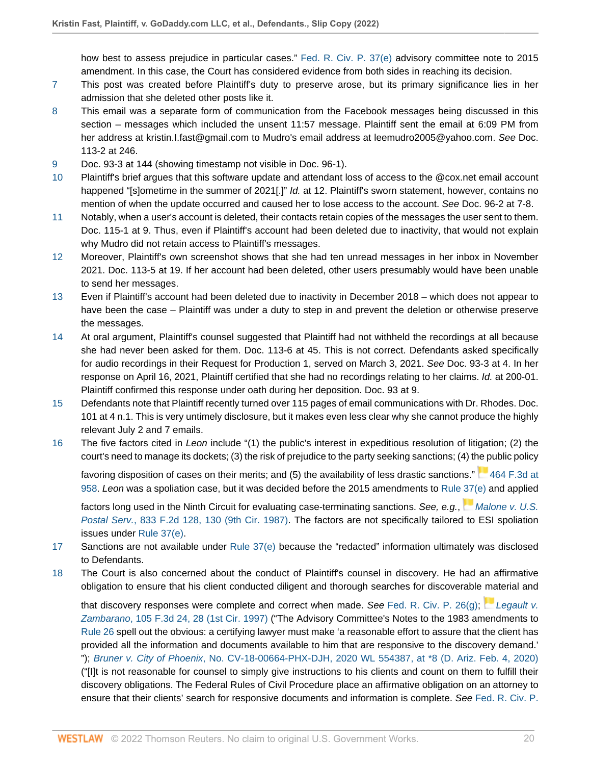how best to assess prejudice in particular cases." [Fed. R. Civ. P. 37\(e\)](http://www.westlaw.com/Link/Document/FullText?findType=L&pubNum=1000600&cite=USFRCPR37&originatingDoc=I3998e690855c11ecaa4ed5e57242bc05&refType=LQ&originationContext=document&vr=3.0&rs=cblt1.0&transitionType=DocumentItem&contextData=(sc.History*oc.UserEnteredCitation)) advisory committee note to 2015 amendment. In this case, the Court has considered evidence from both sides in reaching its decision.

- <span id="page-19-0"></span>[7](#page-4-1) This post was created before Plaintiff's duty to preserve arose, but its primary significance lies in her admission that she deleted other posts like it.
- <span id="page-19-1"></span>[8](#page-6-0) This email was a separate form of communication from the Facebook messages being discussed in this section – messages which included the unsent 11:57 message. Plaintiff sent the email at 6:09 PM from her address at kristin.I.fast@gmail.com to Mudro's email address at leemudro2005@yahoo.com. See Doc. 113-2 at 246.
- <span id="page-19-2"></span>[9](#page-6-1) Doc. 93-3 at 144 (showing timestamp not visible in Doc. 96-1).
- <span id="page-19-3"></span>[10](#page-9-0) Plaintiff's brief argues that this software update and attendant loss of access to the @cox.net email account happened "[s]ometime in the summer of 2021[.]" Id. at 12. Plaintiff's sworn statement, however, contains no mention of when the update occurred and caused her to lose access to the account. See Doc. 96-2 at 7-8.
- <span id="page-19-4"></span>[11](#page-11-0) Notably, when a user's account is deleted, their contacts retain copies of the messages the user sent to them. Doc. 115-1 at 9. Thus, even if Plaintiff's account had been deleted due to inactivity, that would not explain why Mudro did not retain access to Plaintiff's messages.
- <span id="page-19-5"></span>[12](#page-11-1) Moreover, Plaintiff's own screenshot shows that she had ten unread messages in her inbox in November 2021. Doc. 113-5 at 19. If her account had been deleted, other users presumably would have been unable to send her messages.
- <span id="page-19-6"></span>[13](#page-11-2) Even if Plaintiff's account had been deleted due to inactivity in December 2018 – which does not appear to have been the case – Plaintiff was under a duty to step in and prevent the deletion or otherwise preserve the messages.
- <span id="page-19-7"></span>[14](#page-15-0) At oral argument, Plaintiff's counsel suggested that Plaintiff had not withheld the recordings at all because she had never been asked for them. Doc. 113-6 at 45. This is not correct. Defendants asked specifically for audio recordings in their Request for Production 1, served on March 3, 2021. See Doc. 93-3 at 4. In her response on April 16, 2021, Plaintiff certified that she had no recordings relating to her claims. Id. at 200-01. Plaintiff confirmed this response under oath during her deposition. Doc. 93 at 9.
- <span id="page-19-8"></span>[15](#page-16-0) Defendants note that Plaintiff recently turned over 115 pages of email communications with Dr. Rhodes. Doc. 101 at 4 n.1. This is very untimely disclosure, but it makes even less clear why she cannot produce the highly relevant July 2 and 7 emails.
- <span id="page-19-9"></span>[16](#page-16-1) The five factors cited in Leon include "(1) the public's interest in expeditious resolution of litigation; (2) the court's need to manage its dockets; (3) the risk of prejudice to the party seeking sanctions; (4) the public policy

favoring disposition of cases on their merits; and (5) the availability of less drastic sanctions."  $\Box$  [464 F.3d at](http://www.westlaw.com/Link/Document/FullText?findType=Y&serNum=2010325757&pubNum=0000506&originatingDoc=I3998e690855c11ecaa4ed5e57242bc05&refType=RP&fi=co_pp_sp_506_958&originationContext=document&vr=3.0&rs=cblt1.0&transitionType=DocumentItem&contextData=(sc.History*oc.UserEnteredCitation)#co_pp_sp_506_958) [958.](http://www.westlaw.com/Link/Document/FullText?findType=Y&serNum=2010325757&pubNum=0000506&originatingDoc=I3998e690855c11ecaa4ed5e57242bc05&refType=RP&fi=co_pp_sp_506_958&originationContext=document&vr=3.0&rs=cblt1.0&transitionType=DocumentItem&contextData=(sc.History*oc.UserEnteredCitation)#co_pp_sp_506_958) Leon was a spoliation case, but it was decided before the 2015 amendments to [Rule 37\(e\)](http://www.westlaw.com/Link/Document/FullText?findType=L&pubNum=1000600&cite=USFRCPR37&originatingDoc=I3998e690855c11ecaa4ed5e57242bc05&refType=LQ&originationContext=document&vr=3.0&rs=cblt1.0&transitionType=DocumentItem&contextData=(sc.History*oc.UserEnteredCitation)) and applied

factors long used in the Ninth Circuit for evaluating case-terminating sanctions. See, e.g.,  $\Box$  [Malone v. U.S.](http://www.westlaw.com/Link/Document/FullText?findType=Y&serNum=1987144583&pubNum=0000350&originatingDoc=I3998e690855c11ecaa4ed5e57242bc05&refType=RP&fi=co_pp_sp_350_130&originationContext=document&vr=3.0&rs=cblt1.0&transitionType=DocumentItem&contextData=(sc.History*oc.UserEnteredCitation)#co_pp_sp_350_130) Postal Serv.[, 833 F.2d 128, 130 \(9th Cir. 1987\).](http://www.westlaw.com/Link/Document/FullText?findType=Y&serNum=1987144583&pubNum=0000350&originatingDoc=I3998e690855c11ecaa4ed5e57242bc05&refType=RP&fi=co_pp_sp_350_130&originationContext=document&vr=3.0&rs=cblt1.0&transitionType=DocumentItem&contextData=(sc.History*oc.UserEnteredCitation)#co_pp_sp_350_130) The factors are not specifically tailored to ESI spoliation issues under [Rule 37\(e\)](http://www.westlaw.com/Link/Document/FullText?findType=L&pubNum=1000600&cite=USFRCPR37&originatingDoc=I3998e690855c11ecaa4ed5e57242bc05&refType=LQ&originationContext=document&vr=3.0&rs=cblt1.0&transitionType=DocumentItem&contextData=(sc.History*oc.UserEnteredCitation)).

- <span id="page-19-10"></span>[17](#page-17-0) Sanctions are not available under [Rule 37\(e\)](http://www.westlaw.com/Link/Document/FullText?findType=L&pubNum=1000600&cite=USFRCPR37&originatingDoc=I3998e690855c11ecaa4ed5e57242bc05&refType=LQ&originationContext=document&vr=3.0&rs=cblt1.0&transitionType=DocumentItem&contextData=(sc.History*oc.UserEnteredCitation)) because the "redacted" information ultimately was disclosed to Defendants.
- <span id="page-19-11"></span>[18](#page-17-1) The Court is also concerned about the conduct of Plaintiff's counsel in discovery. He had an affirmative obligation to ensure that his client conducted diligent and thorough searches for discoverable [ma](https://1.next.westlaw.com/Link/RelatedInformation/Flag?documentGuid=I24170915940f11d993e6d35cc61aab4a&transitionType=InlineKeyCiteFlags&originationContext=docHeaderFlag&Rank=0&ppcid=7844255315f244aca42bae920e3400ec&contextData=(sc.History*oc.UserEnteredCitation) )terial and

that discovery responses were complete and correct when made. See [Fed. R. Civ. P. 26\(g\)](http://www.westlaw.com/Link/Document/FullText?findType=L&pubNum=1000600&cite=USFRCPR26&originatingDoc=I3998e690855c11ecaa4ed5e57242bc05&refType=LQ&originationContext=document&vr=3.0&rs=cblt1.0&transitionType=DocumentItem&contextData=(sc.History*oc.UserEnteredCitation)); [Legault v.](http://www.westlaw.com/Link/Document/FullText?findType=Y&serNum=1997037926&pubNum=0000506&originatingDoc=I3998e690855c11ecaa4ed5e57242bc05&refType=RP&fi=co_pp_sp_506_28&originationContext=document&vr=3.0&rs=cblt1.0&transitionType=DocumentItem&contextData=(sc.History*oc.UserEnteredCitation)#co_pp_sp_506_28) Zambarano[, 105 F.3d 24, 28 \(1st Cir. 1997\)](http://www.westlaw.com/Link/Document/FullText?findType=Y&serNum=1997037926&pubNum=0000506&originatingDoc=I3998e690855c11ecaa4ed5e57242bc05&refType=RP&fi=co_pp_sp_506_28&originationContext=document&vr=3.0&rs=cblt1.0&transitionType=DocumentItem&contextData=(sc.History*oc.UserEnteredCitation)#co_pp_sp_506_28) ("The Advisory Committee's Notes to the 1983 amendments to [Rule 26](http://www.westlaw.com/Link/Document/FullText?findType=L&pubNum=1000600&cite=USFRCPR26&originatingDoc=I3998e690855c11ecaa4ed5e57242bc05&refType=LQ&originationContext=document&vr=3.0&rs=cblt1.0&transitionType=DocumentItem&contextData=(sc.History*oc.UserEnteredCitation)) spell out the obvious: a certifying lawyer must make 'a reasonable effort to assure that the client has provided all the information and documents available to him that are responsive to the discovery demand.' "); Bruner v. City of Phoenix[, No. CV-18-00664-PHX-DJH, 2020 WL 554387, at \\*8 \(D. Ariz. Feb. 4, 2020\)](http://www.westlaw.com/Link/Document/FullText?findType=Y&serNum=2050292366&pubNum=0000999&originatingDoc=I3998e690855c11ecaa4ed5e57242bc05&refType=RP&fi=co_pp_sp_999_8&originationContext=document&vr=3.0&rs=cblt1.0&transitionType=DocumentItem&contextData=(sc.History*oc.UserEnteredCitation)#co_pp_sp_999_8) ("[I]t is not reasonable for counsel to simply give instructions to his clients and count on them to fulfill their discovery obligations. The Federal Rules of Civil Procedure place an affirmative obligation on an attorney to ensure that their clients' search for responsive documents and information is complete. See [Fed. R. Civ. P.](http://www.westlaw.com/Link/Document/FullText?findType=L&pubNum=1000600&cite=USFRCPR26&originatingDoc=I3998e690855c11ecaa4ed5e57242bc05&refType=LQ&originationContext=document&vr=3.0&rs=cblt1.0&transitionType=DocumentItem&contextData=(sc.History*oc.UserEnteredCitation))